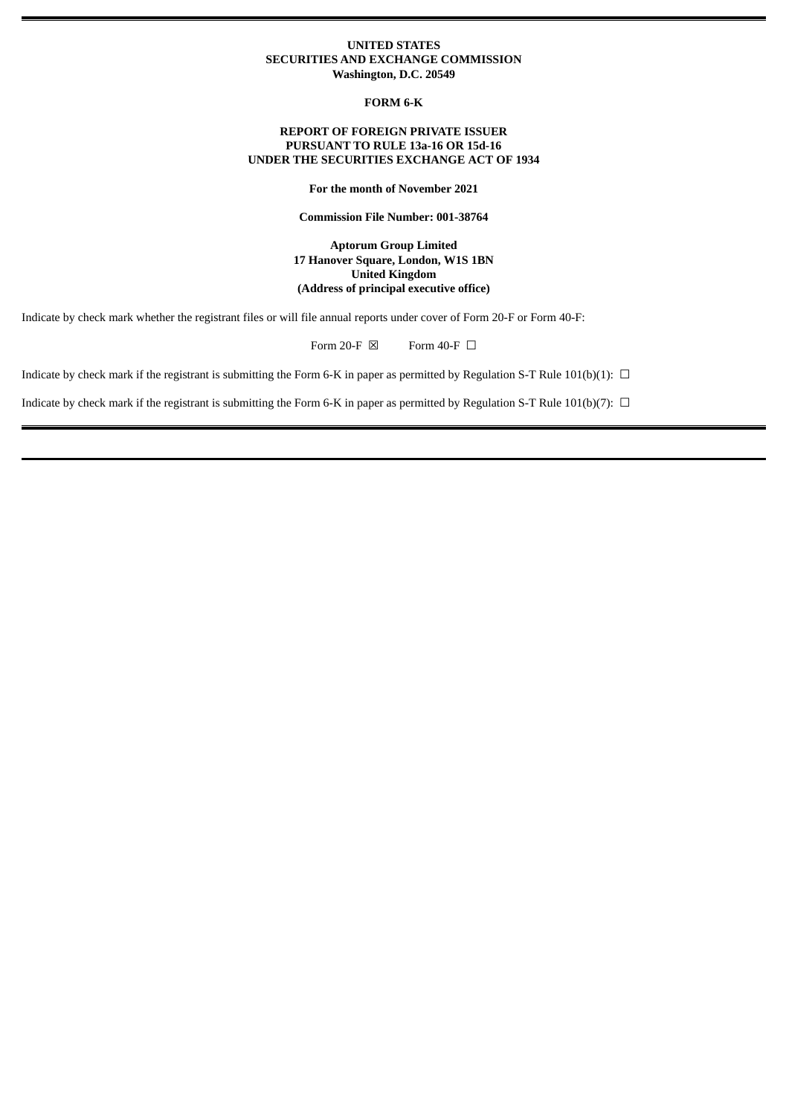## **UNITED STATES SECURITIES AND EXCHANGE COMMISSION Washington, D.C. 20549**

**FORM 6-K**

# **REPORT OF FOREIGN PRIVATE ISSUER PURSUANT TO RULE 13a-16 OR 15d-16 UNDER THE SECURITIES EXCHANGE ACT OF 1934**

**For the month of November 2021**

**Commission File Number: 001-38764**

**Aptorum Group Limited 17 Hanover Square, London, W1S 1BN United Kingdom (Address of principal executive office)**

Indicate by check mark whether the registrant files or will file annual reports under cover of Form 20-F or Form 40-F:

Form 20-F  $\boxtimes$  Form 40-F  $\Box$ 

Indicate by check mark if the registrant is submitting the Form 6-K in paper as permitted by Regulation S-T Rule  $101(b)(1)$ :  $\Box$ 

Indicate by check mark if the registrant is submitting the Form 6-K in paper as permitted by Regulation S-T Rule 101(b)(7):  $\Box$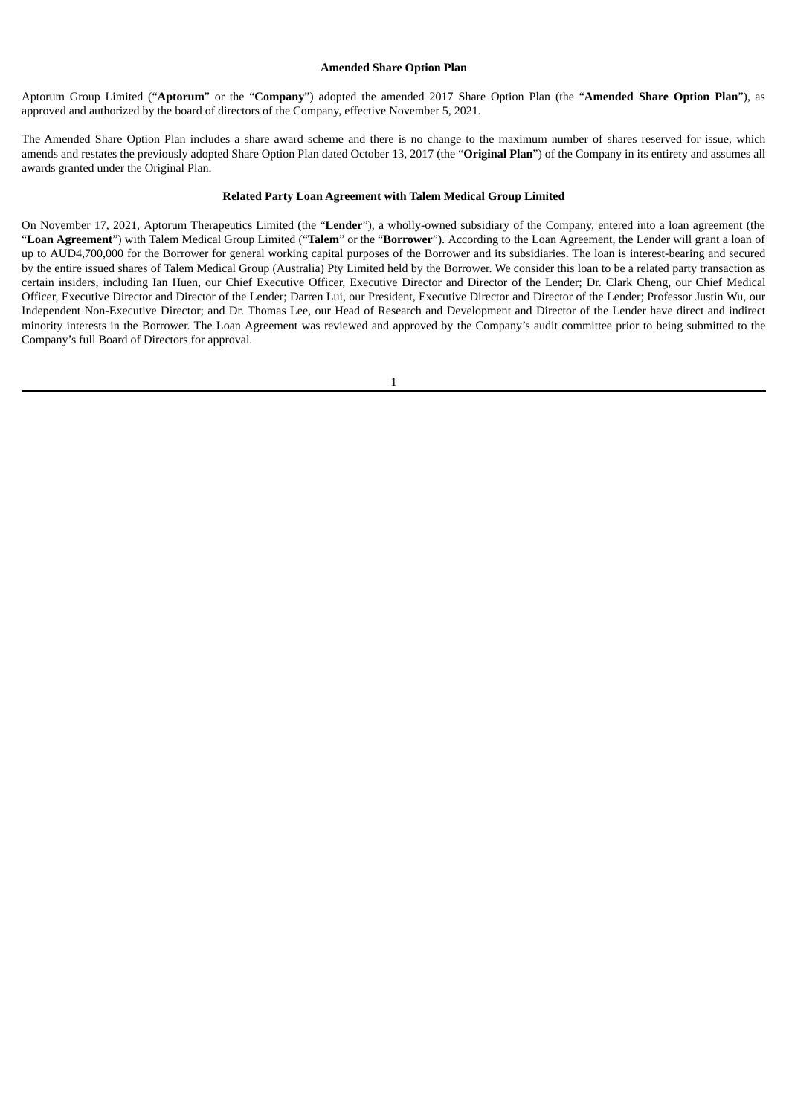#### **Amended Share Option Plan**

Aptorum Group Limited ("**Aptorum**" or the "**Company**") adopted the amended 2017 Share Option Plan (the "**Amended Share Option Plan**"), as approved and authorized by the board of directors of the Company, effective November 5, 2021.

The Amended Share Option Plan includes a share award scheme and there is no change to the maximum number of shares reserved for issue, which amends and restates the previously adopted Share Option Plan dated October 13, 2017 (the "**Original Plan**") of the Company in its entirety and assumes all awards granted under the Original Plan.

#### **Related Party Loan Agreement with Talem Medical Group Limited**

On November 17, 2021, Aptorum Therapeutics Limited (the "**Lender**"), a wholly-owned subsidiary of the Company, entered into a loan agreement (the "**Loan Agreement**") with Talem Medical Group Limited ("**Talem**" or the "**Borrower**"). According to the Loan Agreement, the Lender will grant a loan of up to AUD4,700,000 for the Borrower for general working capital purposes of the Borrower and its subsidiaries. The loan is interest-bearing and secured by the entire issued shares of Talem Medical Group (Australia) Pty Limited held by the Borrower. We consider this loan to be a related party transaction as certain insiders, including Ian Huen, our Chief Executive Officer, Executive Director and Director of the Lender; Dr. Clark Cheng, our Chief Medical Officer, Executive Director and Director of the Lender; Darren Lui, our President, Executive Director and Director of the Lender; Professor Justin Wu, our Independent Non-Executive Director; and Dr. Thomas Lee, our Head of Research and Development and Director of the Lender have direct and indirect minority interests in the Borrower. The Loan Agreement was reviewed and approved by the Company's audit committee prior to being submitted to the Company's full Board of Directors for approval.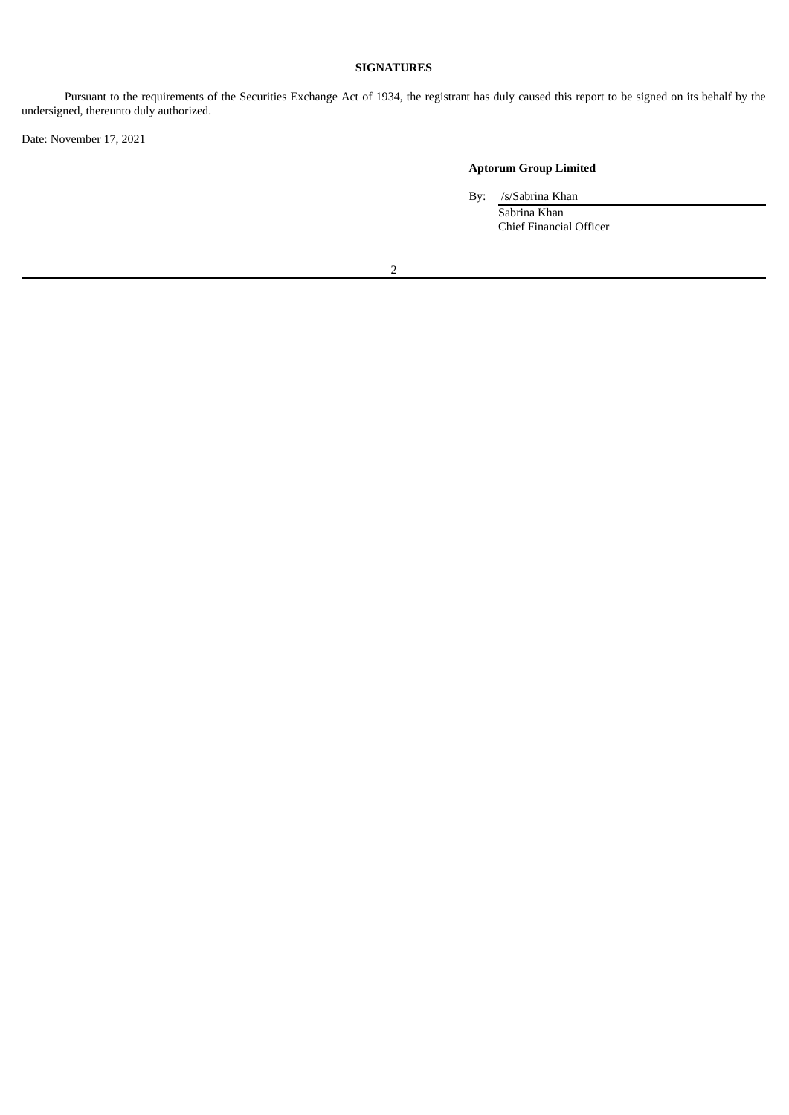# **SIGNATURES**

Pursuant to the requirements of the Securities Exchange Act of 1934, the registrant has duly caused this report to be signed on its behalf by the undersigned, thereunto duly authorized.

Date: November 17, 2021

# **Aptorum Group Limited**

By: /s/Sabrina Khan

Sabrina Khan Chief Financial Officer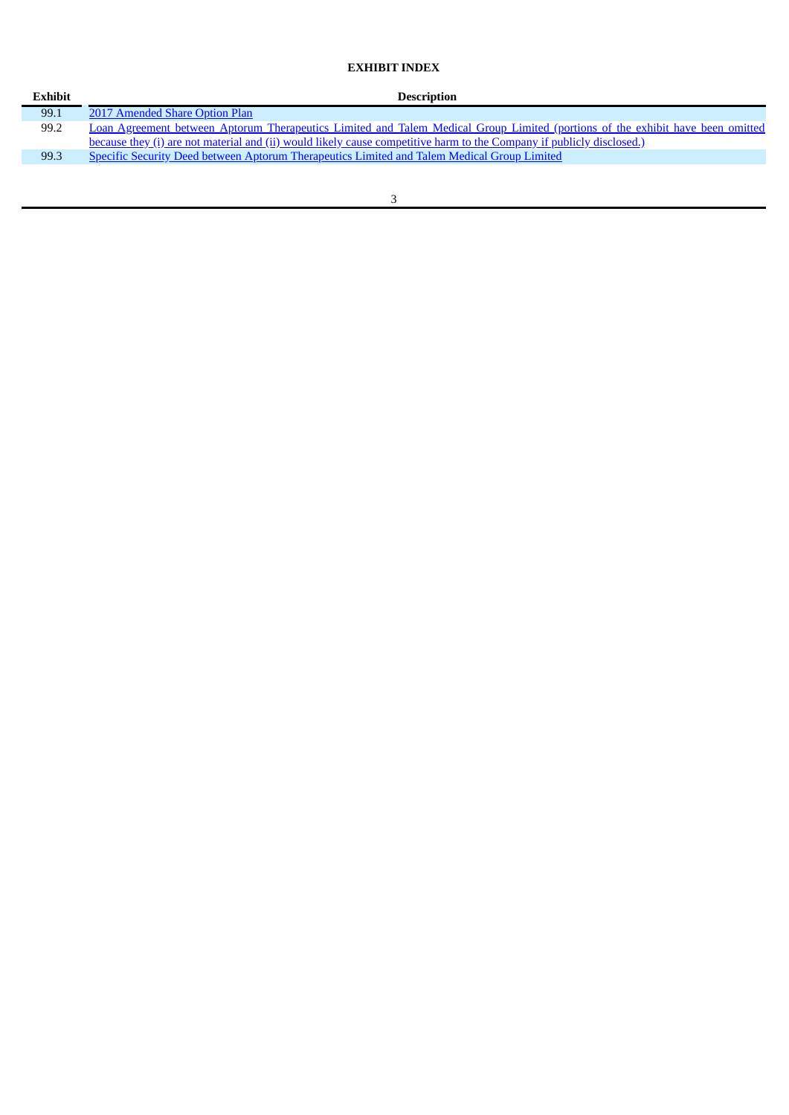# **EXHIBIT INDEX**

| <b>Exhibit</b> | <b>Description</b>                                                                                                             |
|----------------|--------------------------------------------------------------------------------------------------------------------------------|
| 99.1           | 2017 Amended Share Option Plan                                                                                                 |
| 99.2           | Loan Agreement between Aptorum Therapeutics Limited and Talem Medical Group Limited (portions of the exhibit have been omitted |
|                | because they (i) are not material and (ii) would likely cause competitive harm to the Company if publicly disclosed.)          |
| 99.3           | <b>Specific Security Deed between Aptorum Therapeutics Limited and Talem Medical Group Limited</b>                             |
|                |                                                                                                                                |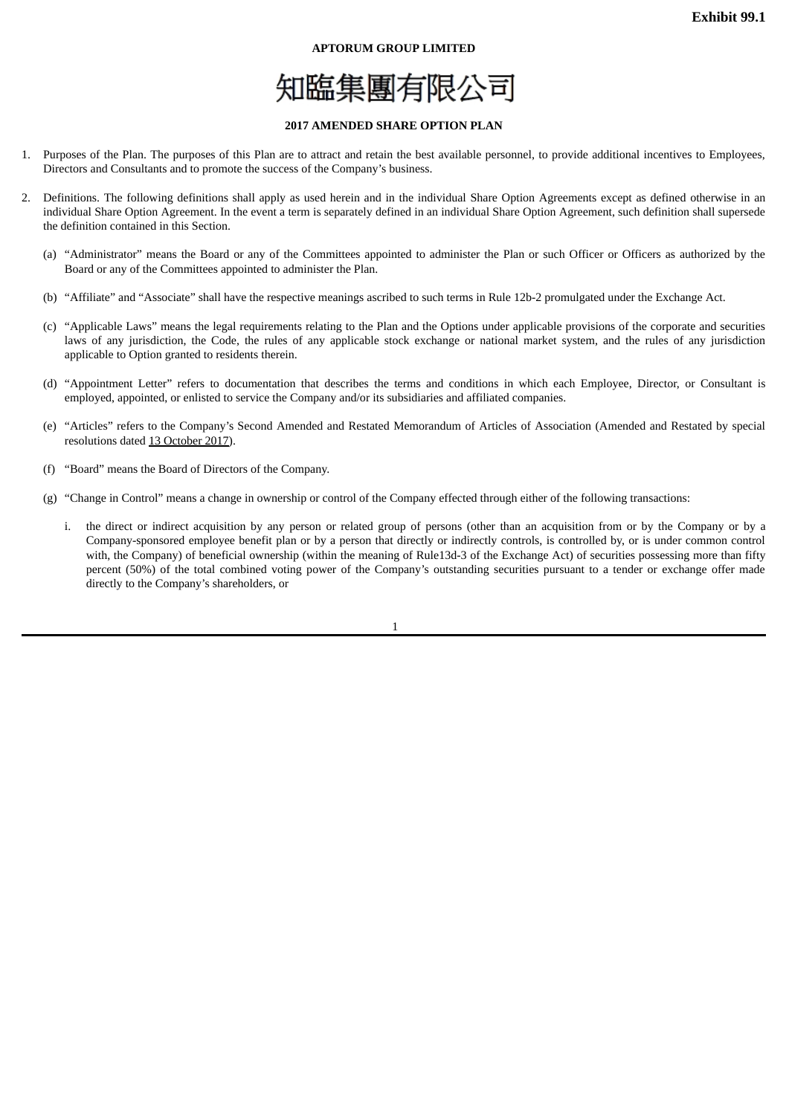#### **APTORUM GROUP LIMITED**



#### **2017 AMENDED SHARE OPTION PLAN**

- <span id="page-4-0"></span>1. Purposes of the Plan. The purposes of this Plan are to attract and retain the best available personnel, to provide additional incentives to Employees, Directors and Consultants and to promote the success of the Company's business.
- 2. Definitions. The following definitions shall apply as used herein and in the individual Share Option Agreements except as defined otherwise in an individual Share Option Agreement. In the event a term is separately defined in an individual Share Option Agreement, such definition shall supersede the definition contained in this Section.
	- (a) "Administrator" means the Board or any of the Committees appointed to administer the Plan or such Officer or Officers as authorized by the Board or any of the Committees appointed to administer the Plan.
	- (b) "Affiliate" and "Associate" shall have the respective meanings ascribed to such terms in Rule 12b-2 promulgated under the Exchange Act.
	- (c) "Applicable Laws" means the legal requirements relating to the Plan and the Options under applicable provisions of the corporate and securities laws of any jurisdiction, the Code, the rules of any applicable stock exchange or national market system, and the rules of any jurisdiction applicable to Option granted to residents therein.
	- (d) "Appointment Letter" refers to documentation that describes the terms and conditions in which each Employee, Director, or Consultant is employed, appointed, or enlisted to service the Company and/or its subsidiaries and affiliated companies.
	- (e) "Articles" refers to the Company's Second Amended and Restated Memorandum of Articles of Association (Amended and Restated by special resolutions dated 13 October 2017).
	- (f) "Board" means the Board of Directors of the Company.
	- (g) "Change in Control" means a change in ownership or control of the Company effected through either of the following transactions:
		- i. the direct or indirect acquisition by any person or related group of persons (other than an acquisition from or by the Company or by a Company-sponsored employee benefit plan or by a person that directly or indirectly controls, is controlled by, or is under common control with, the Company) of beneficial ownership (within the meaning of Rule13d-3 of the Exchange Act) of securities possessing more than fifty percent (50%) of the total combined voting power of the Company's outstanding securities pursuant to a tender or exchange offer made directly to the Company's shareholders, or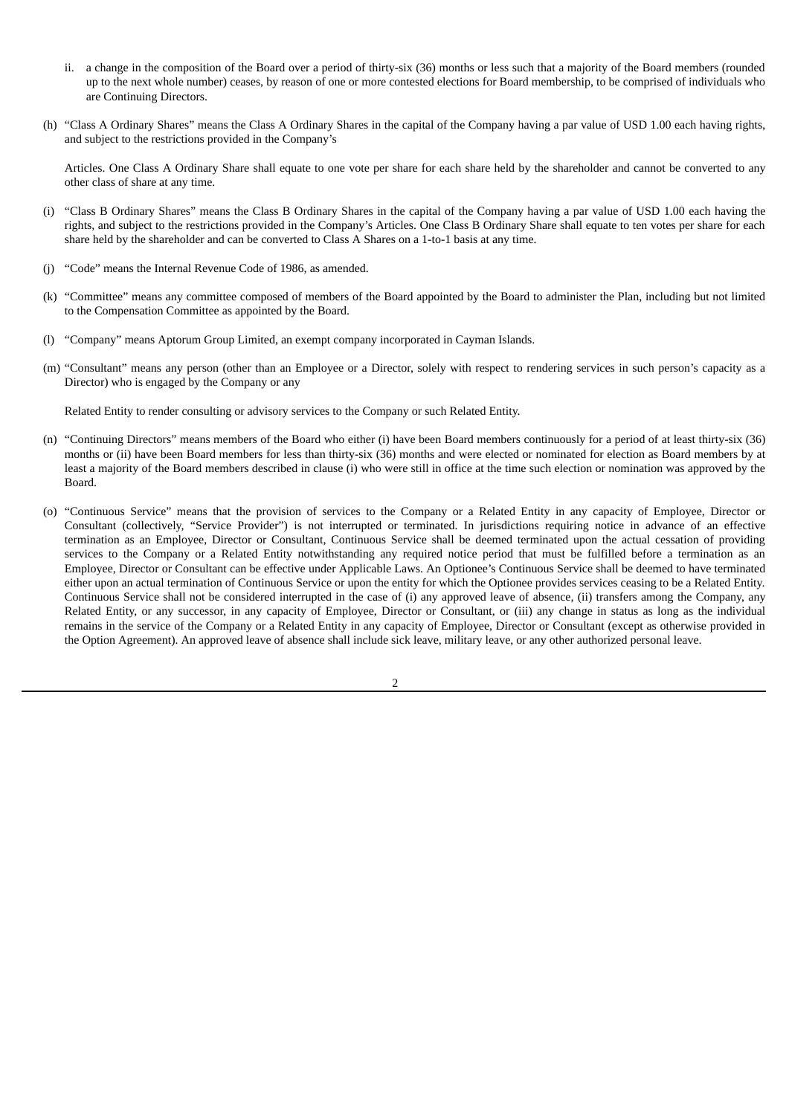- ii. a change in the composition of the Board over a period of thirty-six (36) months or less such that a majority of the Board members (rounded up to the next whole number) ceases, by reason of one or more contested elections for Board membership, to be comprised of individuals who are Continuing Directors.
- (h) "Class A Ordinary Shares" means the Class A Ordinary Shares in the capital of the Company having a par value of USD 1.00 each having rights, and subject to the restrictions provided in the Company's

Articles. One Class A Ordinary Share shall equate to one vote per share for each share held by the shareholder and cannot be converted to any other class of share at any time.

- (i) "Class B Ordinary Shares" means the Class B Ordinary Shares in the capital of the Company having a par value of USD 1.00 each having the rights, and subject to the restrictions provided in the Company's Articles. One Class B Ordinary Share shall equate to ten votes per share for each share held by the shareholder and can be converted to Class A Shares on a 1-to-1 basis at any time.
- (j) "Code" means the Internal Revenue Code of 1986, as amended.
- (k) "Committee" means any committee composed of members of the Board appointed by the Board to administer the Plan, including but not limited to the Compensation Committee as appointed by the Board.
- (l) "Company" means Aptorum Group Limited, an exempt company incorporated in Cayman Islands.
- (m) "Consultant" means any person (other than an Employee or a Director, solely with respect to rendering services in such person's capacity as a Director) who is engaged by the Company or any

Related Entity to render consulting or advisory services to the Company or such Related Entity.

- (n) "Continuing Directors" means members of the Board who either (i) have been Board members continuously for a period of at least thirty-six (36) months or (ii) have been Board members for less than thirty-six (36) months and were elected or nominated for election as Board members by at least a majority of the Board members described in clause (i) who were still in office at the time such election or nomination was approved by the Board.
- (o) "Continuous Service" means that the provision of services to the Company or a Related Entity in any capacity of Employee, Director or Consultant (collectively, "Service Provider") is not interrupted or terminated. In jurisdictions requiring notice in advance of an effective termination as an Employee, Director or Consultant, Continuous Service shall be deemed terminated upon the actual cessation of providing services to the Company or a Related Entity notwithstanding any required notice period that must be fulfilled before a termination as an Employee, Director or Consultant can be effective under Applicable Laws. An Optionee's Continuous Service shall be deemed to have terminated either upon an actual termination of Continuous Service or upon the entity for which the Optionee provides services ceasing to be a Related Entity. Continuous Service shall not be considered interrupted in the case of (i) any approved leave of absence, (ii) transfers among the Company, any Related Entity, or any successor, in any capacity of Employee, Director or Consultant, or (iii) any change in status as long as the individual remains in the service of the Company or a Related Entity in any capacity of Employee, Director or Consultant (except as otherwise provided in the Option Agreement). An approved leave of absence shall include sick leave, military leave, or any other authorized personal leave.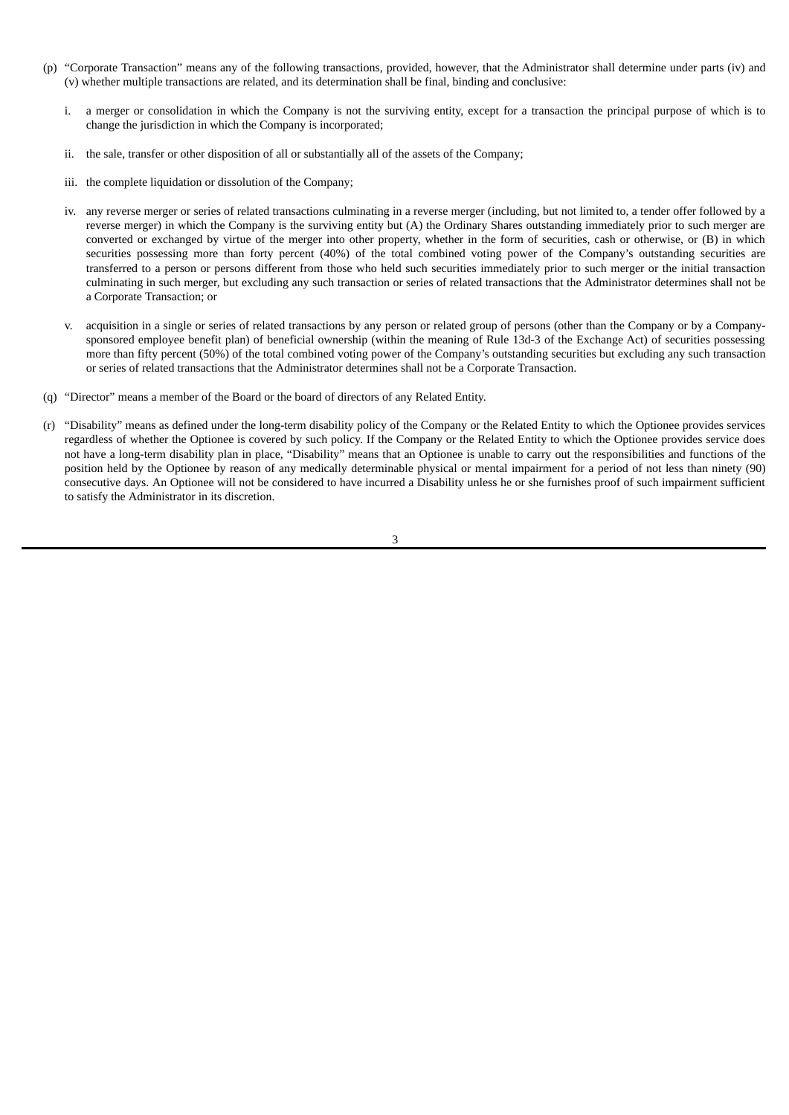- (p) "Corporate Transaction" means any of the following transactions, provided, however, that the Administrator shall determine under parts (iv) and (v) whether multiple transactions are related, and its determination shall be final, binding and conclusive:
	- i. a merger or consolidation in which the Company is not the surviving entity, except for a transaction the principal purpose of which is to change the jurisdiction in which the Company is incorporated;
	- ii. the sale, transfer or other disposition of all or substantially all of the assets of the Company;
	- iii. the complete liquidation or dissolution of the Company;
	- iv. any reverse merger or series of related transactions culminating in a reverse merger (including, but not limited to, a tender offer followed by a reverse merger) in which the Company is the surviving entity but (A) the Ordinary Shares outstanding immediately prior to such merger are converted or exchanged by virtue of the merger into other property, whether in the form of securities, cash or otherwise, or (B) in which securities possessing more than forty percent (40%) of the total combined voting power of the Company's outstanding securities are transferred to a person or persons different from those who held such securities immediately prior to such merger or the initial transaction culminating in such merger, but excluding any such transaction or series of related transactions that the Administrator determines shall not be a Corporate Transaction; or
	- v. acquisition in a single or series of related transactions by any person or related group of persons (other than the Company or by a Companysponsored employee benefit plan) of beneficial ownership (within the meaning of Rule 13d-3 of the Exchange Act) of securities possessing more than fifty percent (50%) of the total combined voting power of the Company's outstanding securities but excluding any such transaction or series of related transactions that the Administrator determines shall not be a Corporate Transaction.
- (q) "Director" means a member of the Board or the board of directors of any Related Entity.
- (r) "Disability" means as defined under the long-term disability policy of the Company or the Related Entity to which the Optionee provides services regardless of whether the Optionee is covered by such policy. If the Company or the Related Entity to which the Optionee provides service does not have a long-term disability plan in place, "Disability" means that an Optionee is unable to carry out the responsibilities and functions of the position held by the Optionee by reason of any medically determinable physical or mental impairment for a period of not less than ninety (90) consecutive days. An Optionee will not be considered to have incurred a Disability unless he or she furnishes proof of such impairment sufficient to satisfy the Administrator in its discretion.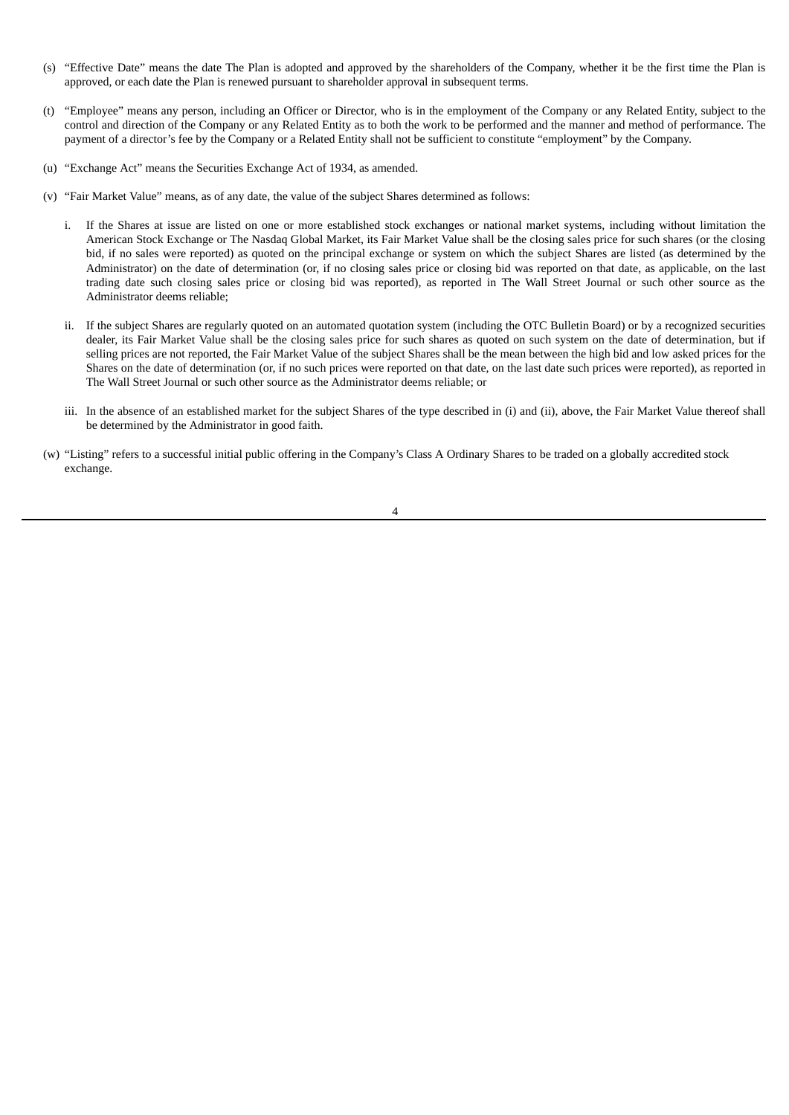- (s) "Effective Date" means the date The Plan is adopted and approved by the shareholders of the Company, whether it be the first time the Plan is approved, or each date the Plan is renewed pursuant to shareholder approval in subsequent terms.
- (t) "Employee" means any person, including an Officer or Director, who is in the employment of the Company or any Related Entity, subject to the control and direction of the Company or any Related Entity as to both the work to be performed and the manner and method of performance. The payment of a director's fee by the Company or a Related Entity shall not be sufficient to constitute "employment" by the Company.
- (u) "Exchange Act" means the Securities Exchange Act of 1934, as amended.
- (v) "Fair Market Value" means, as of any date, the value of the subject Shares determined as follows:
	- i. If the Shares at issue are listed on one or more established stock exchanges or national market systems, including without limitation the American Stock Exchange or The Nasdaq Global Market, its Fair Market Value shall be the closing sales price for such shares (or the closing bid, if no sales were reported) as quoted on the principal exchange or system on which the subject Shares are listed (as determined by the Administrator) on the date of determination (or, if no closing sales price or closing bid was reported on that date, as applicable, on the last trading date such closing sales price or closing bid was reported), as reported in The Wall Street Journal or such other source as the Administrator deems reliable;
	- ii. If the subject Shares are regularly quoted on an automated quotation system (including the OTC Bulletin Board) or by a recognized securities dealer, its Fair Market Value shall be the closing sales price for such shares as quoted on such system on the date of determination, but if selling prices are not reported, the Fair Market Value of the subject Shares shall be the mean between the high bid and low asked prices for the Shares on the date of determination (or, if no such prices were reported on that date, on the last date such prices were reported), as reported in The Wall Street Journal or such other source as the Administrator deems reliable; or
	- iii. In the absence of an established market for the subject Shares of the type described in (i) and (ii), above, the Fair Market Value thereof shall be determined by the Administrator in good faith.
- (w) "Listing" refers to a successful initial public offering in the Company's Class A Ordinary Shares to be traded on a globally accredited stock exchange.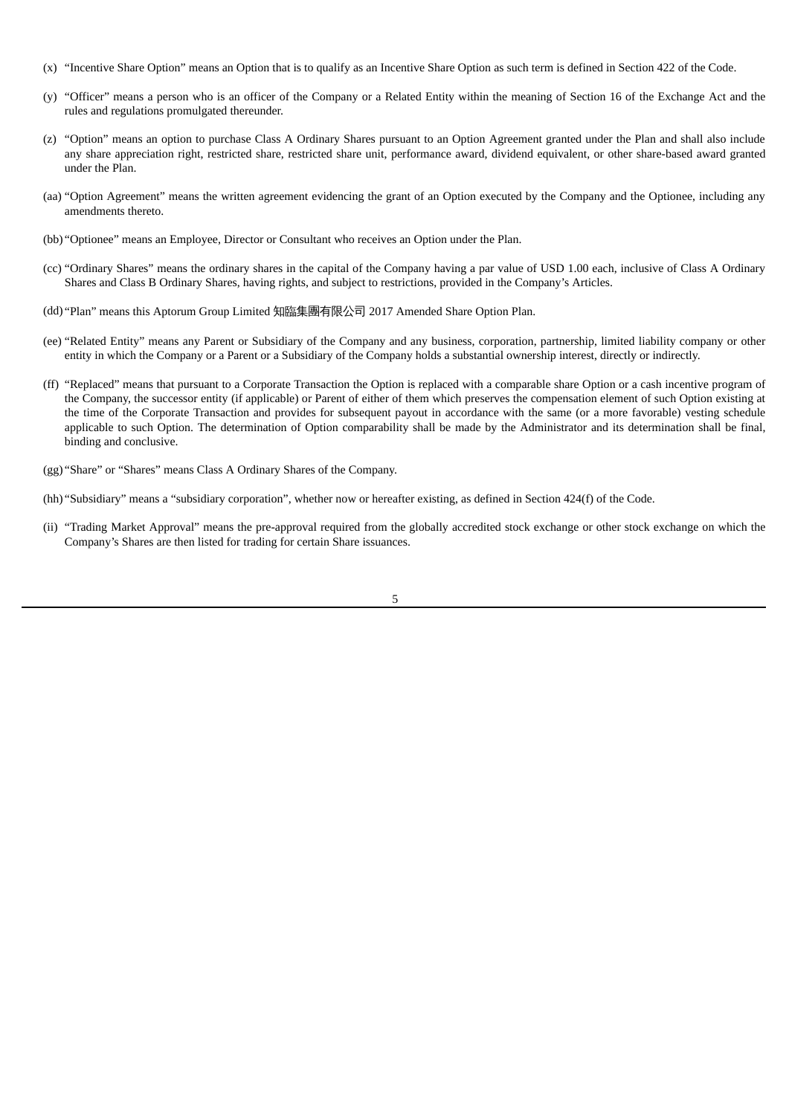- (x) "Incentive Share Option" means an Option that is to qualify as an Incentive Share Option as such term is defined in Section 422 of the Code.
- (y) "Officer" means a person who is an officer of the Company or a Related Entity within the meaning of Section 16 of the Exchange Act and the rules and regulations promulgated thereunder.
- (z) "Option" means an option to purchase Class A Ordinary Shares pursuant to an Option Agreement granted under the Plan and shall also include any share appreciation right, restricted share, restricted share unit, performance award, dividend equivalent, or other share-based award granted under the Plan.
- (aa) "Option Agreement" means the written agreement evidencing the grant of an Option executed by the Company and the Optionee, including any amendments thereto.
- (bb) "Optionee" means an Employee, Director or Consultant who receives an Option under the Plan.
- (cc) "Ordinary Shares" means the ordinary shares in the capital of the Company having a par value of USD 1.00 each, inclusive of Class A Ordinary Shares and Class B Ordinary Shares, having rights, and subject to restrictions, provided in the Company's Articles.
- (dd) "Plan" means this Aptorum Group Limited 知臨集團有限公司 2017 Amended Share Option Plan.
- (ee) "Related Entity" means any Parent or Subsidiary of the Company and any business, corporation, partnership, limited liability company or other entity in which the Company or a Parent or a Subsidiary of the Company holds a substantial ownership interest, directly or indirectly.
- (ff) "Replaced" means that pursuant to a Corporate Transaction the Option is replaced with a comparable share Option or a cash incentive program of the Company, the successor entity (if applicable) or Parent of either of them which preserves the compensation element of such Option existing at the time of the Corporate Transaction and provides for subsequent payout in accordance with the same (or a more favorable) vesting schedule applicable to such Option. The determination of Option comparability shall be made by the Administrator and its determination shall be final, binding and conclusive.
- (gg) "Share" or "Shares" means Class A Ordinary Shares of the Company.
- (hh) "Subsidiary" means a "subsidiary corporation", whether now or hereafter existing, as defined in Section 424(f) of the Code.
- (ii) "Trading Market Approval" means the pre-approval required from the globally accredited stock exchange or other stock exchange on which the Company's Shares are then listed for trading for certain Share issuances.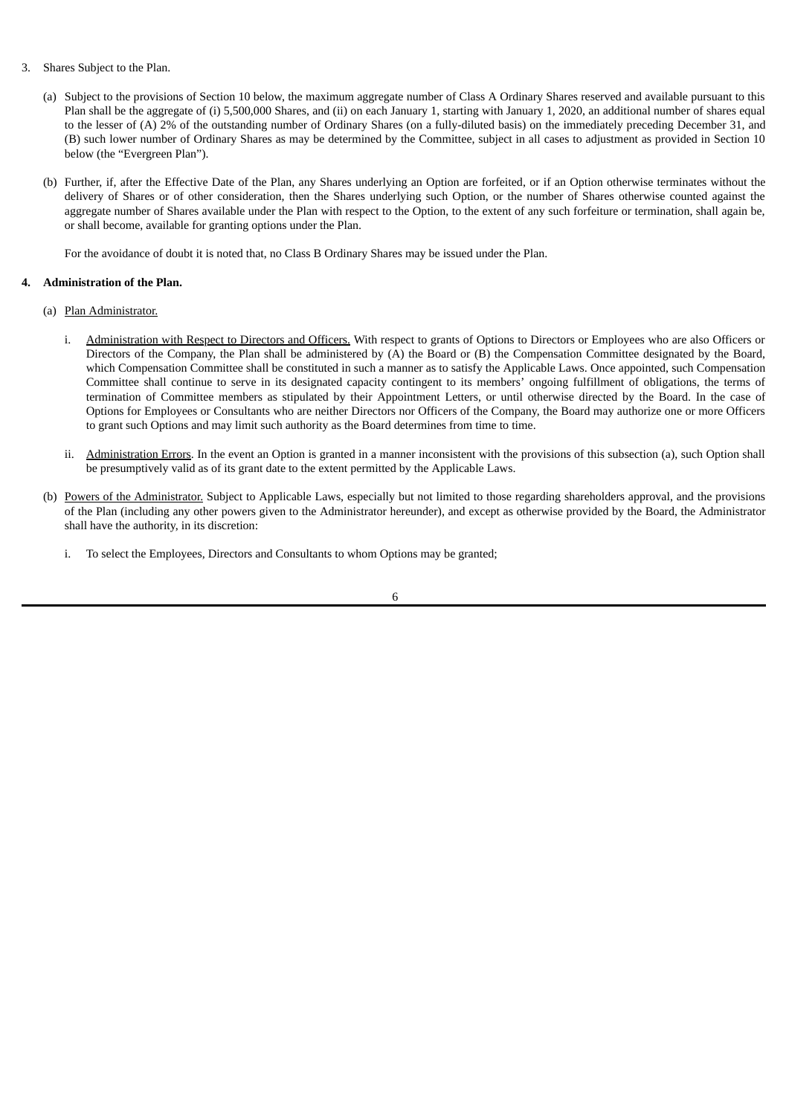- 3. Shares Subject to the Plan.
	- (a) Subject to the provisions of Section 10 below, the maximum aggregate number of Class A Ordinary Shares reserved and available pursuant to this Plan shall be the aggregate of (i) 5,500,000 Shares, and (ii) on each January 1, starting with January 1, 2020, an additional number of shares equal to the lesser of (A) 2% of the outstanding number of Ordinary Shares (on a fully-diluted basis) on the immediately preceding December 31, and (B) such lower number of Ordinary Shares as may be determined by the Committee, subject in all cases to adjustment as provided in Section 10 below (the "Evergreen Plan").
	- (b) Further, if, after the Effective Date of the Plan, any Shares underlying an Option are forfeited, or if an Option otherwise terminates without the delivery of Shares or of other consideration, then the Shares underlying such Option, or the number of Shares otherwise counted against the aggregate number of Shares available under the Plan with respect to the Option, to the extent of any such forfeiture or termination, shall again be, or shall become, available for granting options under the Plan.

For the avoidance of doubt it is noted that, no Class B Ordinary Shares may be issued under the Plan.

# **4. Administration of the Plan.**

- (a) Plan Administrator.
	- i. Administration with Respect to Directors and Officers. With respect to grants of Options to Directors or Employees who are also Officers or Directors of the Company, the Plan shall be administered by (A) the Board or (B) the Compensation Committee designated by the Board, which Compensation Committee shall be constituted in such a manner as to satisfy the Applicable Laws. Once appointed, such Compensation Committee shall continue to serve in its designated capacity contingent to its members' ongoing fulfillment of obligations, the terms of termination of Committee members as stipulated by their Appointment Letters, or until otherwise directed by the Board. In the case of Options for Employees or Consultants who are neither Directors nor Officers of the Company, the Board may authorize one or more Officers to grant such Options and may limit such authority as the Board determines from time to time.
	- ii. Administration Errors. In the event an Option is granted in a manner inconsistent with the provisions of this subsection (a), such Option shall be presumptively valid as of its grant date to the extent permitted by the Applicable Laws.
- (b) Powers of the Administrator. Subject to Applicable Laws, especially but not limited to those regarding shareholders approval, and the provisions of the Plan (including any other powers given to the Administrator hereunder), and except as otherwise provided by the Board, the Administrator shall have the authority, in its discretion:
	- i. To select the Employees, Directors and Consultants to whom Options may be granted;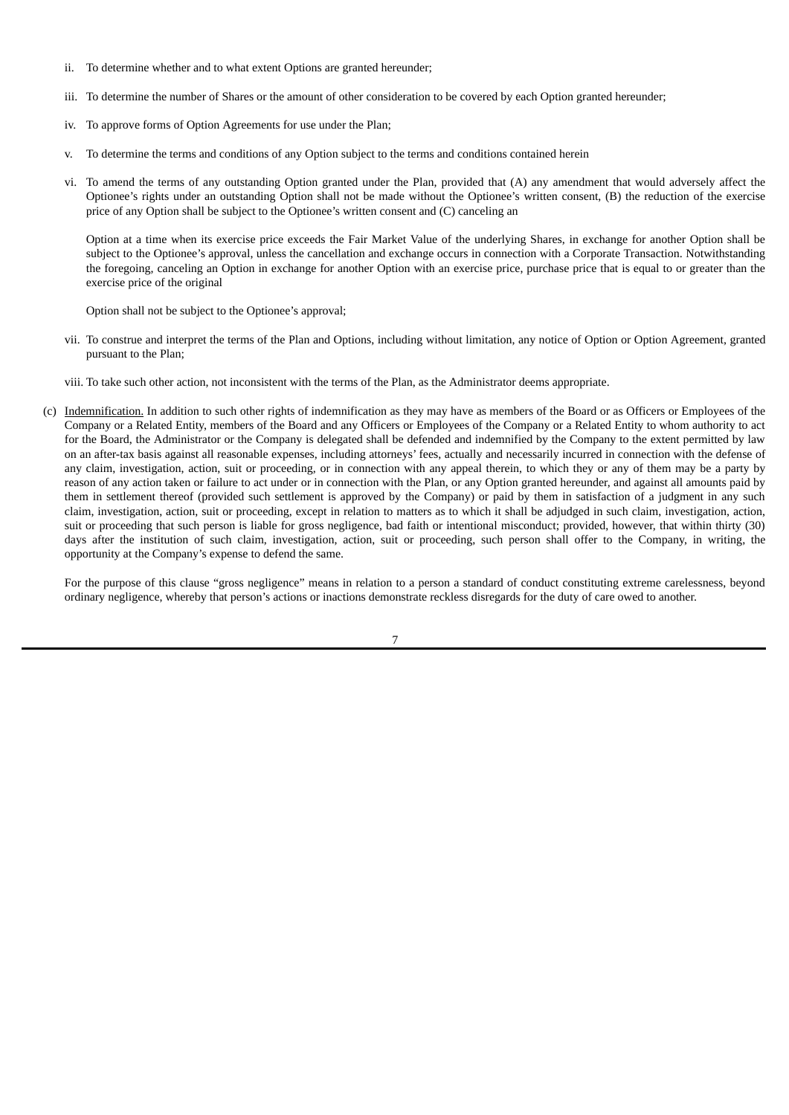- ii. To determine whether and to what extent Options are granted hereunder;
- iii. To determine the number of Shares or the amount of other consideration to be covered by each Option granted hereunder;
- iv. To approve forms of Option Agreements for use under the Plan;
- v. To determine the terms and conditions of any Option subject to the terms and conditions contained herein
- vi. To amend the terms of any outstanding Option granted under the Plan, provided that (A) any amendment that would adversely affect the Optionee's rights under an outstanding Option shall not be made without the Optionee's written consent, (B) the reduction of the exercise price of any Option shall be subject to the Optionee's written consent and (C) canceling an

Option at a time when its exercise price exceeds the Fair Market Value of the underlying Shares, in exchange for another Option shall be subject to the Optionee's approval, unless the cancellation and exchange occurs in connection with a Corporate Transaction. Notwithstanding the foregoing, canceling an Option in exchange for another Option with an exercise price, purchase price that is equal to or greater than the exercise price of the original

Option shall not be subject to the Optionee's approval;

vii. To construe and interpret the terms of the Plan and Options, including without limitation, any notice of Option or Option Agreement, granted pursuant to the Plan;

viii. To take such other action, not inconsistent with the terms of the Plan, as the Administrator deems appropriate.

(c) Indemnification. In addition to such other rights of indemnification as they may have as members of the Board or as Officers or Employees of the Company or a Related Entity, members of the Board and any Officers or Employees of the Company or a Related Entity to whom authority to act for the Board, the Administrator or the Company is delegated shall be defended and indemnified by the Company to the extent permitted by law on an after-tax basis against all reasonable expenses, including attorneys' fees, actually and necessarily incurred in connection with the defense of any claim, investigation, action, suit or proceeding, or in connection with any appeal therein, to which they or any of them may be a party by reason of any action taken or failure to act under or in connection with the Plan, or any Option granted hereunder, and against all amounts paid by them in settlement thereof (provided such settlement is approved by the Company) or paid by them in satisfaction of a judgment in any such claim, investigation, action, suit or proceeding, except in relation to matters as to which it shall be adjudged in such claim, investigation, action, suit or proceeding that such person is liable for gross negligence, bad faith or intentional misconduct; provided, however, that within thirty (30) days after the institution of such claim, investigation, action, suit or proceeding, such person shall offer to the Company, in writing, the opportunity at the Company's expense to defend the same.

For the purpose of this clause "gross negligence" means in relation to a person a standard of conduct constituting extreme carelessness, beyond ordinary negligence, whereby that person's actions or inactions demonstrate reckless disregards for the duty of care owed to another.

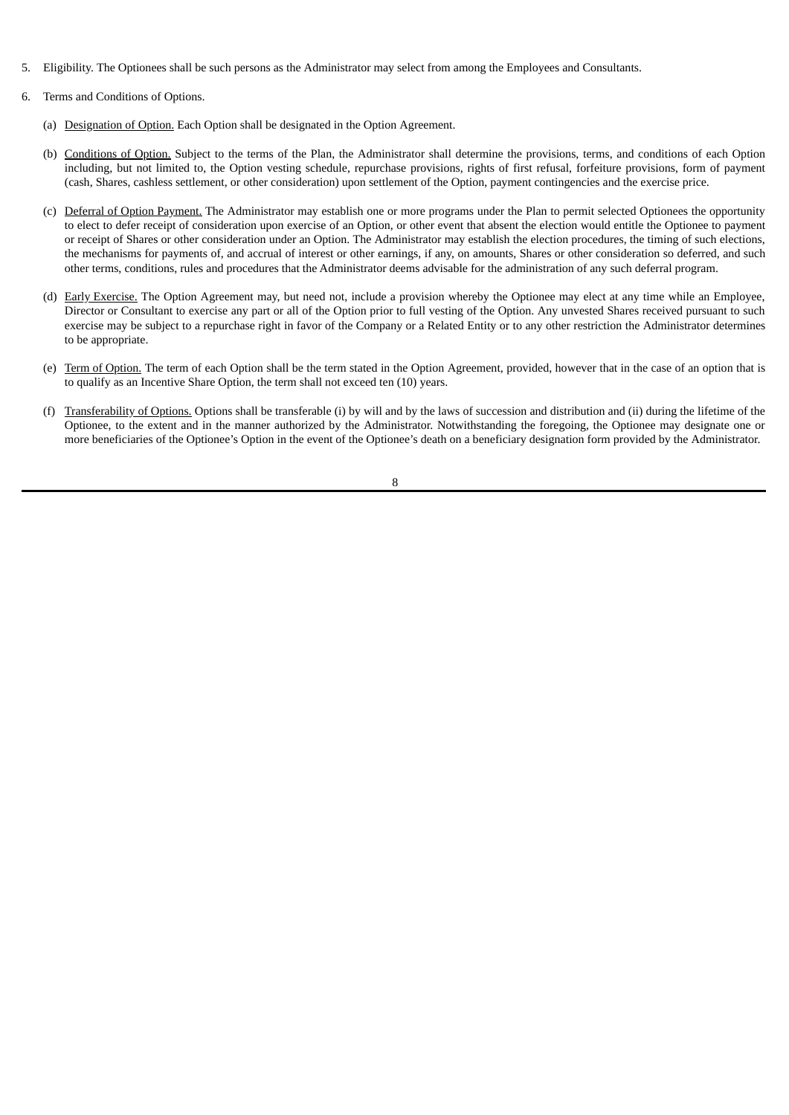- 5. Eligibility. The Optionees shall be such persons as the Administrator may select from among the Employees and Consultants.
- 6. Terms and Conditions of Options.
	- (a) Designation of Option. Each Option shall be designated in the Option Agreement.
	- (b) Conditions of Option. Subject to the terms of the Plan, the Administrator shall determine the provisions, terms, and conditions of each Option including, but not limited to, the Option vesting schedule, repurchase provisions, rights of first refusal, forfeiture provisions, form of payment (cash, Shares, cashless settlement, or other consideration) upon settlement of the Option, payment contingencies and the exercise price.
	- (c) Deferral of Option Payment. The Administrator may establish one or more programs under the Plan to permit selected Optionees the opportunity to elect to defer receipt of consideration upon exercise of an Option, or other event that absent the election would entitle the Optionee to payment or receipt of Shares or other consideration under an Option. The Administrator may establish the election procedures, the timing of such elections, the mechanisms for payments of, and accrual of interest or other earnings, if any, on amounts, Shares or other consideration so deferred, and such other terms, conditions, rules and procedures that the Administrator deems advisable for the administration of any such deferral program.
	- (d) Early Exercise. The Option Agreement may, but need not, include a provision whereby the Optionee may elect at any time while an Employee, Director or Consultant to exercise any part or all of the Option prior to full vesting of the Option. Any unvested Shares received pursuant to such exercise may be subject to a repurchase right in favor of the Company or a Related Entity or to any other restriction the Administrator determines to be appropriate.
	- (e) Term of Option. The term of each Option shall be the term stated in the Option Agreement, provided, however that in the case of an option that is to qualify as an Incentive Share Option, the term shall not exceed ten (10) years.
	- (f) Transferability of Options. Options shall be transferable (i) by will and by the laws of succession and distribution and (ii) during the lifetime of the Optionee, to the extent and in the manner authorized by the Administrator. Notwithstanding the foregoing, the Optionee may designate one or more beneficiaries of the Optionee's Option in the event of the Optionee's death on a beneficiary designation form provided by the Administrator.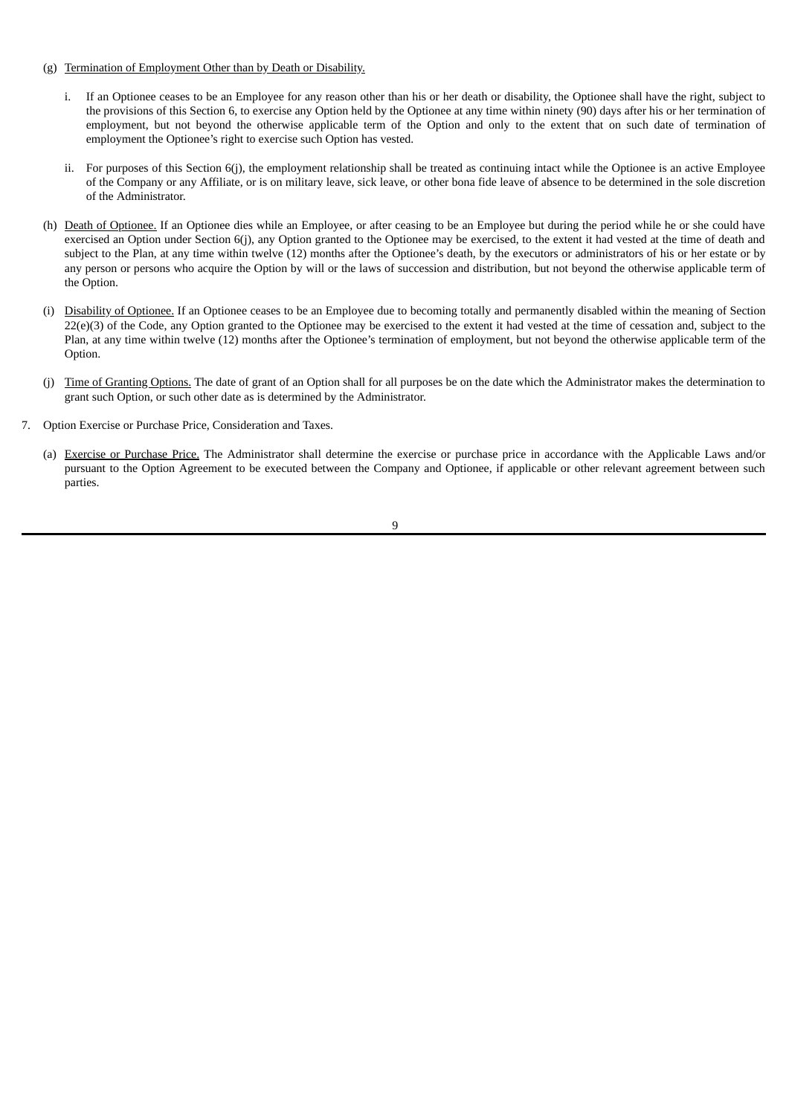- (g) Termination of Employment Other than by Death or Disability.
	- i. If an Optionee ceases to be an Employee for any reason other than his or her death or disability, the Optionee shall have the right, subject to the provisions of this Section 6, to exercise any Option held by the Optionee at any time within ninety (90) days after his or her termination of employment, but not beyond the otherwise applicable term of the Option and only to the extent that on such date of termination of employment the Optionee's right to exercise such Option has vested.
	- ii. For purposes of this Section 6(j), the employment relationship shall be treated as continuing intact while the Optionee is an active Employee of the Company or any Affiliate, or is on military leave, sick leave, or other bona fide leave of absence to be determined in the sole discretion of the Administrator.
- (h) Death of Optionee. If an Optionee dies while an Employee, or after ceasing to be an Employee but during the period while he or she could have exercised an Option under Section 6(j), any Option granted to the Optionee may be exercised, to the extent it had vested at the time of death and subject to the Plan, at any time within twelve (12) months after the Optionee's death, by the executors or administrators of his or her estate or by any person or persons who acquire the Option by will or the laws of succession and distribution, but not beyond the otherwise applicable term of the Option.
- (i) Disability of Optionee. If an Optionee ceases to be an Employee due to becoming totally and permanently disabled within the meaning of Section 22(e)(3) of the Code, any Option granted to the Optionee may be exercised to the extent it had vested at the time of cessation and, subject to the Plan, at any time within twelve (12) months after the Optionee's termination of employment, but not beyond the otherwise applicable term of the Option.
- (i) Time of Granting Options. The date of grant of an Option shall for all purposes be on the date which the Administrator makes the determination to grant such Option, or such other date as is determined by the Administrator.
- 7. Option Exercise or Purchase Price, Consideration and Taxes.
	- (a) Exercise or Purchase Price. The Administrator shall determine the exercise or purchase price in accordance with the Applicable Laws and/or pursuant to the Option Agreement to be executed between the Company and Optionee, if applicable or other relevant agreement between such parties.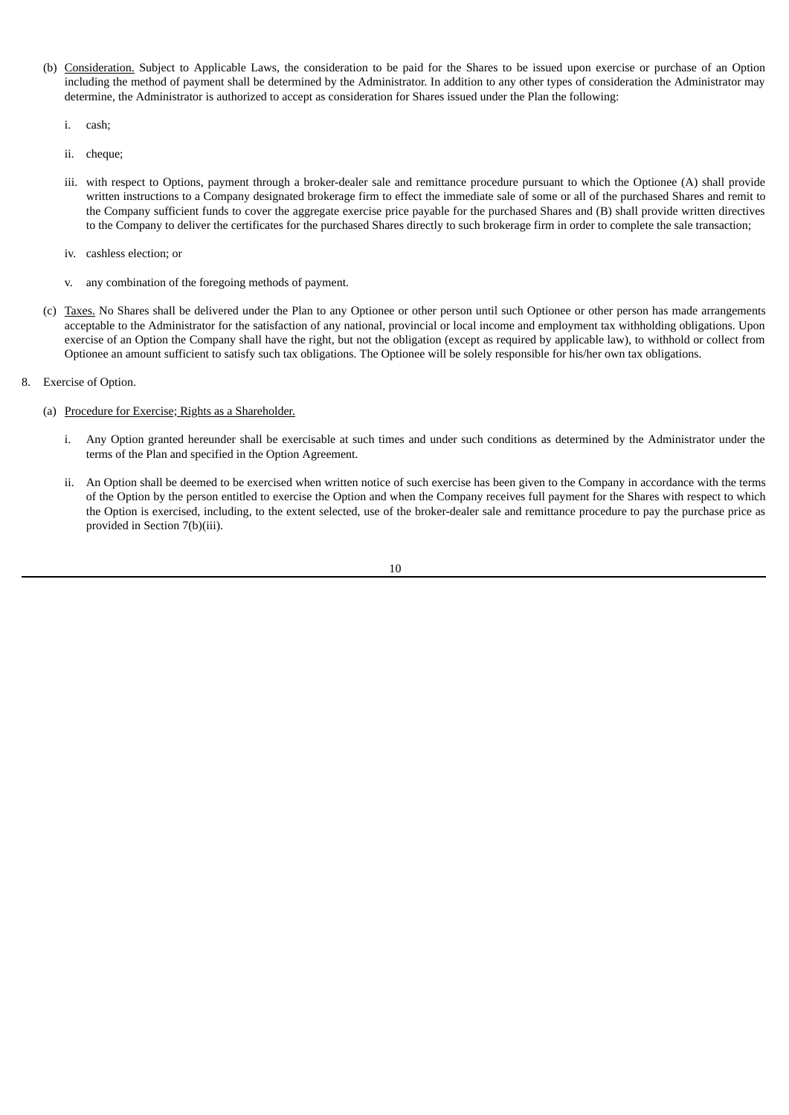- (b) Consideration. Subject to Applicable Laws, the consideration to be paid for the Shares to be issued upon exercise or purchase of an Option including the method of payment shall be determined by the Administrator. In addition to any other types of consideration the Administrator may determine, the Administrator is authorized to accept as consideration for Shares issued under the Plan the following:
	- i. cash;
	- ii. cheque;
	- iii. with respect to Options, payment through a broker-dealer sale and remittance procedure pursuant to which the Optionee (A) shall provide written instructions to a Company designated brokerage firm to effect the immediate sale of some or all of the purchased Shares and remit to the Company sufficient funds to cover the aggregate exercise price payable for the purchased Shares and (B) shall provide written directives to the Company to deliver the certificates for the purchased Shares directly to such brokerage firm in order to complete the sale transaction;
	- iv. cashless election; or
	- v. any combination of the foregoing methods of payment.
- (c) Taxes. No Shares shall be delivered under the Plan to any Optionee or other person until such Optionee or other person has made arrangements acceptable to the Administrator for the satisfaction of any national, provincial or local income and employment tax withholding obligations. Upon exercise of an Option the Company shall have the right, but not the obligation (except as required by applicable law), to withhold or collect from Optionee an amount sufficient to satisfy such tax obligations. The Optionee will be solely responsible for his/her own tax obligations.
- 8. Exercise of Option.
	- (a) Procedure for Exercise; Rights as a Shareholder.
		- i. Any Option granted hereunder shall be exercisable at such times and under such conditions as determined by the Administrator under the terms of the Plan and specified in the Option Agreement.
		- ii. An Option shall be deemed to be exercised when written notice of such exercise has been given to the Company in accordance with the terms of the Option by the person entitled to exercise the Option and when the Company receives full payment for the Shares with respect to which the Option is exercised, including, to the extent selected, use of the broker-dealer sale and remittance procedure to pay the purchase price as provided in Section 7(b)(iii).
			- 10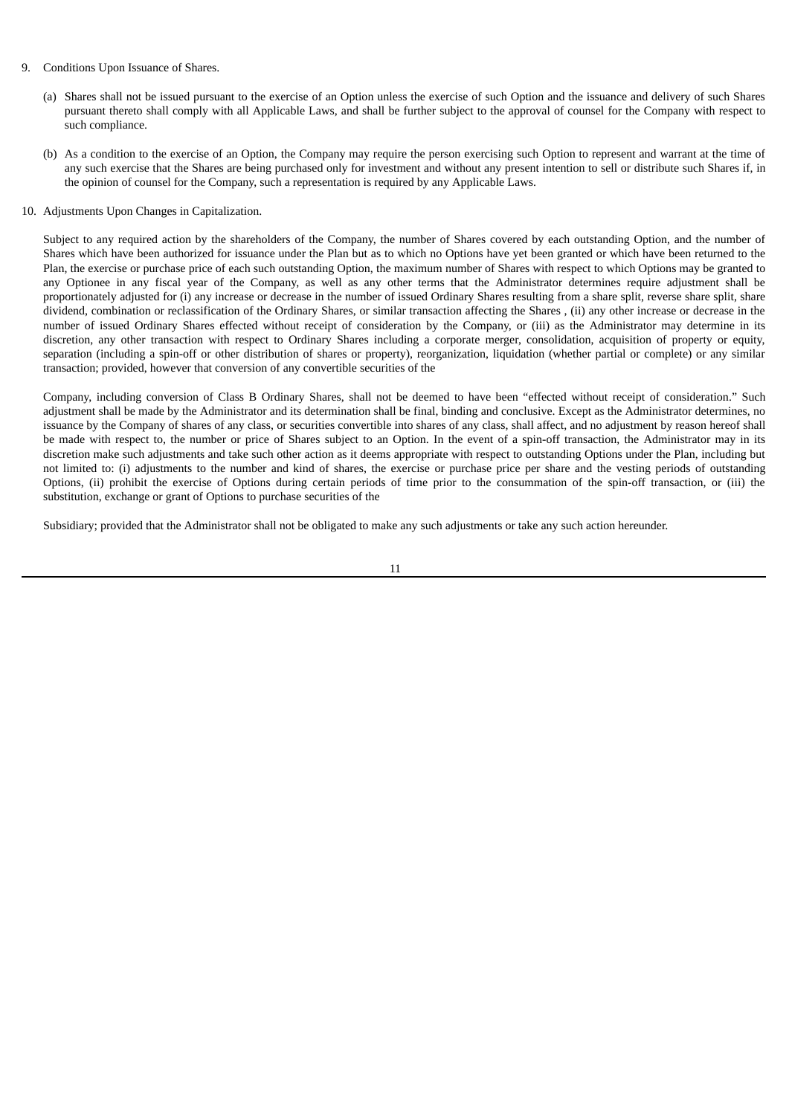- 9. Conditions Upon Issuance of Shares.
	- (a) Shares shall not be issued pursuant to the exercise of an Option unless the exercise of such Option and the issuance and delivery of such Shares pursuant thereto shall comply with all Applicable Laws, and shall be further subject to the approval of counsel for the Company with respect to such compliance.
	- (b) As a condition to the exercise of an Option, the Company may require the person exercising such Option to represent and warrant at the time of any such exercise that the Shares are being purchased only for investment and without any present intention to sell or distribute such Shares if, in the opinion of counsel for the Company, such a representation is required by any Applicable Laws.
- 10. Adjustments Upon Changes in Capitalization.

Subject to any required action by the shareholders of the Company, the number of Shares covered by each outstanding Option, and the number of Shares which have been authorized for issuance under the Plan but as to which no Options have yet been granted or which have been returned to the Plan, the exercise or purchase price of each such outstanding Option, the maximum number of Shares with respect to which Options may be granted to any Optionee in any fiscal year of the Company, as well as any other terms that the Administrator determines require adjustment shall be proportionately adjusted for (i) any increase or decrease in the number of issued Ordinary Shares resulting from a share split, reverse share split, share dividend, combination or reclassification of the Ordinary Shares, or similar transaction affecting the Shares , (ii) any other increase or decrease in the number of issued Ordinary Shares effected without receipt of consideration by the Company, or (iii) as the Administrator may determine in its discretion, any other transaction with respect to Ordinary Shares including a corporate merger, consolidation, acquisition of property or equity, separation (including a spin-off or other distribution of shares or property), reorganization, liquidation (whether partial or complete) or any similar transaction; provided, however that conversion of any convertible securities of the

Company, including conversion of Class B Ordinary Shares, shall not be deemed to have been "effected without receipt of consideration." Such adjustment shall be made by the Administrator and its determination shall be final, binding and conclusive. Except as the Administrator determines, no issuance by the Company of shares of any class, or securities convertible into shares of any class, shall affect, and no adjustment by reason hereof shall be made with respect to, the number or price of Shares subject to an Option. In the event of a spin-off transaction, the Administrator may in its discretion make such adjustments and take such other action as it deems appropriate with respect to outstanding Options under the Plan, including but not limited to: (i) adjustments to the number and kind of shares, the exercise or purchase price per share and the vesting periods of outstanding Options, (ii) prohibit the exercise of Options during certain periods of time prior to the consummation of the spin-off transaction, or (iii) the substitution, exchange or grant of Options to purchase securities of the

Subsidiary; provided that the Administrator shall not be obligated to make any such adjustments or take any such action hereunder.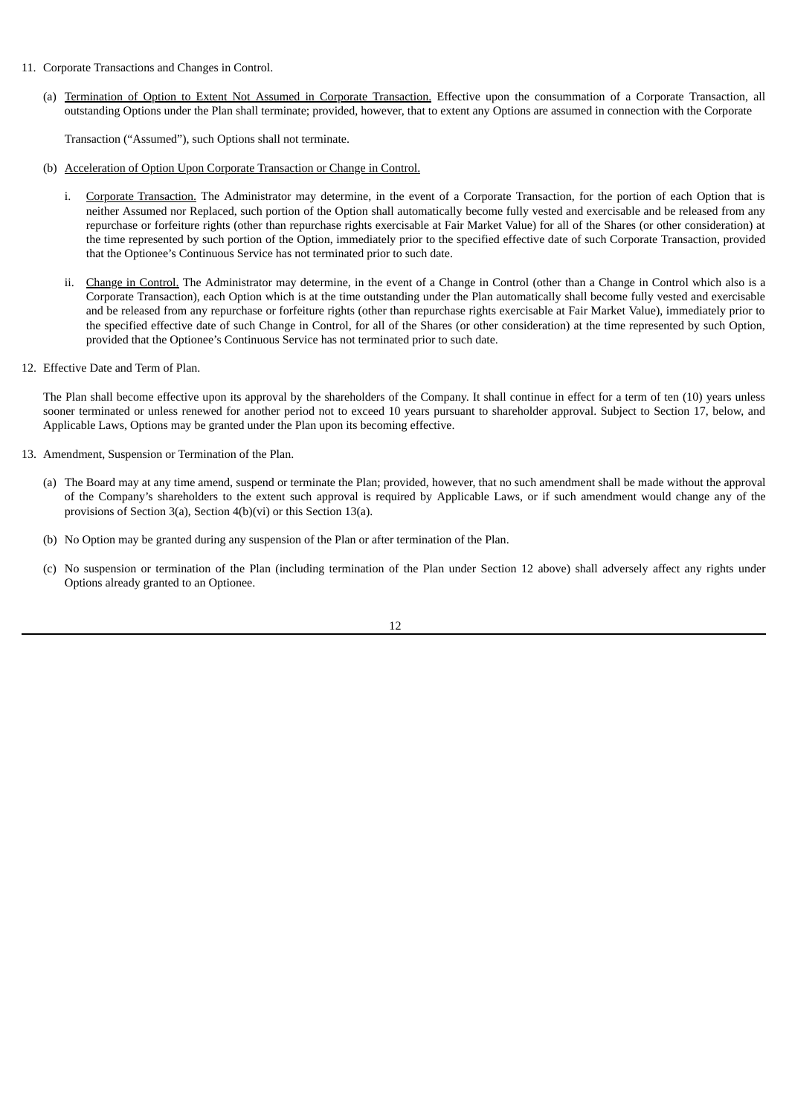- 11. Corporate Transactions and Changes in Control.
	- (a) Termination of Option to Extent Not Assumed in Corporate Transaction. Effective upon the consummation of a Corporate Transaction, all outstanding Options under the Plan shall terminate; provided, however, that to extent any Options are assumed in connection with the Corporate

Transaction ("Assumed"), such Options shall not terminate.

- (b) Acceleration of Option Upon Corporate Transaction or Change in Control.
	- i. Corporate Transaction. The Administrator may determine, in the event of a Corporate Transaction, for the portion of each Option that is neither Assumed nor Replaced, such portion of the Option shall automatically become fully vested and exercisable and be released from any repurchase or forfeiture rights (other than repurchase rights exercisable at Fair Market Value) for all of the Shares (or other consideration) at the time represented by such portion of the Option, immediately prior to the specified effective date of such Corporate Transaction, provided that the Optionee's Continuous Service has not terminated prior to such date.
	- ii. Change in Control. The Administrator may determine, in the event of a Change in Control (other than a Change in Control which also is a Corporate Transaction), each Option which is at the time outstanding under the Plan automatically shall become fully vested and exercisable and be released from any repurchase or forfeiture rights (other than repurchase rights exercisable at Fair Market Value), immediately prior to the specified effective date of such Change in Control, for all of the Shares (or other consideration) at the time represented by such Option, provided that the Optionee's Continuous Service has not terminated prior to such date.
- 12. Effective Date and Term of Plan.

The Plan shall become effective upon its approval by the shareholders of the Company. It shall continue in effect for a term of ten (10) years unless sooner terminated or unless renewed for another period not to exceed 10 years pursuant to shareholder approval. Subject to Section 17, below, and Applicable Laws, Options may be granted under the Plan upon its becoming effective.

- 13. Amendment, Suspension or Termination of the Plan.
	- (a) The Board may at any time amend, suspend or terminate the Plan; provided, however, that no such amendment shall be made without the approval of the Company's shareholders to the extent such approval is required by Applicable Laws, or if such amendment would change any of the provisions of Section 3(a), Section 4(b)(vi) or this Section 13(a).
	- (b) No Option may be granted during any suspension of the Plan or after termination of the Plan.
	- (c) No suspension or termination of the Plan (including termination of the Plan under Section 12 above) shall adversely affect any rights under Options already granted to an Optionee.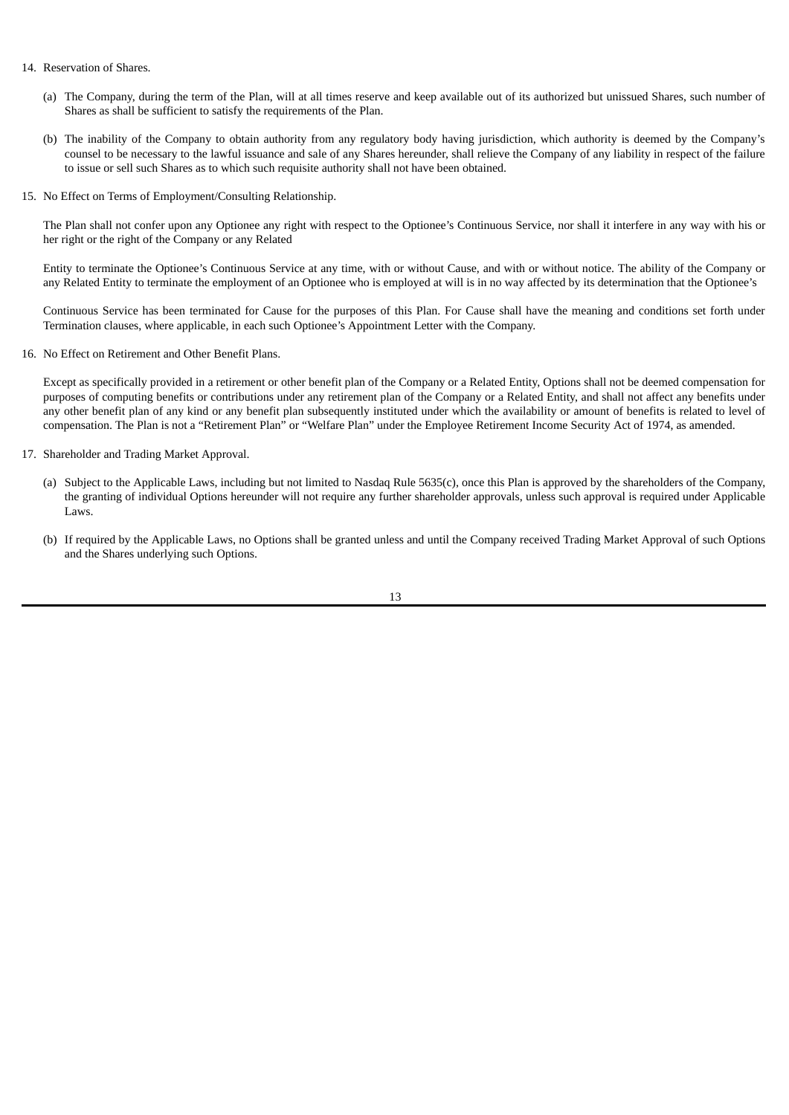#### 14. Reservation of Shares.

- (a) The Company, during the term of the Plan, will at all times reserve and keep available out of its authorized but unissued Shares, such number of Shares as shall be sufficient to satisfy the requirements of the Plan.
- (b) The inability of the Company to obtain authority from any regulatory body having jurisdiction, which authority is deemed by the Company's counsel to be necessary to the lawful issuance and sale of any Shares hereunder, shall relieve the Company of any liability in respect of the failure to issue or sell such Shares as to which such requisite authority shall not have been obtained.
- 15. No Effect on Terms of Employment/Consulting Relationship.

The Plan shall not confer upon any Optionee any right with respect to the Optionee's Continuous Service, nor shall it interfere in any way with his or her right or the right of the Company or any Related

Entity to terminate the Optionee's Continuous Service at any time, with or without Cause, and with or without notice. The ability of the Company or any Related Entity to terminate the employment of an Optionee who is employed at will is in no way affected by its determination that the Optionee's

Continuous Service has been terminated for Cause for the purposes of this Plan. For Cause shall have the meaning and conditions set forth under Termination clauses, where applicable, in each such Optionee's Appointment Letter with the Company.

16. No Effect on Retirement and Other Benefit Plans.

Except as specifically provided in a retirement or other benefit plan of the Company or a Related Entity, Options shall not be deemed compensation for purposes of computing benefits or contributions under any retirement plan of the Company or a Related Entity, and shall not affect any benefits under any other benefit plan of any kind or any benefit plan subsequently instituted under which the availability or amount of benefits is related to level of compensation. The Plan is not a "Retirement Plan" or "Welfare Plan" under the Employee Retirement Income Security Act of 1974, as amended.

- 17. Shareholder and Trading Market Approval.
	- (a) Subject to the Applicable Laws, including but not limited to Nasdaq Rule 5635(c), once this Plan is approved by the shareholders of the Company, the granting of individual Options hereunder will not require any further shareholder approvals, unless such approval is required under Applicable Laws.
	- (b) If required by the Applicable Laws, no Options shall be granted unless and until the Company received Trading Market Approval of such Options and the Shares underlying such Options.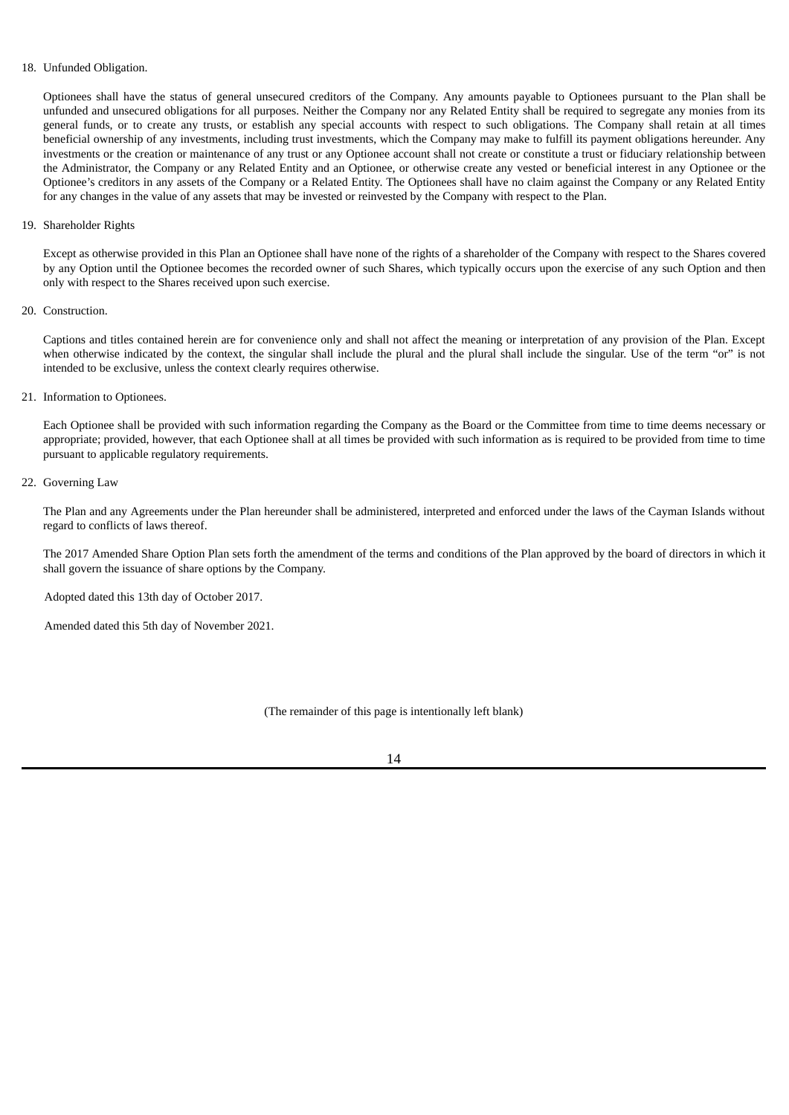#### 18. Unfunded Obligation.

Optionees shall have the status of general unsecured creditors of the Company. Any amounts payable to Optionees pursuant to the Plan shall be unfunded and unsecured obligations for all purposes. Neither the Company nor any Related Entity shall be required to segregate any monies from its general funds, or to create any trusts, or establish any special accounts with respect to such obligations. The Company shall retain at all times beneficial ownership of any investments, including trust investments, which the Company may make to fulfill its payment obligations hereunder. Any investments or the creation or maintenance of any trust or any Optionee account shall not create or constitute a trust or fiduciary relationship between the Administrator, the Company or any Related Entity and an Optionee, or otherwise create any vested or beneficial interest in any Optionee or the Optionee's creditors in any assets of the Company or a Related Entity. The Optionees shall have no claim against the Company or any Related Entity for any changes in the value of any assets that may be invested or reinvested by the Company with respect to the Plan.

#### 19. Shareholder Rights

Except as otherwise provided in this Plan an Optionee shall have none of the rights of a shareholder of the Company with respect to the Shares covered by any Option until the Optionee becomes the recorded owner of such Shares, which typically occurs upon the exercise of any such Option and then only with respect to the Shares received upon such exercise.

# 20. Construction.

Captions and titles contained herein are for convenience only and shall not affect the meaning or interpretation of any provision of the Plan. Except when otherwise indicated by the context, the singular shall include the plural and the plural shall include the singular. Use of the term "or" is not intended to be exclusive, unless the context clearly requires otherwise.

# 21. Information to Optionees.

Each Optionee shall be provided with such information regarding the Company as the Board or the Committee from time to time deems necessary or appropriate; provided, however, that each Optionee shall at all times be provided with such information as is required to be provided from time to time pursuant to applicable regulatory requirements.

#### 22. Governing Law

The Plan and any Agreements under the Plan hereunder shall be administered, interpreted and enforced under the laws of the Cayman Islands without regard to conflicts of laws thereof.

The 2017 Amended Share Option Plan sets forth the amendment of the terms and conditions of the Plan approved by the board of directors in which it shall govern the issuance of share options by the Company.

Adopted dated this 13th day of October 2017.

Amended dated this 5th day of November 2021.

(The remainder of this page is intentionally left blank)

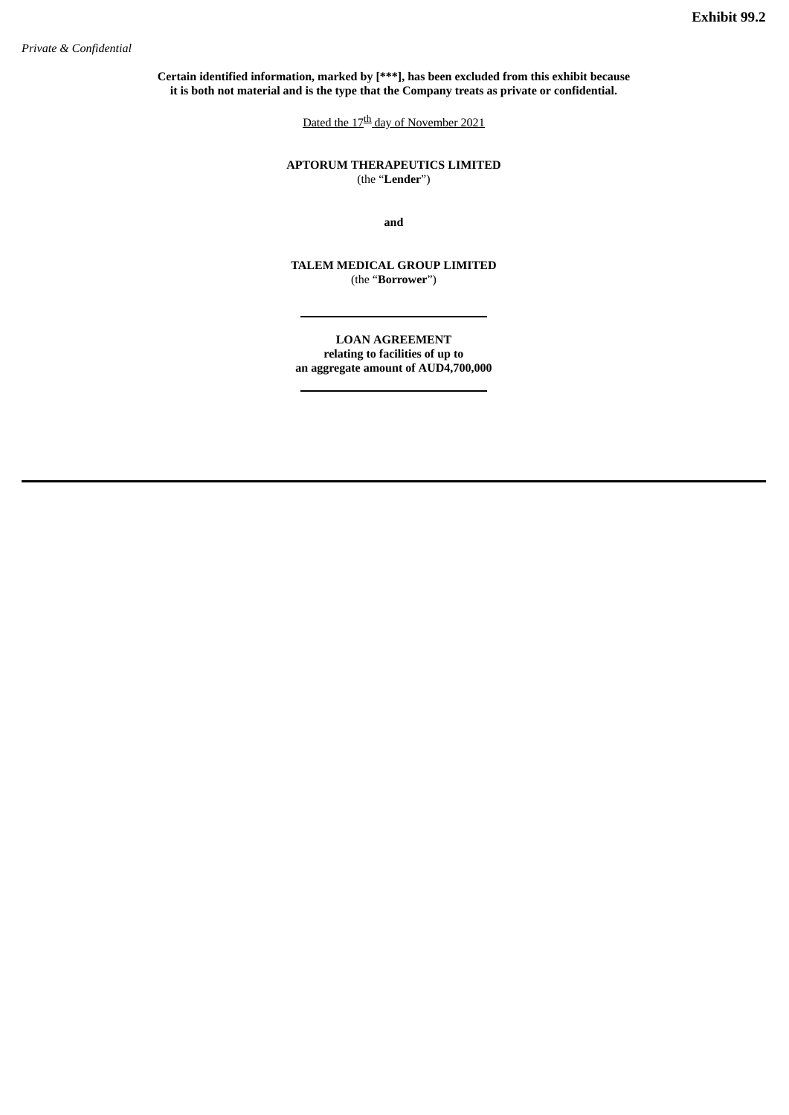<span id="page-18-0"></span>**Certain identified information, marked by [\*\*\*], has been excluded from this exhibit because it is both not material and is the type that the Company treats as private or confidential.**

Dated the 17<sup>th</sup> day of November 2021

**APTORUM THERAPEUTICS LIMITED** (the "**Lender**")

**and**

**TALEM MEDICAL GROUP LIMITED** (the "**Borrower**")

**LOAN AGREEMENT relating to facilities of up to an aggregate amount of AUD4,700,000**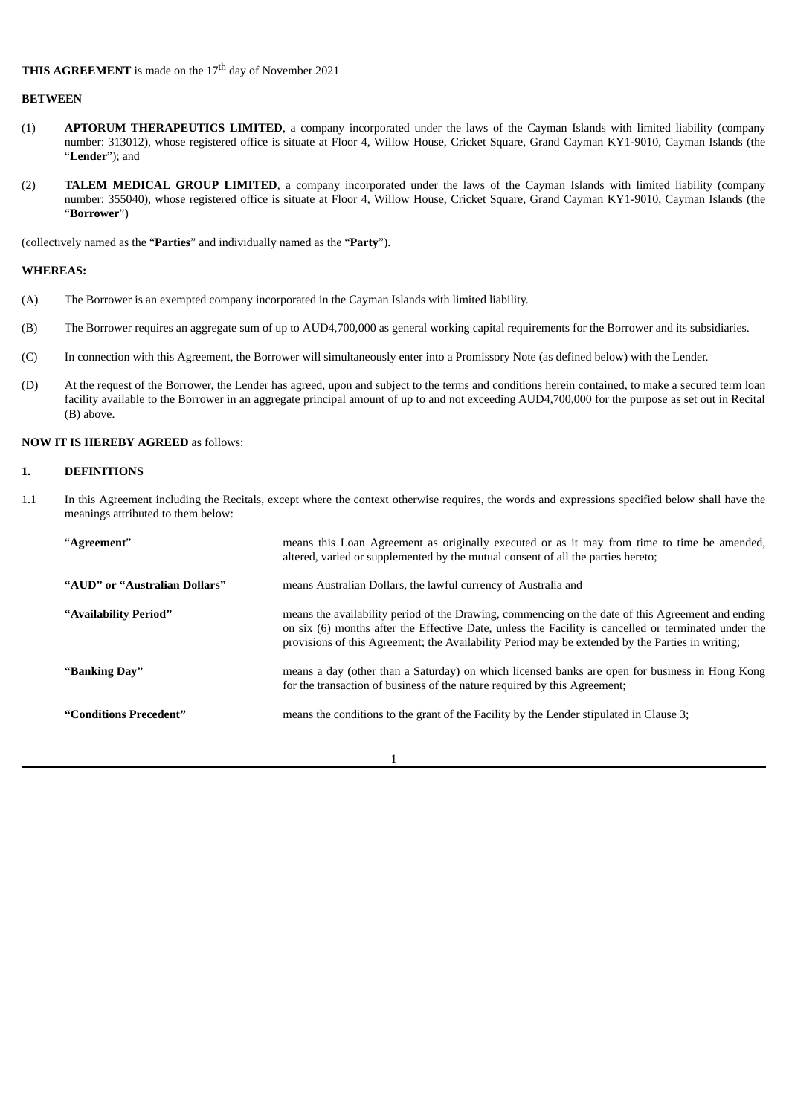# **BETWEEN**

- (1) **APTORUM THERAPEUTICS LIMITED**, a company incorporated under the laws of the Cayman Islands with limited liability (company number: 313012), whose registered office is situate at Floor 4, Willow House, Cricket Square, Grand Cayman KY1-9010, Cayman Islands (the "**Lender**"); and
- (2) **TALEM MEDICAL GROUP LIMITED**, a company incorporated under the laws of the Cayman Islands with limited liability (company number: 355040), whose registered office is situate at Floor 4, Willow House, Cricket Square, Grand Cayman KY1-9010, Cayman Islands (the "**Borrower**")

(collectively named as the "**Parties**" and individually named as the "**Party**").

## **WHEREAS:**

- (A) The Borrower is an exempted company incorporated in the Cayman Islands with limited liability.
- (B) The Borrower requires an aggregate sum of up to AUD4,700,000 as general working capital requirements for the Borrower and its subsidiaries.
- (C) In connection with this Agreement, the Borrower will simultaneously enter into a Promissory Note (as defined below) with the Lender.
- (D) At the request of the Borrower, the Lender has agreed, upon and subject to the terms and conditions herein contained, to make a secured term loan facility available to the Borrower in an aggregate principal amount of up to and not exceeding AUD4,700,000 for the purpose as set out in Recital (B) above.

# **NOW IT IS HEREBY AGREED** as follows:

# **1. DEFINITIONS**

1.1 In this Agreement including the Recitals, except where the context otherwise requires, the words and expressions specified below shall have the meanings attributed to them below:

| "Agreement"                   | means this Loan Agreement as originally executed or as it may from time to time be amended,<br>altered, varied or supplemented by the mutual consent of all the parties hereto;                                                                                                                               |
|-------------------------------|---------------------------------------------------------------------------------------------------------------------------------------------------------------------------------------------------------------------------------------------------------------------------------------------------------------|
| "AUD" or "Australian Dollars" | means Australian Dollars, the lawful currency of Australia and                                                                                                                                                                                                                                                |
| "Availability Period"         | means the availability period of the Drawing, commencing on the date of this Agreement and ending<br>on six (6) months after the Effective Date, unless the Facility is cancelled or terminated under the<br>provisions of this Agreement; the Availability Period may be extended by the Parties in writing; |
| "Banking Day"                 | means a day (other than a Saturday) on which licensed banks are open for business in Hong Kong<br>for the transaction of business of the nature required by this Agreement;                                                                                                                                   |
| "Conditions Precedent"        | means the conditions to the grant of the Facility by the Lender stipulated in Clause 3;                                                                                                                                                                                                                       |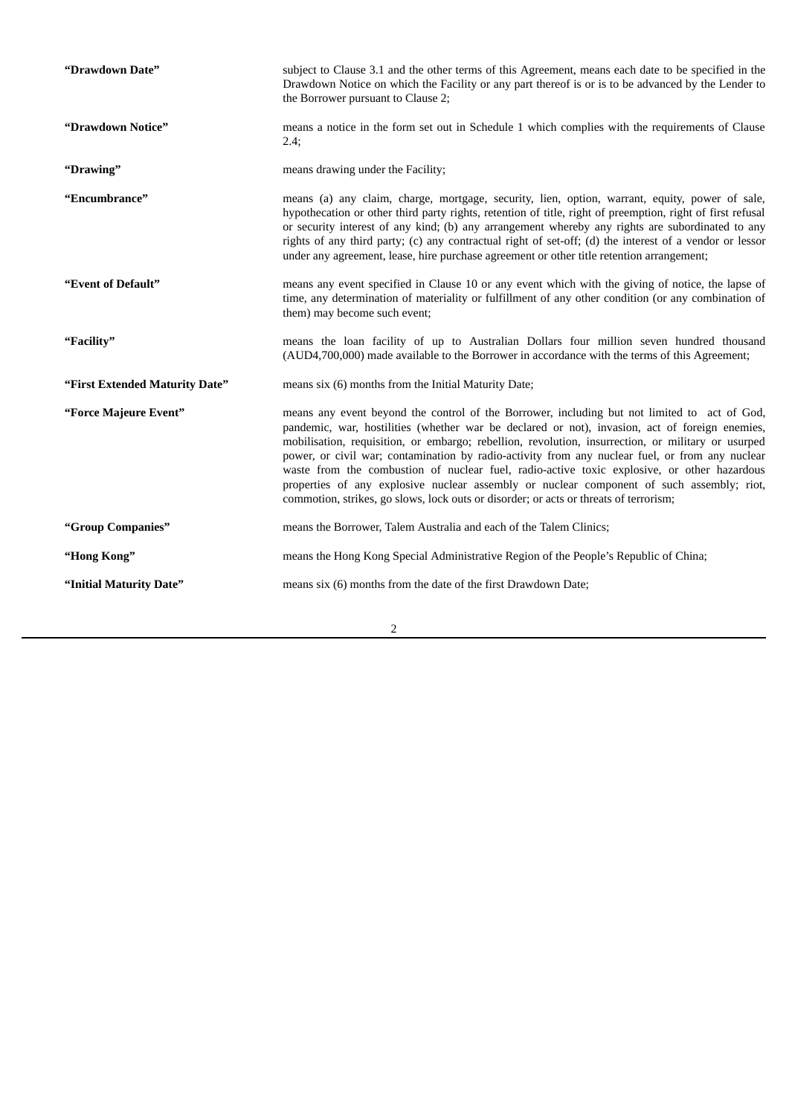| "Drawdown Date"                | subject to Clause 3.1 and the other terms of this Agreement, means each date to be specified in the<br>Drawdown Notice on which the Facility or any part thereof is or is to be advanced by the Lender to<br>the Borrower pursuant to Clause 2;                                                                                                                                                                                                                                                                                                                                                                                                                                              |
|--------------------------------|----------------------------------------------------------------------------------------------------------------------------------------------------------------------------------------------------------------------------------------------------------------------------------------------------------------------------------------------------------------------------------------------------------------------------------------------------------------------------------------------------------------------------------------------------------------------------------------------------------------------------------------------------------------------------------------------|
| "Drawdown Notice"              | means a notice in the form set out in Schedule 1 which complies with the requirements of Clause<br>$2.4$ ;                                                                                                                                                                                                                                                                                                                                                                                                                                                                                                                                                                                   |
| "Drawing"                      | means drawing under the Facility;                                                                                                                                                                                                                                                                                                                                                                                                                                                                                                                                                                                                                                                            |
| "Encumbrance"                  | means (a) any claim, charge, mortgage, security, lien, option, warrant, equity, power of sale,<br>hypothecation or other third party rights, retention of title, right of preemption, right of first refusal<br>or security interest of any kind; (b) any arrangement whereby any rights are subordinated to any<br>rights of any third party; (c) any contractual right of set-off; (d) the interest of a vendor or lessor<br>under any agreement, lease, hire purchase agreement or other title retention arrangement;                                                                                                                                                                     |
| "Event of Default"             | means any event specified in Clause 10 or any event which with the giving of notice, the lapse of<br>time, any determination of materiality or fulfillment of any other condition (or any combination of<br>them) may become such event;                                                                                                                                                                                                                                                                                                                                                                                                                                                     |
| "Facility"                     | means the loan facility of up to Australian Dollars four million seven hundred thousand<br>(AUD4,700,000) made available to the Borrower in accordance with the terms of this Agreement;                                                                                                                                                                                                                                                                                                                                                                                                                                                                                                     |
| "First Extended Maturity Date" | means six (6) months from the Initial Maturity Date;                                                                                                                                                                                                                                                                                                                                                                                                                                                                                                                                                                                                                                         |
| "Force Majeure Event"          | means any event beyond the control of the Borrower, including but not limited to act of God,<br>pandemic, war, hostilities (whether war be declared or not), invasion, act of foreign enemies,<br>mobilisation, requisition, or embargo; rebellion, revolution, insurrection, or military or usurped<br>power, or civil war; contamination by radio-activity from any nuclear fuel, or from any nuclear<br>waste from the combustion of nuclear fuel, radio-active toxic explosive, or other hazardous<br>properties of any explosive nuclear assembly or nuclear component of such assembly; riot,<br>commotion, strikes, go slows, lock outs or disorder; or acts or threats of terrorism; |
| "Group Companies"              | means the Borrower, Talem Australia and each of the Talem Clinics;                                                                                                                                                                                                                                                                                                                                                                                                                                                                                                                                                                                                                           |
| "Hong Kong"                    | means the Hong Kong Special Administrative Region of the People's Republic of China;                                                                                                                                                                                                                                                                                                                                                                                                                                                                                                                                                                                                         |
| "Initial Maturity Date"        | means six (6) months from the date of the first Drawdown Date;                                                                                                                                                                                                                                                                                                                                                                                                                                                                                                                                                                                                                               |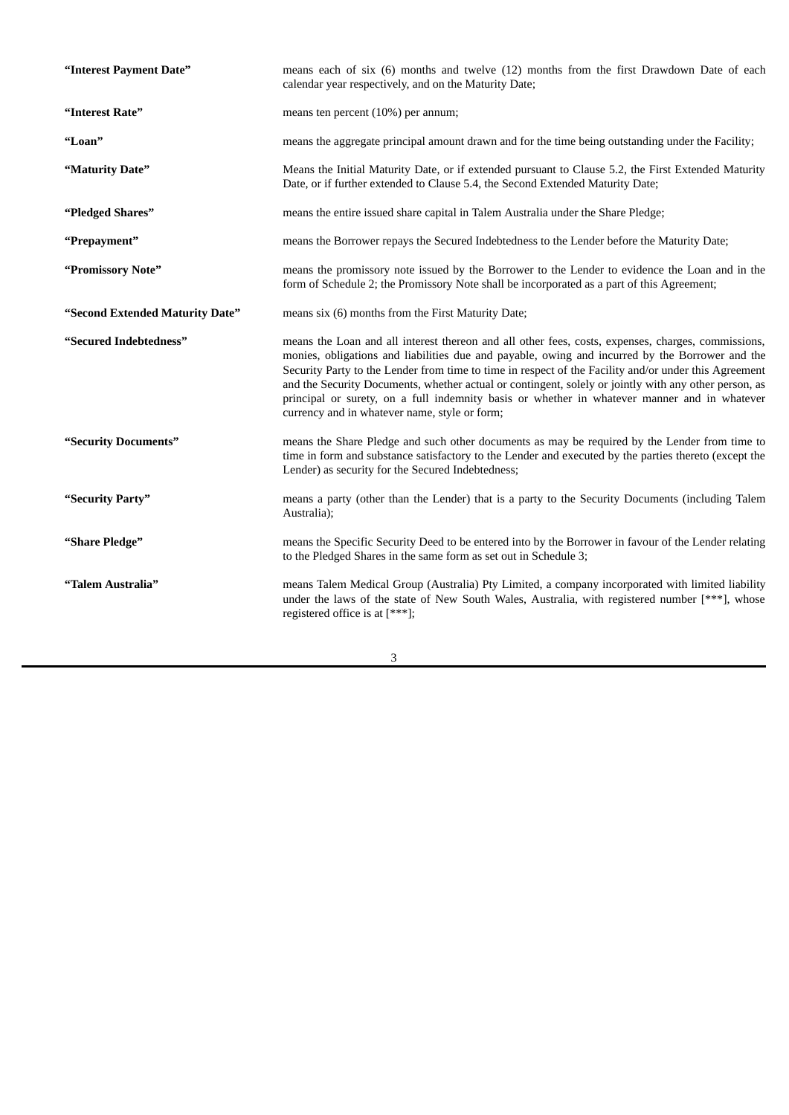| "Interest Payment Date"         | means each of six (6) months and twelve (12) months from the first Drawdown Date of each<br>calendar year respectively, and on the Maturity Date;                                                                                                                                                                                                                                                                                                                                                                                                                        |
|---------------------------------|--------------------------------------------------------------------------------------------------------------------------------------------------------------------------------------------------------------------------------------------------------------------------------------------------------------------------------------------------------------------------------------------------------------------------------------------------------------------------------------------------------------------------------------------------------------------------|
| "Interest Rate"                 | means ten percent (10%) per annum;                                                                                                                                                                                                                                                                                                                                                                                                                                                                                                                                       |
| "Loan"                          | means the aggregate principal amount drawn and for the time being outstanding under the Facility;                                                                                                                                                                                                                                                                                                                                                                                                                                                                        |
| "Maturity Date"                 | Means the Initial Maturity Date, or if extended pursuant to Clause 5.2, the First Extended Maturity<br>Date, or if further extended to Clause 5.4, the Second Extended Maturity Date;                                                                                                                                                                                                                                                                                                                                                                                    |
| "Pledged Shares"                | means the entire issued share capital in Talem Australia under the Share Pledge;                                                                                                                                                                                                                                                                                                                                                                                                                                                                                         |
| "Prepayment"                    | means the Borrower repays the Secured Indebtedness to the Lender before the Maturity Date;                                                                                                                                                                                                                                                                                                                                                                                                                                                                               |
| "Promissory Note"               | means the promissory note issued by the Borrower to the Lender to evidence the Loan and in the<br>form of Schedule 2; the Promissory Note shall be incorporated as a part of this Agreement;                                                                                                                                                                                                                                                                                                                                                                             |
| "Second Extended Maturity Date" | means six (6) months from the First Maturity Date;                                                                                                                                                                                                                                                                                                                                                                                                                                                                                                                       |
| "Secured Indebtedness"          | means the Loan and all interest thereon and all other fees, costs, expenses, charges, commissions,<br>monies, obligations and liabilities due and payable, owing and incurred by the Borrower and the<br>Security Party to the Lender from time to time in respect of the Facility and/or under this Agreement<br>and the Security Documents, whether actual or contingent, solely or jointly with any other person, as<br>principal or surety, on a full indemnity basis or whether in whatever manner and in whatever<br>currency and in whatever name, style or form; |
| "Security Documents"            | means the Share Pledge and such other documents as may be required by the Lender from time to<br>time in form and substance satisfactory to the Lender and executed by the parties thereto (except the<br>Lender) as security for the Secured Indebtedness;                                                                                                                                                                                                                                                                                                              |
| "Security Party"                | means a party (other than the Lender) that is a party to the Security Documents (including Talem<br>Australia);                                                                                                                                                                                                                                                                                                                                                                                                                                                          |
| "Share Pledge"                  | means the Specific Security Deed to be entered into by the Borrower in favour of the Lender relating<br>to the Pledged Shares in the same form as set out in Schedule 3;                                                                                                                                                                                                                                                                                                                                                                                                 |
| "Talem Australia"               | means Talem Medical Group (Australia) Pty Limited, a company incorporated with limited liability<br>under the laws of the state of New South Wales, Australia, with registered number [***], whose<br>registered office is at [***];                                                                                                                                                                                                                                                                                                                                     |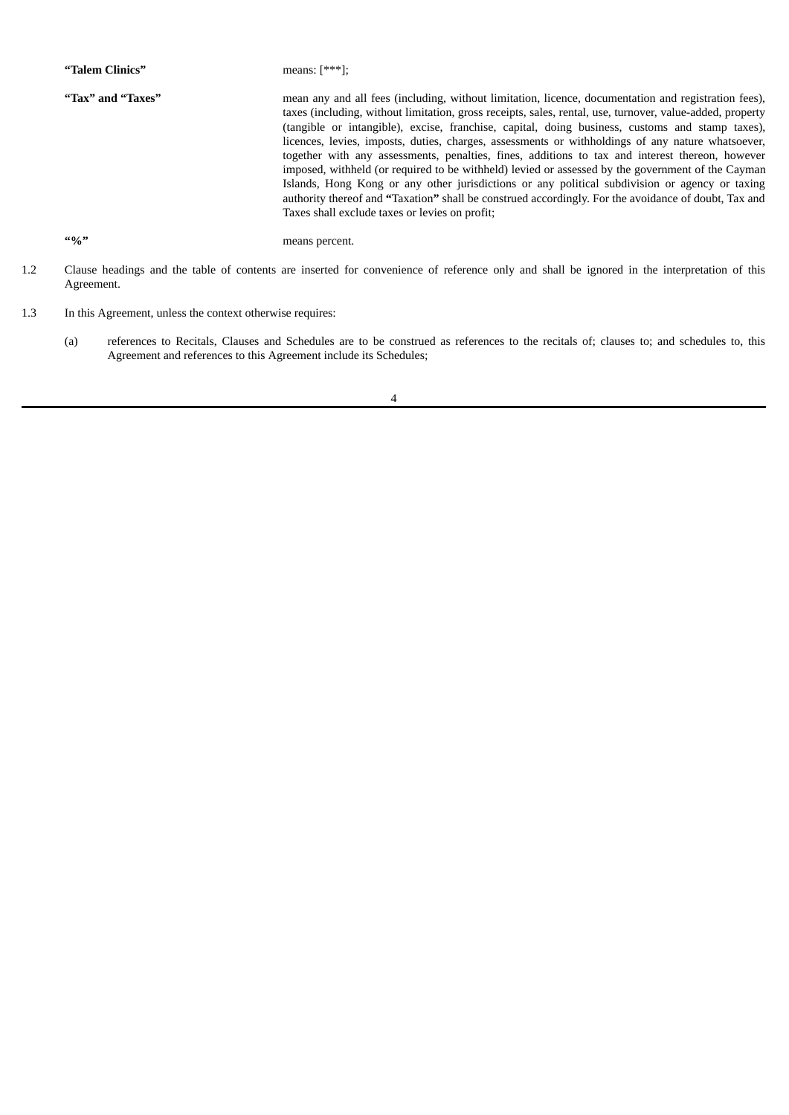| "Talem Clinics"             | means: $[***]$ :                                                                                                                                                                                                                                                                                                                                                                                                                                                                                                                                                                                                                                                                                                                                                                                                                                                                              |
|-----------------------------|-----------------------------------------------------------------------------------------------------------------------------------------------------------------------------------------------------------------------------------------------------------------------------------------------------------------------------------------------------------------------------------------------------------------------------------------------------------------------------------------------------------------------------------------------------------------------------------------------------------------------------------------------------------------------------------------------------------------------------------------------------------------------------------------------------------------------------------------------------------------------------------------------|
| "Tax" and "Taxes"           | mean any and all fees (including, without limitation, licence, documentation and registration fees),<br>taxes (including, without limitation, gross receipts, sales, rental, use, turnover, value-added, property<br>(tangible or intangible), excise, franchise, capital, doing business, customs and stamp taxes),<br>licences, levies, imposts, duties, charges, assessments or withholdings of any nature whatsoever,<br>together with any assessments, penalties, fines, additions to tax and interest thereon, however<br>imposed, withheld (or required to be withheld) levied or assessed by the government of the Cayman<br>Islands, Hong Kong or any other jurisdictions or any political subdivision or agency or taxing<br>authority thereof and "Taxation" shall be construed accordingly. For the avoidance of doubt, Tax and<br>Taxes shall exclude taxes or levies on profit; |
| $\frac{1}{2}$ $\frac{1}{2}$ | means percent.                                                                                                                                                                                                                                                                                                                                                                                                                                                                                                                                                                                                                                                                                                                                                                                                                                                                                |
|                             |                                                                                                                                                                                                                                                                                                                                                                                                                                                                                                                                                                                                                                                                                                                                                                                                                                                                                               |

- 1.2 Clause headings and the table of contents are inserted for convenience of reference only and shall be ignored in the interpretation of this Agreement.
- 1.3 In this Agreement, unless the context otherwise requires:
	- (a) references to Recitals, Clauses and Schedules are to be construed as references to the recitals of; clauses to; and schedules to, this Agreement and references to this Agreement include its Schedules;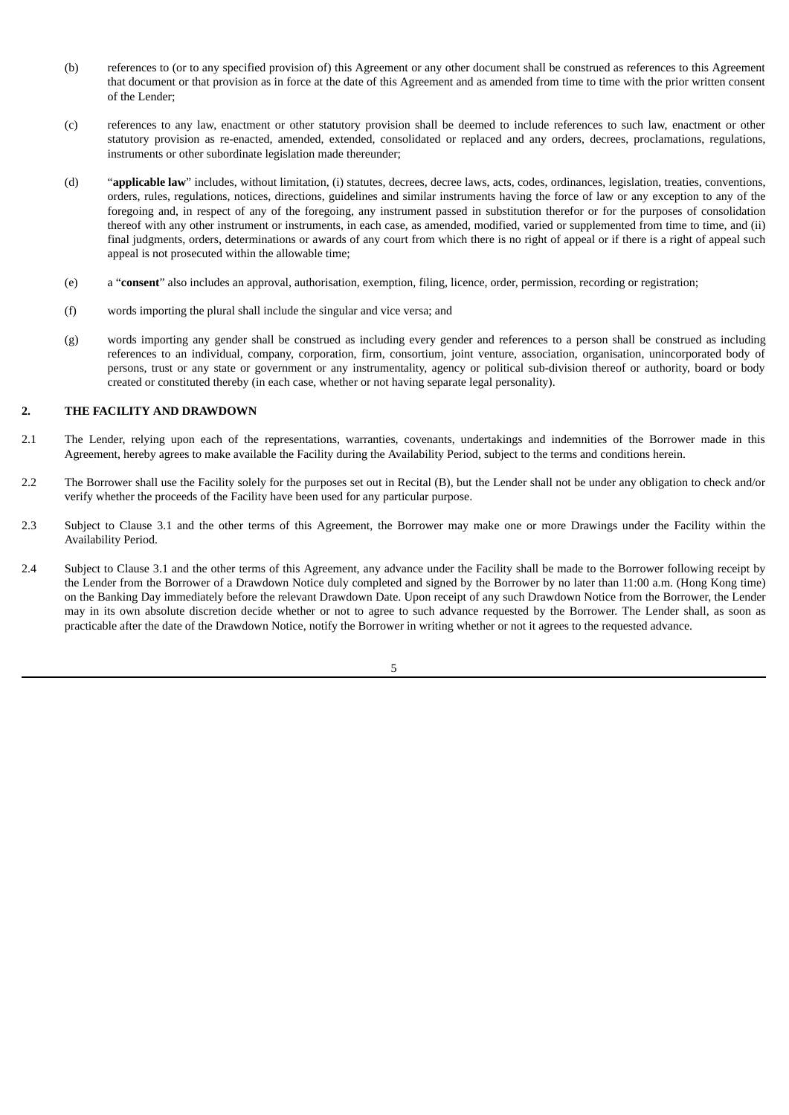- (b) references to (or to any specified provision of) this Agreement or any other document shall be construed as references to this Agreement that document or that provision as in force at the date of this Agreement and as amended from time to time with the prior written consent of the Lender;
- (c) references to any law, enactment or other statutory provision shall be deemed to include references to such law, enactment or other statutory provision as re-enacted, amended, extended, consolidated or replaced and any orders, decrees, proclamations, regulations, instruments or other subordinate legislation made thereunder;
- (d) "**applicable law**" includes, without limitation, (i) statutes, decrees, decree laws, acts, codes, ordinances, legislation, treaties, conventions, orders, rules, regulations, notices, directions, guidelines and similar instruments having the force of law or any exception to any of the foregoing and, in respect of any of the foregoing, any instrument passed in substitution therefor or for the purposes of consolidation thereof with any other instrument or instruments, in each case, as amended, modified, varied or supplemented from time to time, and (ii) final judgments, orders, determinations or awards of any court from which there is no right of appeal or if there is a right of appeal such appeal is not prosecuted within the allowable time;
- (e) a "**consent**" also includes an approval, authorisation, exemption, filing, licence, order, permission, recording or registration;
- (f) words importing the plural shall include the singular and vice versa; and
- (g) words importing any gender shall be construed as including every gender and references to a person shall be construed as including references to an individual, company, corporation, firm, consortium, joint venture, association, organisation, unincorporated body of persons, trust or any state or government or any instrumentality, agency or political sub-division thereof or authority, board or body created or constituted thereby (in each case, whether or not having separate legal personality).

# **2. THE FACILITY AND DRAWDOWN**

- 2.1 The Lender, relying upon each of the representations, warranties, covenants, undertakings and indemnities of the Borrower made in this Agreement, hereby agrees to make available the Facility during the Availability Period, subject to the terms and conditions herein.
- 2.2 The Borrower shall use the Facility solely for the purposes set out in Recital (B), but the Lender shall not be under any obligation to check and/or verify whether the proceeds of the Facility have been used for any particular purpose.
- 2.3 Subject to Clause 3.1 and the other terms of this Agreement, the Borrower may make one or more Drawings under the Facility within the Availability Period.
- 2.4 Subject to Clause 3.1 and the other terms of this Agreement, any advance under the Facility shall be made to the Borrower following receipt by the Lender from the Borrower of a Drawdown Notice duly completed and signed by the Borrower by no later than 11:00 a.m. (Hong Kong time) on the Banking Day immediately before the relevant Drawdown Date. Upon receipt of any such Drawdown Notice from the Borrower, the Lender may in its own absolute discretion decide whether or not to agree to such advance requested by the Borrower. The Lender shall, as soon as practicable after the date of the Drawdown Notice, notify the Borrower in writing whether or not it agrees to the requested advance.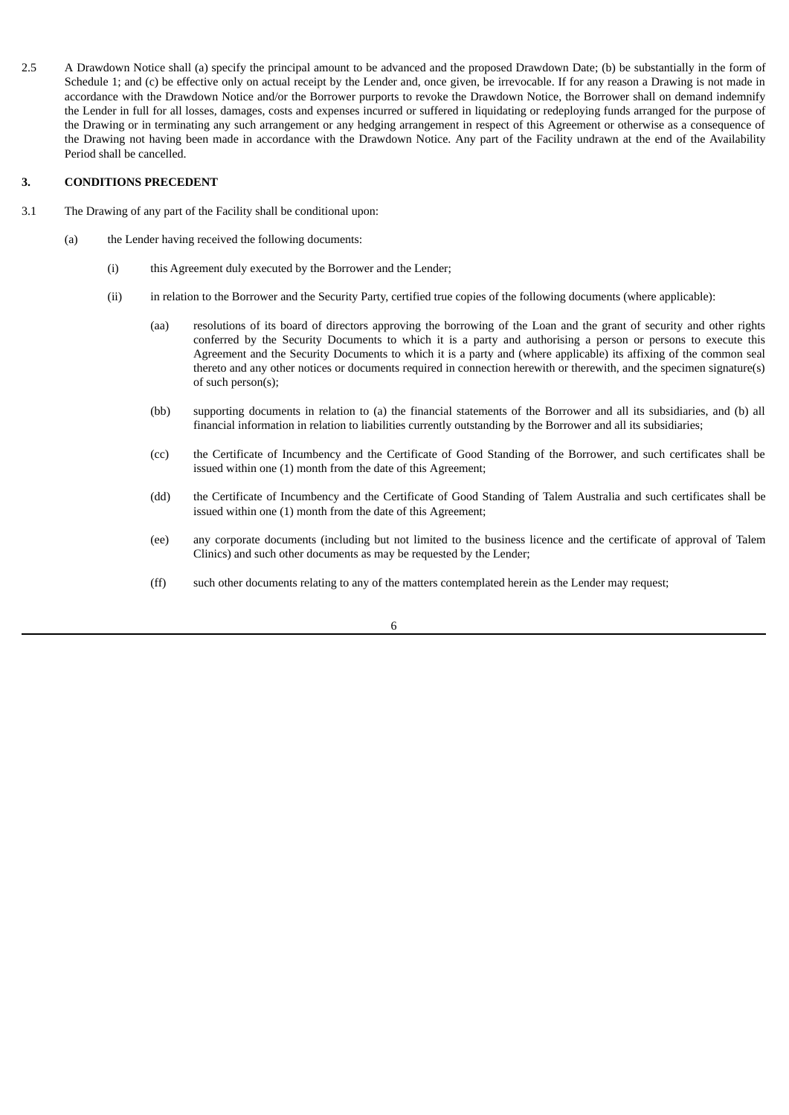2.5 A Drawdown Notice shall (a) specify the principal amount to be advanced and the proposed Drawdown Date; (b) be substantially in the form of Schedule 1; and (c) be effective only on actual receipt by the Lender and, once given, be irrevocable. If for any reason a Drawing is not made in accordance with the Drawdown Notice and/or the Borrower purports to revoke the Drawdown Notice, the Borrower shall on demand indemnify the Lender in full for all losses, damages, costs and expenses incurred or suffered in liquidating or redeploying funds arranged for the purpose of the Drawing or in terminating any such arrangement or any hedging arrangement in respect of this Agreement or otherwise as a consequence of the Drawing not having been made in accordance with the Drawdown Notice. Any part of the Facility undrawn at the end of the Availability Period shall be cancelled.

# **3. CONDITIONS PRECEDENT**

- 3.1 The Drawing of any part of the Facility shall be conditional upon:
	- (a) the Lender having received the following documents:
		- (i) this Agreement duly executed by the Borrower and the Lender;
		- (ii) in relation to the Borrower and the Security Party, certified true copies of the following documents (where applicable):
			- (aa) resolutions of its board of directors approving the borrowing of the Loan and the grant of security and other rights conferred by the Security Documents to which it is a party and authorising a person or persons to execute this Agreement and the Security Documents to which it is a party and (where applicable) its affixing of the common seal thereto and any other notices or documents required in connection herewith or therewith, and the specimen signature(s) of such person(s);
			- (bb) supporting documents in relation to (a) the financial statements of the Borrower and all its subsidiaries, and (b) all financial information in relation to liabilities currently outstanding by the Borrower and all its subsidiaries;
			- (cc) the Certificate of Incumbency and the Certificate of Good Standing of the Borrower, and such certificates shall be issued within one (1) month from the date of this Agreement;
			- (dd) the Certificate of Incumbency and the Certificate of Good Standing of Talem Australia and such certificates shall be issued within one (1) month from the date of this Agreement;
			- (ee) any corporate documents (including but not limited to the business licence and the certificate of approval of Talem Clinics) and such other documents as may be requested by the Lender;
			- (ff) such other documents relating to any of the matters contemplated herein as the Lender may request;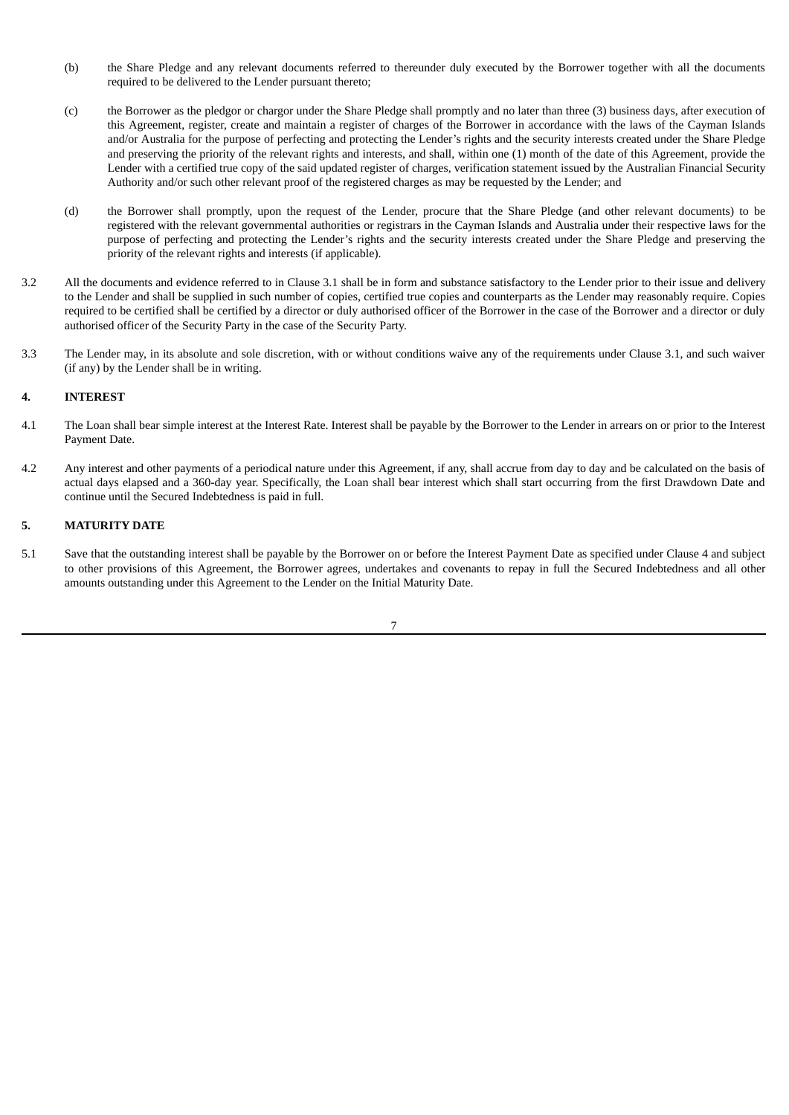- (b) the Share Pledge and any relevant documents referred to thereunder duly executed by the Borrower together with all the documents required to be delivered to the Lender pursuant thereto;
- (c) the Borrower as the pledgor or chargor under the Share Pledge shall promptly and no later than three (3) business days, after execution of this Agreement, register, create and maintain a register of charges of the Borrower in accordance with the laws of the Cayman Islands and/or Australia for the purpose of perfecting and protecting the Lender's rights and the security interests created under the Share Pledge and preserving the priority of the relevant rights and interests, and shall, within one (1) month of the date of this Agreement, provide the Lender with a certified true copy of the said updated register of charges, verification statement issued by the Australian Financial Security Authority and/or such other relevant proof of the registered charges as may be requested by the Lender; and
- (d) the Borrower shall promptly, upon the request of the Lender, procure that the Share Pledge (and other relevant documents) to be registered with the relevant governmental authorities or registrars in the Cayman Islands and Australia under their respective laws for the purpose of perfecting and protecting the Lender's rights and the security interests created under the Share Pledge and preserving the priority of the relevant rights and interests (if applicable).
- 3.2 All the documents and evidence referred to in Clause 3.1 shall be in form and substance satisfactory to the Lender prior to their issue and delivery to the Lender and shall be supplied in such number of copies, certified true copies and counterparts as the Lender may reasonably require. Copies required to be certified shall be certified by a director or duly authorised officer of the Borrower in the case of the Borrower and a director or duly authorised officer of the Security Party in the case of the Security Party.
- 3.3 The Lender may, in its absolute and sole discretion, with or without conditions waive any of the requirements under Clause 3.1, and such waiver (if any) by the Lender shall be in writing.

# **4. INTEREST**

- 4.1 The Loan shall bear simple interest at the Interest Rate. Interest shall be payable by the Borrower to the Lender in arrears on or prior to the Interest Payment Date.
- 4.2 Any interest and other payments of a periodical nature under this Agreement, if any, shall accrue from day to day and be calculated on the basis of actual days elapsed and a 360-day year. Specifically, the Loan shall bear interest which shall start occurring from the first Drawdown Date and continue until the Secured Indebtedness is paid in full.

# **5. MATURITY DATE**

5.1 Save that the outstanding interest shall be payable by the Borrower on or before the Interest Payment Date as specified under Clause 4 and subject to other provisions of this Agreement, the Borrower agrees, undertakes and covenants to repay in full the Secured Indebtedness and all other amounts outstanding under this Agreement to the Lender on the Initial Maturity Date.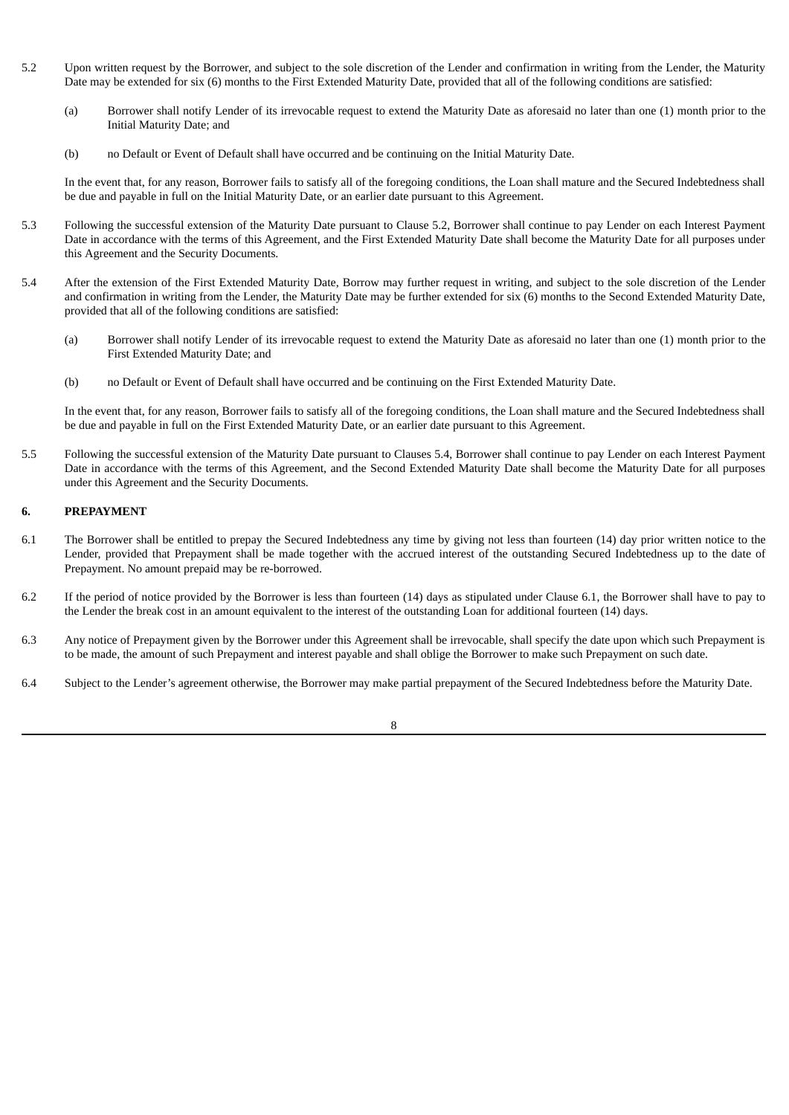- 5.2 Upon written request by the Borrower, and subject to the sole discretion of the Lender and confirmation in writing from the Lender, the Maturity Date may be extended for six (6) months to the First Extended Maturity Date, provided that all of the following conditions are satisfied:
	- (a) Borrower shall notify Lender of its irrevocable request to extend the Maturity Date as aforesaid no later than one (1) month prior to the Initial Maturity Date; and
	- (b) no Default or Event of Default shall have occurred and be continuing on the Initial Maturity Date.

In the event that, for any reason, Borrower fails to satisfy all of the foregoing conditions, the Loan shall mature and the Secured Indebtedness shall be due and payable in full on the Initial Maturity Date, or an earlier date pursuant to this Agreement.

- 5.3 Following the successful extension of the Maturity Date pursuant to Clause 5.2, Borrower shall continue to pay Lender on each Interest Payment Date in accordance with the terms of this Agreement, and the First Extended Maturity Date shall become the Maturity Date for all purposes under this Agreement and the Security Documents.
- 5.4 After the extension of the First Extended Maturity Date, Borrow may further request in writing, and subject to the sole discretion of the Lender and confirmation in writing from the Lender, the Maturity Date may be further extended for six (6) months to the Second Extended Maturity Date, provided that all of the following conditions are satisfied:
	- (a) Borrower shall notify Lender of its irrevocable request to extend the Maturity Date as aforesaid no later than one (1) month prior to the First Extended Maturity Date; and
	- (b) no Default or Event of Default shall have occurred and be continuing on the First Extended Maturity Date.

In the event that, for any reason, Borrower fails to satisfy all of the foregoing conditions, the Loan shall mature and the Secured Indebtedness shall be due and payable in full on the First Extended Maturity Date, or an earlier date pursuant to this Agreement.

5.5 Following the successful extension of the Maturity Date pursuant to Clauses 5.4, Borrower shall continue to pay Lender on each Interest Payment Date in accordance with the terms of this Agreement, and the Second Extended Maturity Date shall become the Maturity Date for all purposes under this Agreement and the Security Documents.

# **6. PREPAYMENT**

- 6.1 The Borrower shall be entitled to prepay the Secured Indebtedness any time by giving not less than fourteen (14) day prior written notice to the Lender, provided that Prepayment shall be made together with the accrued interest of the outstanding Secured Indebtedness up to the date of Prepayment. No amount prepaid may be re-borrowed.
- 6.2 If the period of notice provided by the Borrower is less than fourteen (14) days as stipulated under Clause 6.1, the Borrower shall have to pay to the Lender the break cost in an amount equivalent to the interest of the outstanding Loan for additional fourteen (14) days.
- 6.3 Any notice of Prepayment given by the Borrower under this Agreement shall be irrevocable, shall specify the date upon which such Prepayment is to be made, the amount of such Prepayment and interest payable and shall oblige the Borrower to make such Prepayment on such date.
- 6.4 Subject to the Lender's agreement otherwise, the Borrower may make partial prepayment of the Secured Indebtedness before the Maturity Date.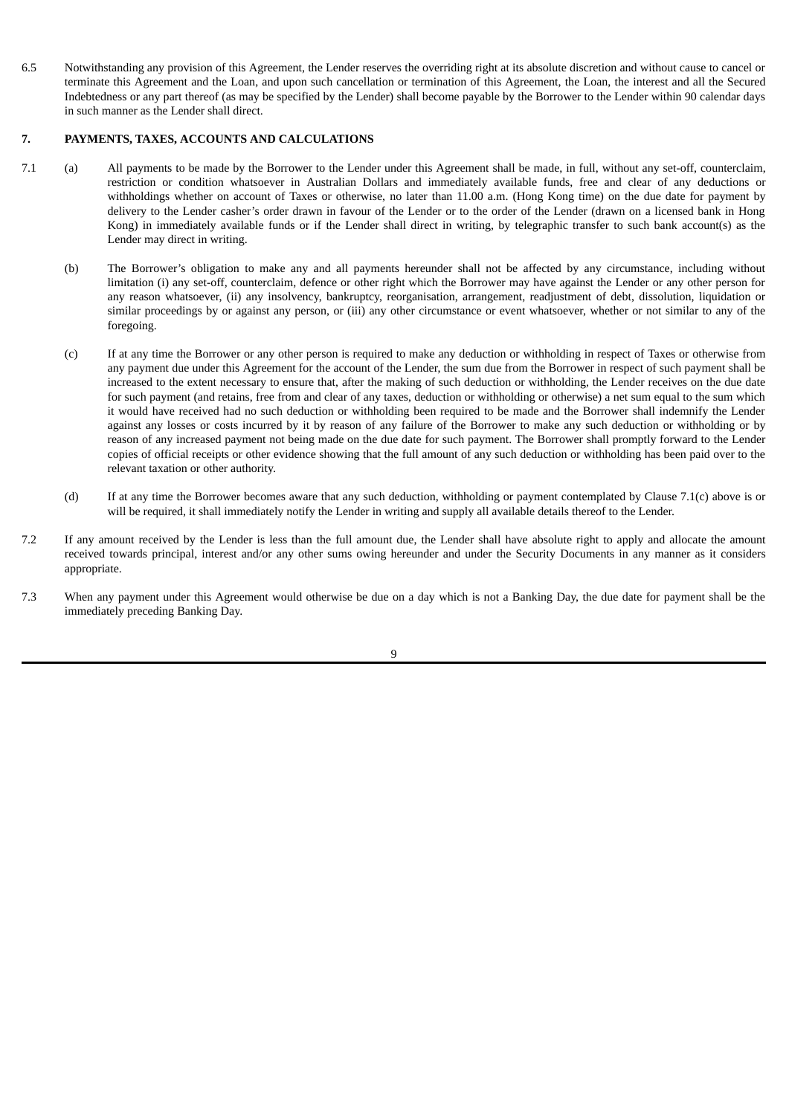6.5 Notwithstanding any provision of this Agreement, the Lender reserves the overriding right at its absolute discretion and without cause to cancel or terminate this Agreement and the Loan, and upon such cancellation or termination of this Agreement, the Loan, the interest and all the Secured Indebtedness or any part thereof (as may be specified by the Lender) shall become payable by the Borrower to the Lender within 90 calendar days in such manner as the Lender shall direct.

# **7. PAYMENTS, TAXES, ACCOUNTS AND CALCULATIONS**

- 7.1 (a) All payments to be made by the Borrower to the Lender under this Agreement shall be made, in full, without any set-off, counterclaim, restriction or condition whatsoever in Australian Dollars and immediately available funds, free and clear of any deductions or withholdings whether on account of Taxes or otherwise, no later than 11.00 a.m. (Hong Kong time) on the due date for payment by delivery to the Lender casher's order drawn in favour of the Lender or to the order of the Lender (drawn on a licensed bank in Hong Kong) in immediately available funds or if the Lender shall direct in writing, by telegraphic transfer to such bank account(s) as the Lender may direct in writing.
	- (b) The Borrower's obligation to make any and all payments hereunder shall not be affected by any circumstance, including without limitation (i) any set-off, counterclaim, defence or other right which the Borrower may have against the Lender or any other person for any reason whatsoever, (ii) any insolvency, bankruptcy, reorganisation, arrangement, readjustment of debt, dissolution, liquidation or similar proceedings by or against any person, or (iii) any other circumstance or event whatsoever, whether or not similar to any of the foregoing.
	- (c) If at any time the Borrower or any other person is required to make any deduction or withholding in respect of Taxes or otherwise from any payment due under this Agreement for the account of the Lender, the sum due from the Borrower in respect of such payment shall be increased to the extent necessary to ensure that, after the making of such deduction or withholding, the Lender receives on the due date for such payment (and retains, free from and clear of any taxes, deduction or withholding or otherwise) a net sum equal to the sum which it would have received had no such deduction or withholding been required to be made and the Borrower shall indemnify the Lender against any losses or costs incurred by it by reason of any failure of the Borrower to make any such deduction or withholding or by reason of any increased payment not being made on the due date for such payment. The Borrower shall promptly forward to the Lender copies of official receipts or other evidence showing that the full amount of any such deduction or withholding has been paid over to the relevant taxation or other authority.
	- (d) If at any time the Borrower becomes aware that any such deduction, withholding or payment contemplated by Clause 7.1(c) above is or will be required, it shall immediately notify the Lender in writing and supply all available details thereof to the Lender.
- 7.2 If any amount received by the Lender is less than the full amount due, the Lender shall have absolute right to apply and allocate the amount received towards principal, interest and/or any other sums owing hereunder and under the Security Documents in any manner as it considers appropriate.
- 7.3 When any payment under this Agreement would otherwise be due on a day which is not a Banking Day, the due date for payment shall be the immediately preceding Banking Day.

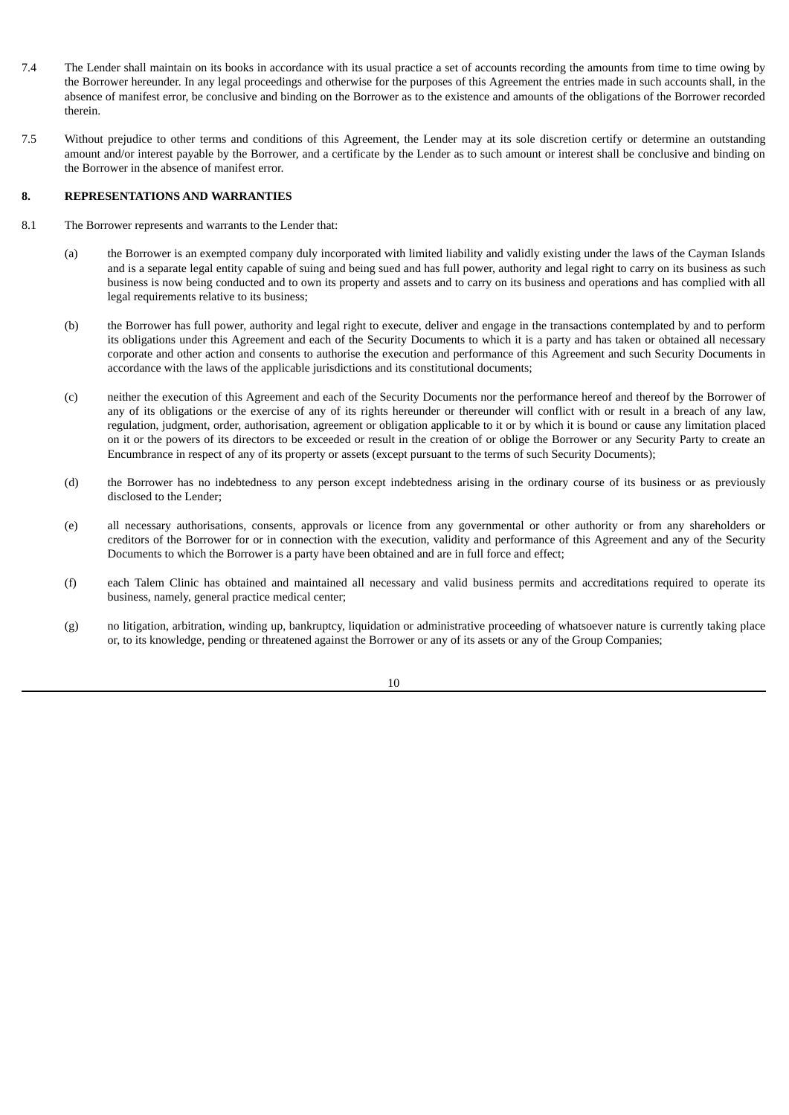- 7.4 The Lender shall maintain on its books in accordance with its usual practice a set of accounts recording the amounts from time to time owing by the Borrower hereunder. In any legal proceedings and otherwise for the purposes of this Agreement the entries made in such accounts shall, in the absence of manifest error, be conclusive and binding on the Borrower as to the existence and amounts of the obligations of the Borrower recorded therein.
- 7.5 Without prejudice to other terms and conditions of this Agreement, the Lender may at its sole discretion certify or determine an outstanding amount and/or interest payable by the Borrower, and a certificate by the Lender as to such amount or interest shall be conclusive and binding on the Borrower in the absence of manifest error.

#### **8. REPRESENTATIONS AND WARRANTIES**

- 8.1 The Borrower represents and warrants to the Lender that:
	- (a) the Borrower is an exempted company duly incorporated with limited liability and validly existing under the laws of the Cayman Islands and is a separate legal entity capable of suing and being sued and has full power, authority and legal right to carry on its business as such business is now being conducted and to own its property and assets and to carry on its business and operations and has complied with all legal requirements relative to its business;
	- (b) the Borrower has full power, authority and legal right to execute, deliver and engage in the transactions contemplated by and to perform its obligations under this Agreement and each of the Security Documents to which it is a party and has taken or obtained all necessary corporate and other action and consents to authorise the execution and performance of this Agreement and such Security Documents in accordance with the laws of the applicable jurisdictions and its constitutional documents;
	- (c) neither the execution of this Agreement and each of the Security Documents nor the performance hereof and thereof by the Borrower of any of its obligations or the exercise of any of its rights hereunder or thereunder will conflict with or result in a breach of any law, regulation, judgment, order, authorisation, agreement or obligation applicable to it or by which it is bound or cause any limitation placed on it or the powers of its directors to be exceeded or result in the creation of or oblige the Borrower or any Security Party to create an Encumbrance in respect of any of its property or assets (except pursuant to the terms of such Security Documents);
	- (d) the Borrower has no indebtedness to any person except indebtedness arising in the ordinary course of its business or as previously disclosed to the Lender;
	- (e) all necessary authorisations, consents, approvals or licence from any governmental or other authority or from any shareholders or creditors of the Borrower for or in connection with the execution, validity and performance of this Agreement and any of the Security Documents to which the Borrower is a party have been obtained and are in full force and effect;
	- (f) each Talem Clinic has obtained and maintained all necessary and valid business permits and accreditations required to operate its business, namely, general practice medical center;
	- (g) no litigation, arbitration, winding up, bankruptcy, liquidation or administrative proceeding of whatsoever nature is currently taking place or, to its knowledge, pending or threatened against the Borrower or any of its assets or any of the Group Companies;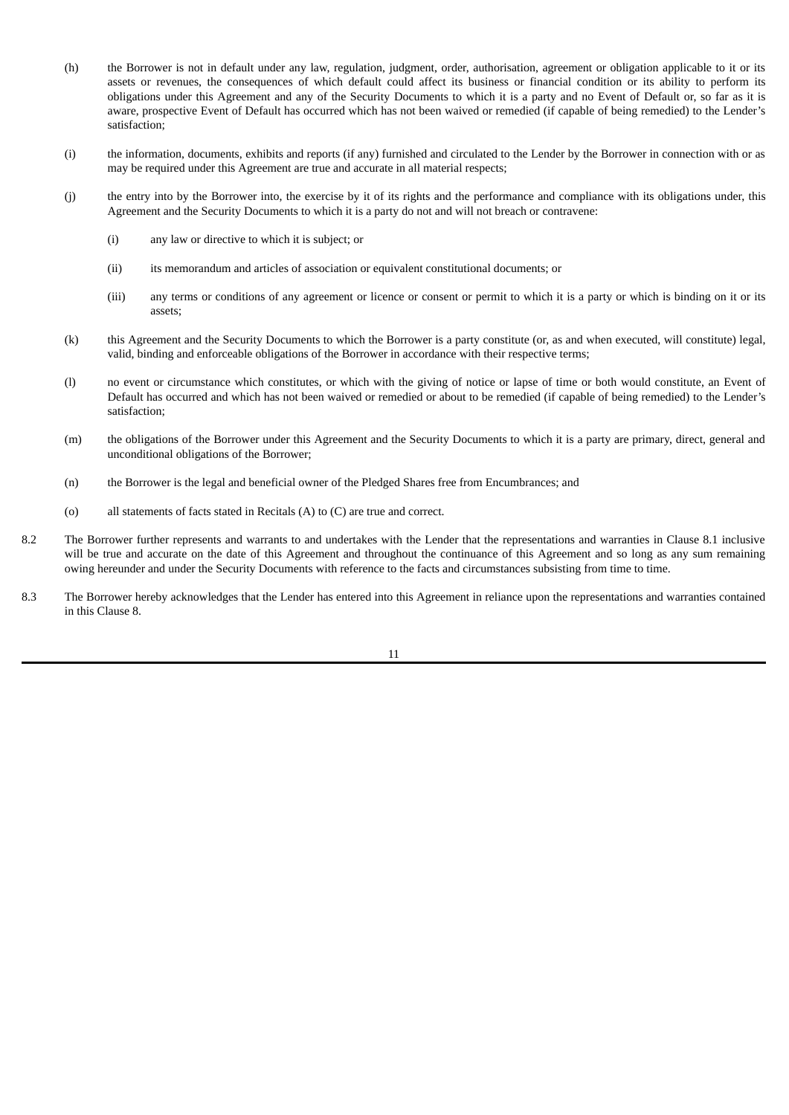- (h) the Borrower is not in default under any law, regulation, judgment, order, authorisation, agreement or obligation applicable to it or its assets or revenues, the consequences of which default could affect its business or financial condition or its ability to perform its obligations under this Agreement and any of the Security Documents to which it is a party and no Event of Default or, so far as it is aware, prospective Event of Default has occurred which has not been waived or remedied (if capable of being remedied) to the Lender's satisfaction;
- (i) the information, documents, exhibits and reports (if any) furnished and circulated to the Lender by the Borrower in connection with or as may be required under this Agreement are true and accurate in all material respects;
- (j) the entry into by the Borrower into, the exercise by it of its rights and the performance and compliance with its obligations under, this Agreement and the Security Documents to which it is a party do not and will not breach or contravene:
	- (i) any law or directive to which it is subject; or
	- (ii) its memorandum and articles of association or equivalent constitutional documents; or
	- (iii) any terms or conditions of any agreement or licence or consent or permit to which it is a party or which is binding on it or its assets;
- (k) this Agreement and the Security Documents to which the Borrower is a party constitute (or, as and when executed, will constitute) legal, valid, binding and enforceable obligations of the Borrower in accordance with their respective terms;
- (l) no event or circumstance which constitutes, or which with the giving of notice or lapse of time or both would constitute, an Event of Default has occurred and which has not been waived or remedied or about to be remedied (if capable of being remedied) to the Lender's satisfaction;
- (m) the obligations of the Borrower under this Agreement and the Security Documents to which it is a party are primary, direct, general and unconditional obligations of the Borrower;
- (n) the Borrower is the legal and beneficial owner of the Pledged Shares free from Encumbrances; and
- (o) all statements of facts stated in Recitals (A) to (C) are true and correct.
- 8.2 The Borrower further represents and warrants to and undertakes with the Lender that the representations and warranties in Clause 8.1 inclusive will be true and accurate on the date of this Agreement and throughout the continuance of this Agreement and so long as any sum remaining owing hereunder and under the Security Documents with reference to the facts and circumstances subsisting from time to time.
- 8.3 The Borrower hereby acknowledges that the Lender has entered into this Agreement in reliance upon the representations and warranties contained in this Clause 8.

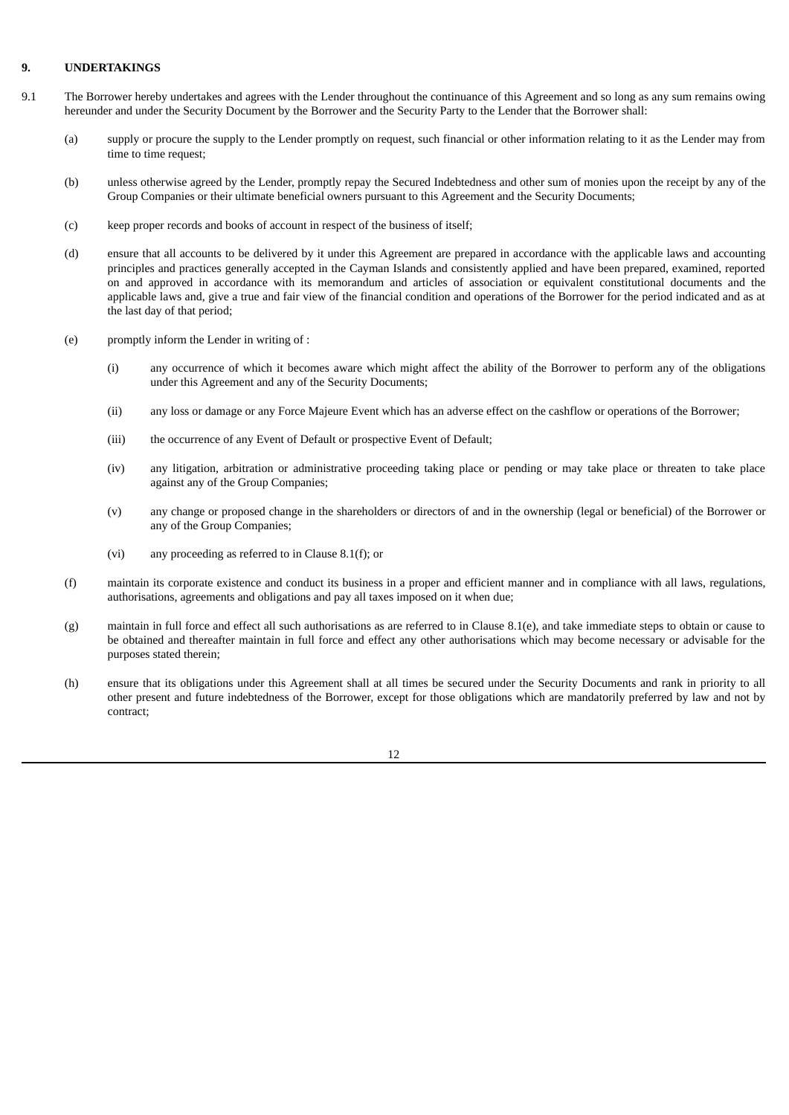# **9. UNDERTAKINGS**

- 9.1 The Borrower hereby undertakes and agrees with the Lender throughout the continuance of this Agreement and so long as any sum remains owing hereunder and under the Security Document by the Borrower and the Security Party to the Lender that the Borrower shall:
	- (a) supply or procure the supply to the Lender promptly on request, such financial or other information relating to it as the Lender may from time to time request;
	- (b) unless otherwise agreed by the Lender, promptly repay the Secured Indebtedness and other sum of monies upon the receipt by any of the Group Companies or their ultimate beneficial owners pursuant to this Agreement and the Security Documents;
	- (c) keep proper records and books of account in respect of the business of itself;
	- (d) ensure that all accounts to be delivered by it under this Agreement are prepared in accordance with the applicable laws and accounting principles and practices generally accepted in the Cayman Islands and consistently applied and have been prepared, examined, reported on and approved in accordance with its memorandum and articles of association or equivalent constitutional documents and the applicable laws and, give a true and fair view of the financial condition and operations of the Borrower for the period indicated and as at the last day of that period;
	- (e) promptly inform the Lender in writing of :
		- (i) any occurrence of which it becomes aware which might affect the ability of the Borrower to perform any of the obligations under this Agreement and any of the Security Documents;
		- (ii) any loss or damage or any Force Majeure Event which has an adverse effect on the cashflow or operations of the Borrower;
		- (iii) the occurrence of any Event of Default or prospective Event of Default;
		- (iv) any litigation, arbitration or administrative proceeding taking place or pending or may take place or threaten to take place against any of the Group Companies;
		- (v) any change or proposed change in the shareholders or directors of and in the ownership (legal or beneficial) of the Borrower or any of the Group Companies;
		- (vi) any proceeding as referred to in Clause 8.1(f); or
	- (f) maintain its corporate existence and conduct its business in a proper and efficient manner and in compliance with all laws, regulations, authorisations, agreements and obligations and pay all taxes imposed on it when due;
	- (g) maintain in full force and effect all such authorisations as are referred to in Clause 8.1(e), and take immediate steps to obtain or cause to be obtained and thereafter maintain in full force and effect any other authorisations which may become necessary or advisable for the purposes stated therein;
	- (h) ensure that its obligations under this Agreement shall at all times be secured under the Security Documents and rank in priority to all other present and future indebtedness of the Borrower, except for those obligations which are mandatorily preferred by law and not by contract;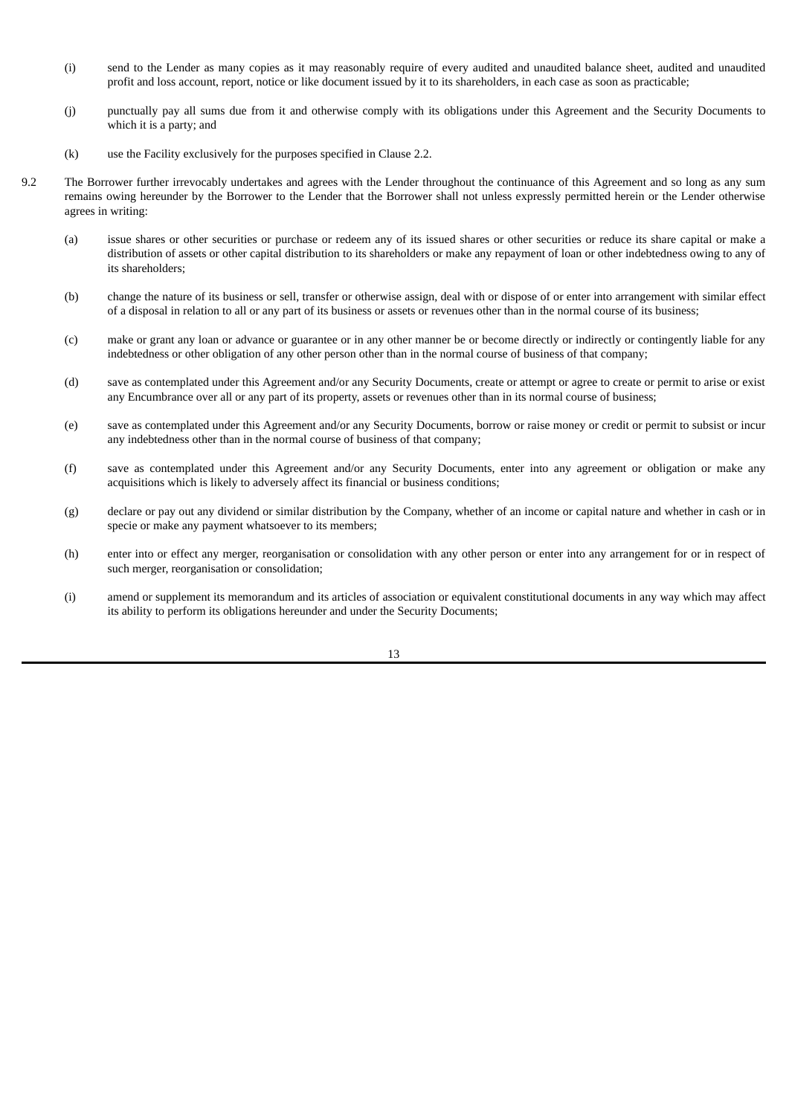- (i) send to the Lender as many copies as it may reasonably require of every audited and unaudited balance sheet, audited and unaudited profit and loss account, report, notice or like document issued by it to its shareholders, in each case as soon as practicable;
- (j) punctually pay all sums due from it and otherwise comply with its obligations under this Agreement and the Security Documents to which it is a party; and
- (k) use the Facility exclusively for the purposes specified in Clause 2.2.
- 9.2 The Borrower further irrevocably undertakes and agrees with the Lender throughout the continuance of this Agreement and so long as any sum remains owing hereunder by the Borrower to the Lender that the Borrower shall not unless expressly permitted herein or the Lender otherwise agrees in writing:
	- (a) issue shares or other securities or purchase or redeem any of its issued shares or other securities or reduce its share capital or make a distribution of assets or other capital distribution to its shareholders or make any repayment of loan or other indebtedness owing to any of its shareholders;
	- (b) change the nature of its business or sell, transfer or otherwise assign, deal with or dispose of or enter into arrangement with similar effect of a disposal in relation to all or any part of its business or assets or revenues other than in the normal course of its business;
	- (c) make or grant any loan or advance or guarantee or in any other manner be or become directly or indirectly or contingently liable for any indebtedness or other obligation of any other person other than in the normal course of business of that company;
	- (d) save as contemplated under this Agreement and/or any Security Documents, create or attempt or agree to create or permit to arise or exist any Encumbrance over all or any part of its property, assets or revenues other than in its normal course of business;
	- (e) save as contemplated under this Agreement and/or any Security Documents, borrow or raise money or credit or permit to subsist or incur any indebtedness other than in the normal course of business of that company;
	- (f) save as contemplated under this Agreement and/or any Security Documents, enter into any agreement or obligation or make any acquisitions which is likely to adversely affect its financial or business conditions;
	- (g) declare or pay out any dividend or similar distribution by the Company, whether of an income or capital nature and whether in cash or in specie or make any payment whatsoever to its members;
	- (h) enter into or effect any merger, reorganisation or consolidation with any other person or enter into any arrangement for or in respect of such merger, reorganisation or consolidation;
	- (i) amend or supplement its memorandum and its articles of association or equivalent constitutional documents in any way which may affect its ability to perform its obligations hereunder and under the Security Documents;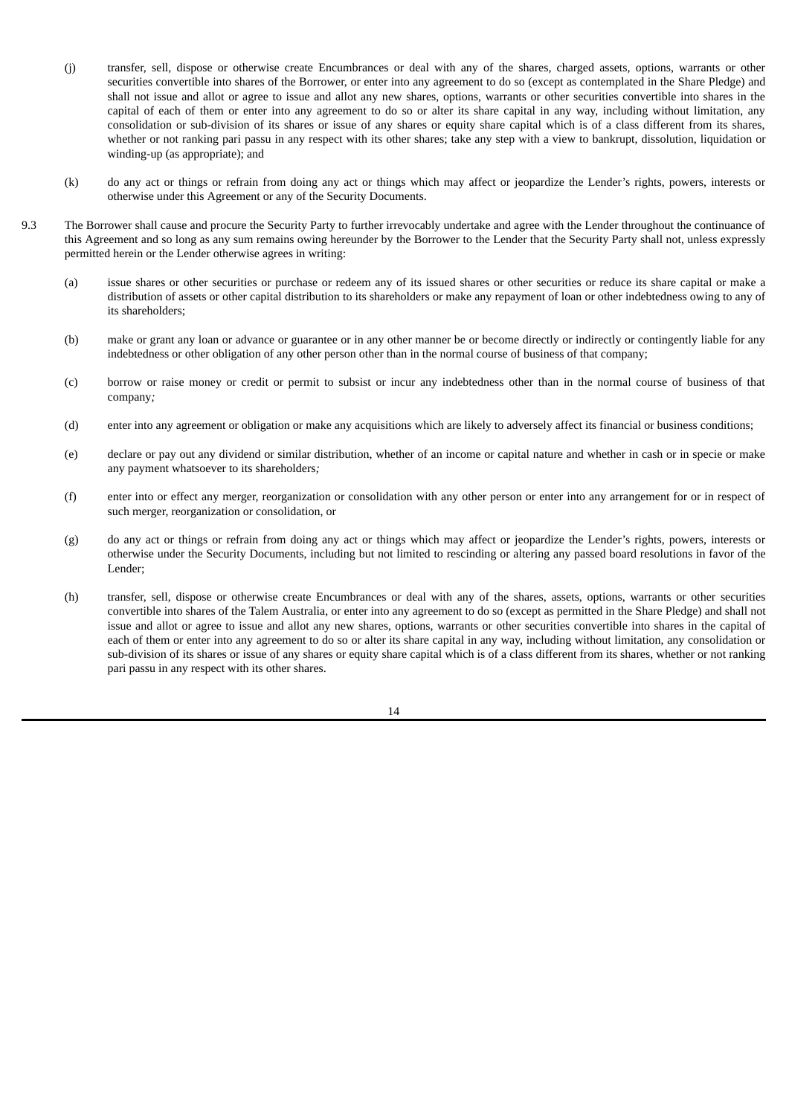- (j) transfer, sell, dispose or otherwise create Encumbrances or deal with any of the shares, charged assets, options, warrants or other securities convertible into shares of the Borrower, or enter into any agreement to do so (except as contemplated in the Share Pledge) and shall not issue and allot or agree to issue and allot any new shares, options, warrants or other securities convertible into shares in the capital of each of them or enter into any agreement to do so or alter its share capital in any way, including without limitation, any consolidation or sub-division of its shares or issue of any shares or equity share capital which is of a class different from its shares, whether or not ranking pari passu in any respect with its other shares; take any step with a view to bankrupt, dissolution, liquidation or winding-up (as appropriate); and
- (k) do any act or things or refrain from doing any act or things which may affect or jeopardize the Lender's rights, powers, interests or otherwise under this Agreement or any of the Security Documents.
- 9.3 The Borrower shall cause and procure the Security Party to further irrevocably undertake and agree with the Lender throughout the continuance of this Agreement and so long as any sum remains owing hereunder by the Borrower to the Lender that the Security Party shall not, unless expressly permitted herein or the Lender otherwise agrees in writing:
	- (a) issue shares or other securities or purchase or redeem any of its issued shares or other securities or reduce its share capital or make a distribution of assets or other capital distribution to its shareholders or make any repayment of loan or other indebtedness owing to any of its shareholders;
	- (b) make or grant any loan or advance or guarantee or in any other manner be or become directly or indirectly or contingently liable for any indebtedness or other obligation of any other person other than in the normal course of business of that company;
	- (c) borrow or raise money or credit or permit to subsist or incur any indebtedness other than in the normal course of business of that company*;*
	- (d) enter into any agreement or obligation or make any acquisitions which are likely to adversely affect its financial or business conditions;
	- (e) declare or pay out any dividend or similar distribution, whether of an income or capital nature and whether in cash or in specie or make any payment whatsoever to its shareholders*;*
	- (f) enter into or effect any merger, reorganization or consolidation with any other person or enter into any arrangement for or in respect of such merger, reorganization or consolidation, or
	- (g) do any act or things or refrain from doing any act or things which may affect or jeopardize the Lender's rights, powers, interests or otherwise under the Security Documents, including but not limited to rescinding or altering any passed board resolutions in favor of the Lender;
	- (h) transfer, sell, dispose or otherwise create Encumbrances or deal with any of the shares, assets, options, warrants or other securities convertible into shares of the Talem Australia, or enter into any agreement to do so (except as permitted in the Share Pledge) and shall not issue and allot or agree to issue and allot any new shares, options, warrants or other securities convertible into shares in the capital of each of them or enter into any agreement to do so or alter its share capital in any way, including without limitation, any consolidation or sub-division of its shares or issue of any shares or equity share capital which is of a class different from its shares, whether or not ranking pari passu in any respect with its other shares.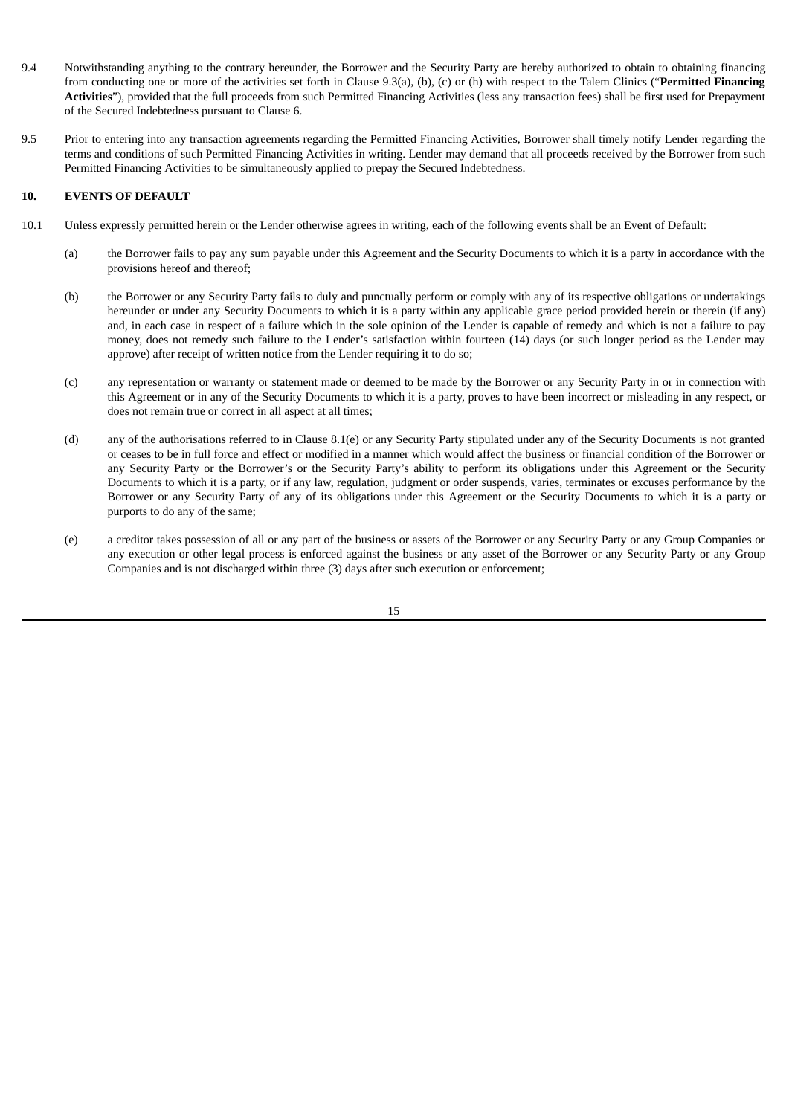- 9.4 Notwithstanding anything to the contrary hereunder, the Borrower and the Security Party are hereby authorized to obtain to obtaining financing from conducting one or more of the activities set forth in Clause 9.3(a), (b), (c) or (h) with respect to the Talem Clinics ("**Permitted Financing Activities**"), provided that the full proceeds from such Permitted Financing Activities (less any transaction fees) shall be first used for Prepayment of the Secured Indebtedness pursuant to Clause 6.
- 9.5 Prior to entering into any transaction agreements regarding the Permitted Financing Activities, Borrower shall timely notify Lender regarding the terms and conditions of such Permitted Financing Activities in writing. Lender may demand that all proceeds received by the Borrower from such Permitted Financing Activities to be simultaneously applied to prepay the Secured Indebtedness.

## **10. EVENTS OF DEFAULT**

- 10.1 Unless expressly permitted herein or the Lender otherwise agrees in writing, each of the following events shall be an Event of Default:
	- (a) the Borrower fails to pay any sum payable under this Agreement and the Security Documents to which it is a party in accordance with the provisions hereof and thereof;
	- (b) the Borrower or any Security Party fails to duly and punctually perform or comply with any of its respective obligations or undertakings hereunder or under any Security Documents to which it is a party within any applicable grace period provided herein or therein (if any) and, in each case in respect of a failure which in the sole opinion of the Lender is capable of remedy and which is not a failure to pay money, does not remedy such failure to the Lender's satisfaction within fourteen (14) days (or such longer period as the Lender may approve) after receipt of written notice from the Lender requiring it to do so;
	- (c) any representation or warranty or statement made or deemed to be made by the Borrower or any Security Party in or in connection with this Agreement or in any of the Security Documents to which it is a party, proves to have been incorrect or misleading in any respect, or does not remain true or correct in all aspect at all times;
	- (d) any of the authorisations referred to in Clause 8.1(e) or any Security Party stipulated under any of the Security Documents is not granted or ceases to be in full force and effect or modified in a manner which would affect the business or financial condition of the Borrower or any Security Party or the Borrower's or the Security Party's ability to perform its obligations under this Agreement or the Security Documents to which it is a party, or if any law, regulation, judgment or order suspends, varies, terminates or excuses performance by the Borrower or any Security Party of any of its obligations under this Agreement or the Security Documents to which it is a party or purports to do any of the same;
	- (e) a creditor takes possession of all or any part of the business or assets of the Borrower or any Security Party or any Group Companies or any execution or other legal process is enforced against the business or any asset of the Borrower or any Security Party or any Group Companies and is not discharged within three (3) days after such execution or enforcement;

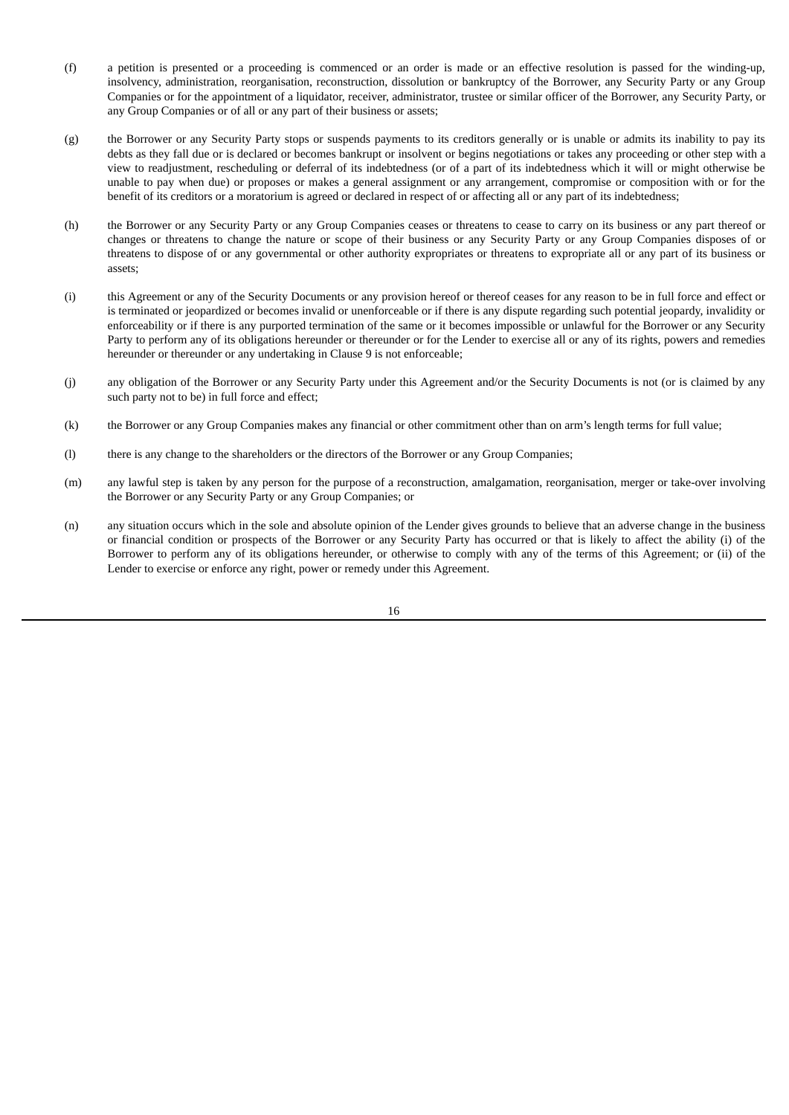- (f) a petition is presented or a proceeding is commenced or an order is made or an effective resolution is passed for the winding-up, insolvency, administration, reorganisation, reconstruction, dissolution or bankruptcy of the Borrower, any Security Party or any Group Companies or for the appointment of a liquidator, receiver, administrator, trustee or similar officer of the Borrower, any Security Party, or any Group Companies or of all or any part of their business or assets;
- (g) the Borrower or any Security Party stops or suspends payments to its creditors generally or is unable or admits its inability to pay its debts as they fall due or is declared or becomes bankrupt or insolvent or begins negotiations or takes any proceeding or other step with a view to readjustment, rescheduling or deferral of its indebtedness (or of a part of its indebtedness which it will or might otherwise be unable to pay when due) or proposes or makes a general assignment or any arrangement, compromise or composition with or for the benefit of its creditors or a moratorium is agreed or declared in respect of or affecting all or any part of its indebtedness;
- (h) the Borrower or any Security Party or any Group Companies ceases or threatens to cease to carry on its business or any part thereof or changes or threatens to change the nature or scope of their business or any Security Party or any Group Companies disposes of or threatens to dispose of or any governmental or other authority expropriates or threatens to expropriate all or any part of its business or assets;
- (i) this Agreement or any of the Security Documents or any provision hereof or thereof ceases for any reason to be in full force and effect or is terminated or jeopardized or becomes invalid or unenforceable or if there is any dispute regarding such potential jeopardy, invalidity or enforceability or if there is any purported termination of the same or it becomes impossible or unlawful for the Borrower or any Security Party to perform any of its obligations hereunder or thereunder or for the Lender to exercise all or any of its rights, powers and remedies hereunder or thereunder or any undertaking in Clause 9 is not enforceable;
- (j) any obligation of the Borrower or any Security Party under this Agreement and/or the Security Documents is not (or is claimed by any such party not to be) in full force and effect;
- (k) the Borrower or any Group Companies makes any financial or other commitment other than on arm's length terms for full value;
- (l) there is any change to the shareholders or the directors of the Borrower or any Group Companies;
- (m) any lawful step is taken by any person for the purpose of a reconstruction, amalgamation, reorganisation, merger or take-over involving the Borrower or any Security Party or any Group Companies; or
- (n) any situation occurs which in the sole and absolute opinion of the Lender gives grounds to believe that an adverse change in the business or financial condition or prospects of the Borrower or any Security Party has occurred or that is likely to affect the ability (i) of the Borrower to perform any of its obligations hereunder, or otherwise to comply with any of the terms of this Agreement; or (ii) of the Lender to exercise or enforce any right, power or remedy under this Agreement.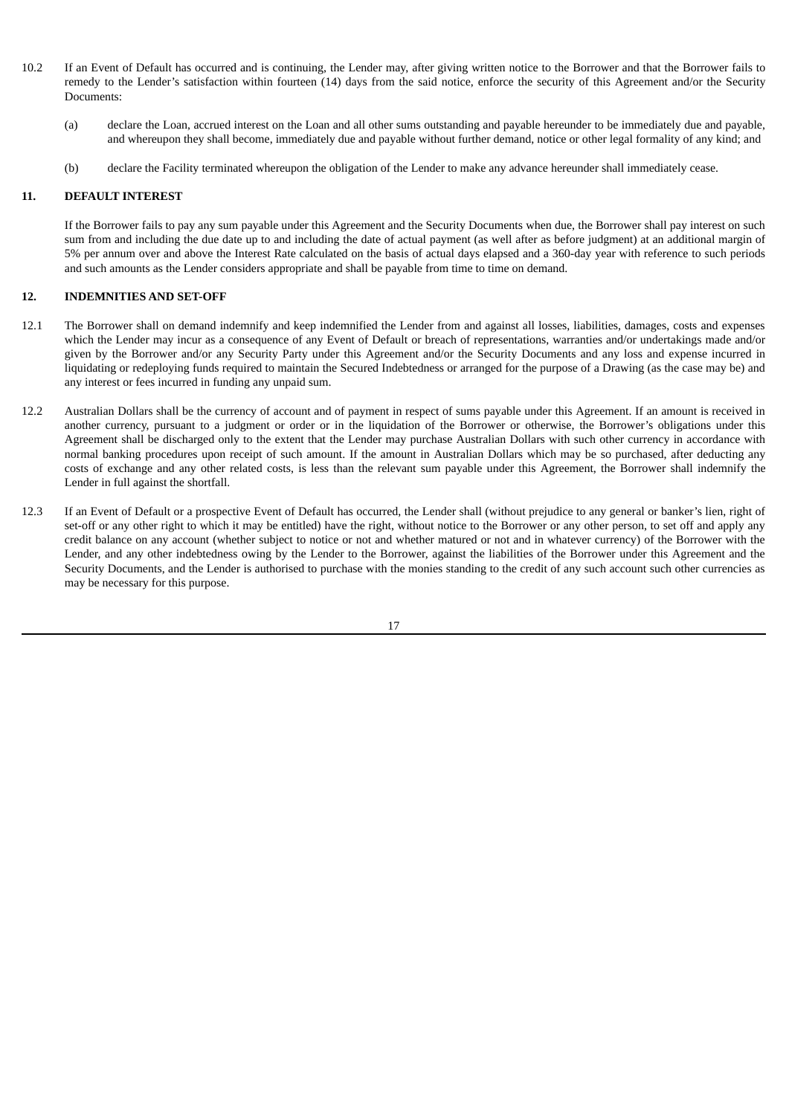- 10.2 If an Event of Default has occurred and is continuing, the Lender may, after giving written notice to the Borrower and that the Borrower fails to remedy to the Lender's satisfaction within fourteen (14) days from the said notice, enforce the security of this Agreement and/or the Security Documents:
	- (a) declare the Loan, accrued interest on the Loan and all other sums outstanding and payable hereunder to be immediately due and payable, and whereupon they shall become, immediately due and payable without further demand, notice or other legal formality of any kind; and
	- (b) declare the Facility terminated whereupon the obligation of the Lender to make any advance hereunder shall immediately cease.

# **11. DEFAULT INTEREST**

If the Borrower fails to pay any sum payable under this Agreement and the Security Documents when due, the Borrower shall pay interest on such sum from and including the due date up to and including the date of actual payment (as well after as before judgment) at an additional margin of 5% per annum over and above the Interest Rate calculated on the basis of actual days elapsed and a 360-day year with reference to such periods and such amounts as the Lender considers appropriate and shall be payable from time to time on demand.

#### **12. INDEMNITIES AND SET-OFF**

- 12.1 The Borrower shall on demand indemnify and keep indemnified the Lender from and against all losses, liabilities, damages, costs and expenses which the Lender may incur as a consequence of any Event of Default or breach of representations, warranties and/or undertakings made and/or given by the Borrower and/or any Security Party under this Agreement and/or the Security Documents and any loss and expense incurred in liquidating or redeploying funds required to maintain the Secured Indebtedness or arranged for the purpose of a Drawing (as the case may be) and any interest or fees incurred in funding any unpaid sum.
- 12.2 Australian Dollars shall be the currency of account and of payment in respect of sums payable under this Agreement. If an amount is received in another currency, pursuant to a judgment or order or in the liquidation of the Borrower or otherwise, the Borrower's obligations under this Agreement shall be discharged only to the extent that the Lender may purchase Australian Dollars with such other currency in accordance with normal banking procedures upon receipt of such amount. If the amount in Australian Dollars which may be so purchased, after deducting any costs of exchange and any other related costs, is less than the relevant sum payable under this Agreement, the Borrower shall indemnify the Lender in full against the shortfall.
- 12.3 If an Event of Default or a prospective Event of Default has occurred, the Lender shall (without prejudice to any general or banker's lien, right of set-off or any other right to which it may be entitled) have the right, without notice to the Borrower or any other person, to set off and apply any credit balance on any account (whether subject to notice or not and whether matured or not and in whatever currency) of the Borrower with the Lender, and any other indebtedness owing by the Lender to the Borrower, against the liabilities of the Borrower under this Agreement and the Security Documents, and the Lender is authorised to purchase with the monies standing to the credit of any such account such other currencies as may be necessary for this purpose.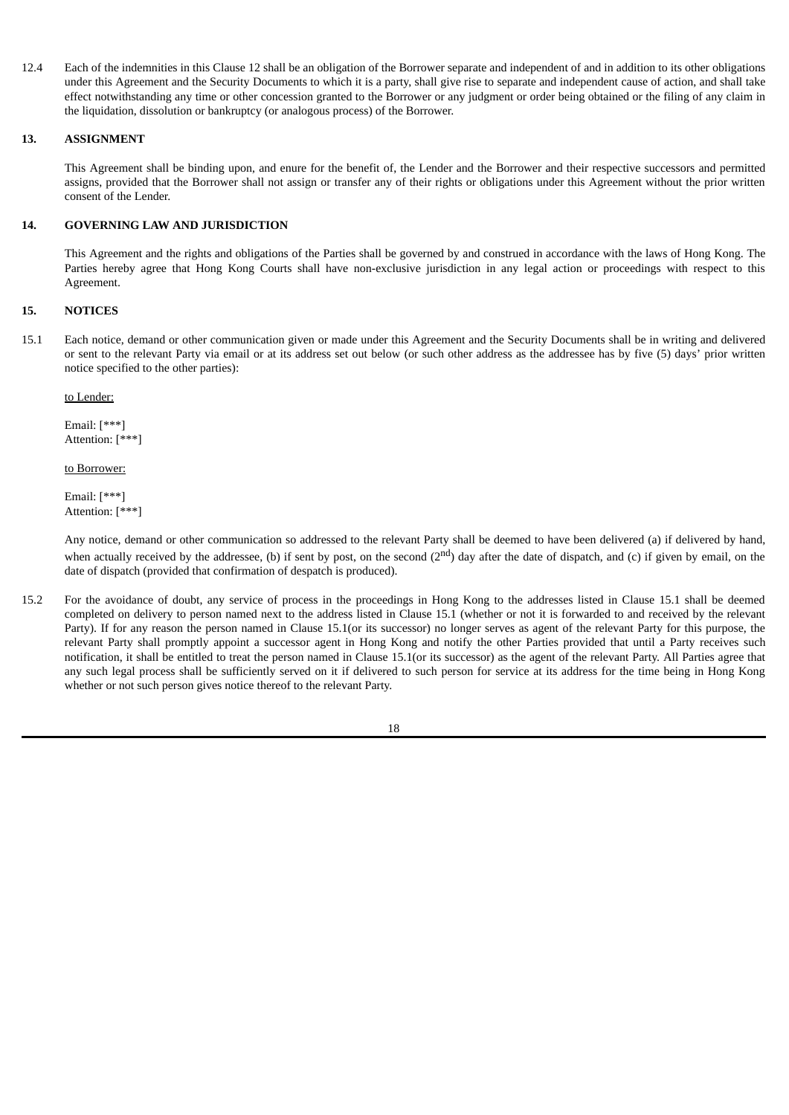12.4 Each of the indemnities in this Clause 12 shall be an obligation of the Borrower separate and independent of and in addition to its other obligations under this Agreement and the Security Documents to which it is a party, shall give rise to separate and independent cause of action, and shall take effect notwithstanding any time or other concession granted to the Borrower or any judgment or order being obtained or the filing of any claim in the liquidation, dissolution or bankruptcy (or analogous process) of the Borrower.

# **13. ASSIGNMENT**

This Agreement shall be binding upon, and enure for the benefit of, the Lender and the Borrower and their respective successors and permitted assigns, provided that the Borrower shall not assign or transfer any of their rights or obligations under this Agreement without the prior written consent of the Lender.

# **14. GOVERNING LAW AND JURISDICTION**

This Agreement and the rights and obligations of the Parties shall be governed by and construed in accordance with the laws of Hong Kong. The Parties hereby agree that Hong Kong Courts shall have non-exclusive jurisdiction in any legal action or proceedings with respect to this Agreement.

# **15. NOTICES**

15.1 Each notice, demand or other communication given or made under this Agreement and the Security Documents shall be in writing and delivered or sent to the relevant Party via email or at its address set out below (or such other address as the addressee has by five (5) days' prior written notice specified to the other parties):

#### to Lender:

Email: [\*\*\*] Attention: [\*\*\*]

#### to Borrower:

Email: [\*\*\*] Attention: [\*\*\*]

Any notice, demand or other communication so addressed to the relevant Party shall be deemed to have been delivered (a) if delivered by hand, when actually received by the addressee, (b) if sent by post, on the second (2<sup>nd</sup>) day after the date of dispatch, and (c) if given by email, on the date of dispatch (provided that confirmation of despatch is produced).

15.2 For the avoidance of doubt, any service of process in the proceedings in Hong Kong to the addresses listed in Clause 15.1 shall be deemed completed on delivery to person named next to the address listed in Clause 15.1 (whether or not it is forwarded to and received by the relevant Party). If for any reason the person named in Clause 15.1(or its successor) no longer serves as agent of the relevant Party for this purpose, the relevant Party shall promptly appoint a successor agent in Hong Kong and notify the other Parties provided that until a Party receives such notification, it shall be entitled to treat the person named in Clause 15.1(or its successor) as the agent of the relevant Party. All Parties agree that any such legal process shall be sufficiently served on it if delivered to such person for service at its address for the time being in Hong Kong whether or not such person gives notice thereof to the relevant Party.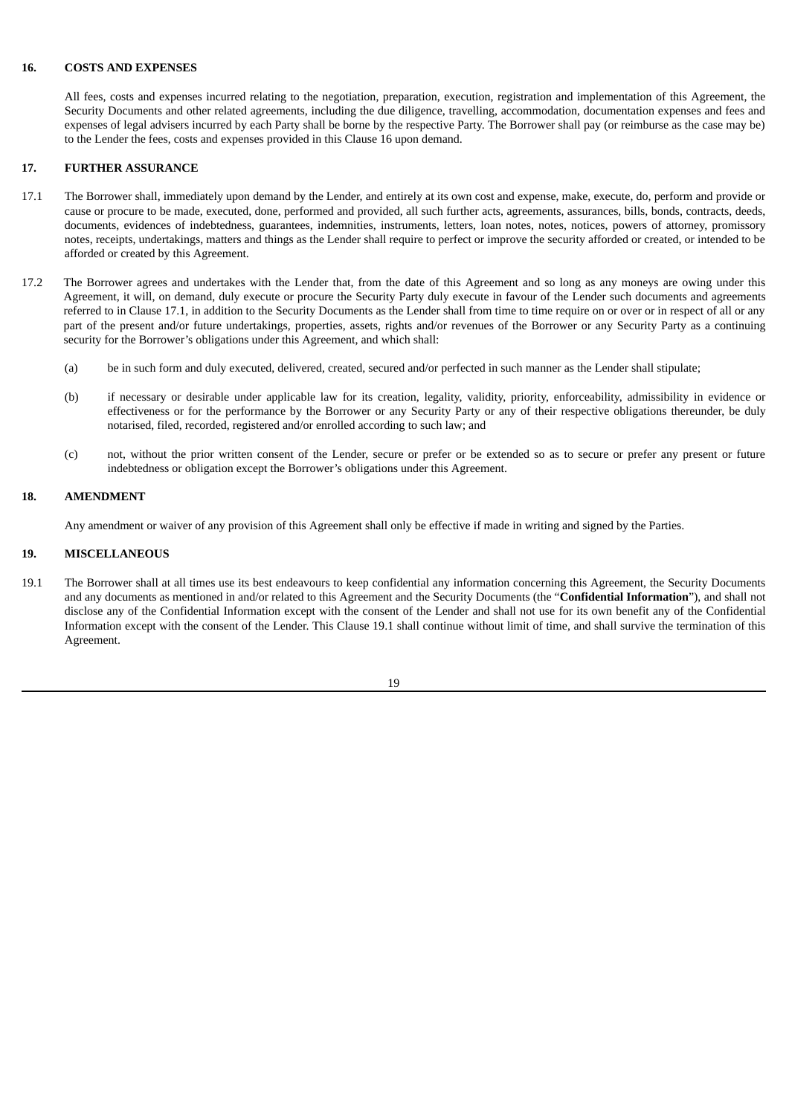#### **16. COSTS AND EXPENSES**

All fees, costs and expenses incurred relating to the negotiation, preparation, execution, registration and implementation of this Agreement, the Security Documents and other related agreements, including the due diligence, travelling, accommodation, documentation expenses and fees and expenses of legal advisers incurred by each Party shall be borne by the respective Party. The Borrower shall pay (or reimburse as the case may be) to the Lender the fees, costs and expenses provided in this Clause 16 upon demand.

# **17. FURTHER ASSURANCE**

- 17.1 The Borrower shall, immediately upon demand by the Lender, and entirely at its own cost and expense, make, execute, do, perform and provide or cause or procure to be made, executed, done, performed and provided, all such further acts, agreements, assurances, bills, bonds, contracts, deeds, documents, evidences of indebtedness, guarantees, indemnities, instruments, letters, loan notes, notes, notices, powers of attorney, promissory notes, receipts, undertakings, matters and things as the Lender shall require to perfect or improve the security afforded or created, or intended to be afforded or created by this Agreement.
- 17.2 The Borrower agrees and undertakes with the Lender that, from the date of this Agreement and so long as any moneys are owing under this Agreement, it will, on demand, duly execute or procure the Security Party duly execute in favour of the Lender such documents and agreements referred to in Clause 17.1, in addition to the Security Documents as the Lender shall from time to time require on or over or in respect of all or any part of the present and/or future undertakings, properties, assets, rights and/or revenues of the Borrower or any Security Party as a continuing security for the Borrower's obligations under this Agreement, and which shall:
	- (a) be in such form and duly executed, delivered, created, secured and/or perfected in such manner as the Lender shall stipulate;
	- (b) if necessary or desirable under applicable law for its creation, legality, validity, priority, enforceability, admissibility in evidence or effectiveness or for the performance by the Borrower or any Security Party or any of their respective obligations thereunder, be duly notarised, filed, recorded, registered and/or enrolled according to such law; and
	- (c) not, without the prior written consent of the Lender, secure or prefer or be extended so as to secure or prefer any present or future indebtedness or obligation except the Borrower's obligations under this Agreement.

#### **18. AMENDMENT**

Any amendment or waiver of any provision of this Agreement shall only be effective if made in writing and signed by the Parties.

#### **19. MISCELLANEOUS**

19.1 The Borrower shall at all times use its best endeavours to keep confidential any information concerning this Agreement, the Security Documents and any documents as mentioned in and/or related to this Agreement and the Security Documents (the "**Confidential Information**"), and shall not disclose any of the Confidential Information except with the consent of the Lender and shall not use for its own benefit any of the Confidential Information except with the consent of the Lender. This Clause 19.1 shall continue without limit of time, and shall survive the termination of this Agreement.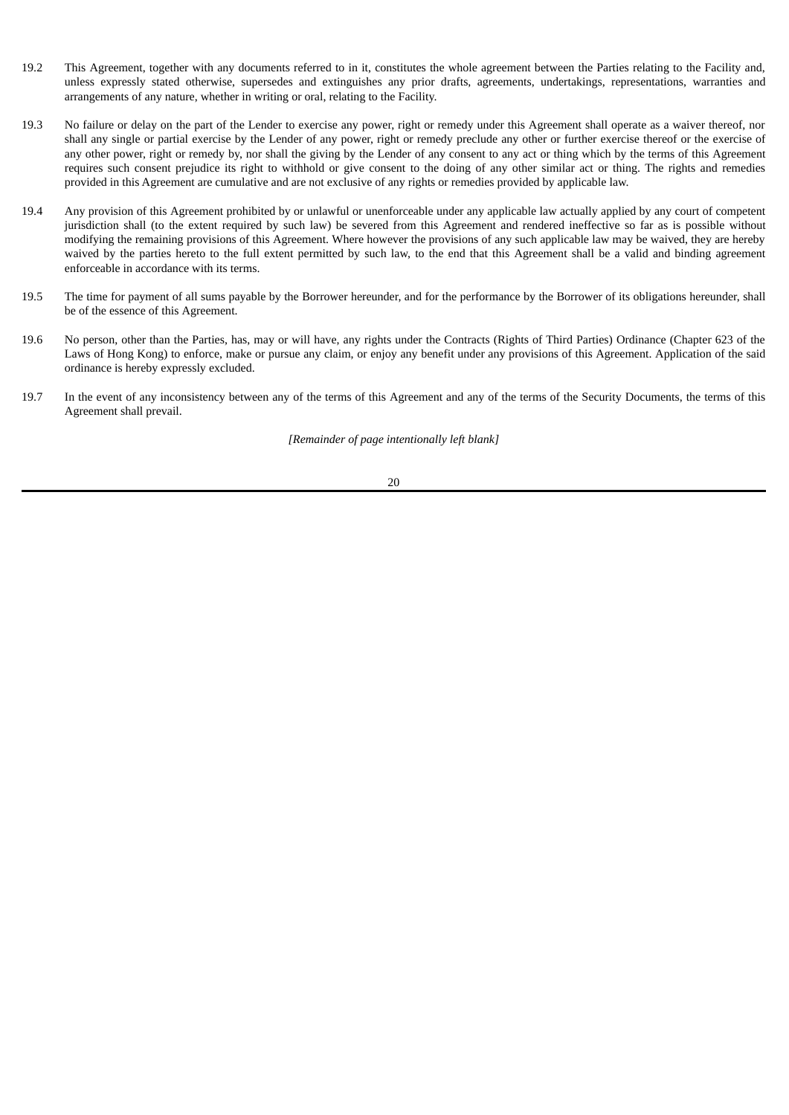- 19.2 This Agreement, together with any documents referred to in it, constitutes the whole agreement between the Parties relating to the Facility and, unless expressly stated otherwise, supersedes and extinguishes any prior drafts, agreements, undertakings, representations, warranties and arrangements of any nature, whether in writing or oral, relating to the Facility.
- 19.3 No failure or delay on the part of the Lender to exercise any power, right or remedy under this Agreement shall operate as a waiver thereof, nor shall any single or partial exercise by the Lender of any power, right or remedy preclude any other or further exercise thereof or the exercise of any other power, right or remedy by, nor shall the giving by the Lender of any consent to any act or thing which by the terms of this Agreement requires such consent prejudice its right to withhold or give consent to the doing of any other similar act or thing. The rights and remedies provided in this Agreement are cumulative and are not exclusive of any rights or remedies provided by applicable law.
- 19.4 Any provision of this Agreement prohibited by or unlawful or unenforceable under any applicable law actually applied by any court of competent jurisdiction shall (to the extent required by such law) be severed from this Agreement and rendered ineffective so far as is possible without modifying the remaining provisions of this Agreement. Where however the provisions of any such applicable law may be waived, they are hereby waived by the parties hereto to the full extent permitted by such law, to the end that this Agreement shall be a valid and binding agreement enforceable in accordance with its terms.
- 19.5 The time for payment of all sums payable by the Borrower hereunder, and for the performance by the Borrower of its obligations hereunder, shall be of the essence of this Agreement.
- 19.6 No person, other than the Parties, has, may or will have, any rights under the Contracts (Rights of Third Parties) Ordinance (Chapter 623 of the Laws of Hong Kong) to enforce, make or pursue any claim, or enjoy any benefit under any provisions of this Agreement. Application of the said ordinance is hereby expressly excluded.
- 19.7 In the event of any inconsistency between any of the terms of this Agreement and any of the terms of the Security Documents, the terms of this Agreement shall prevail.

*[Remainder of page intentionally left blank]*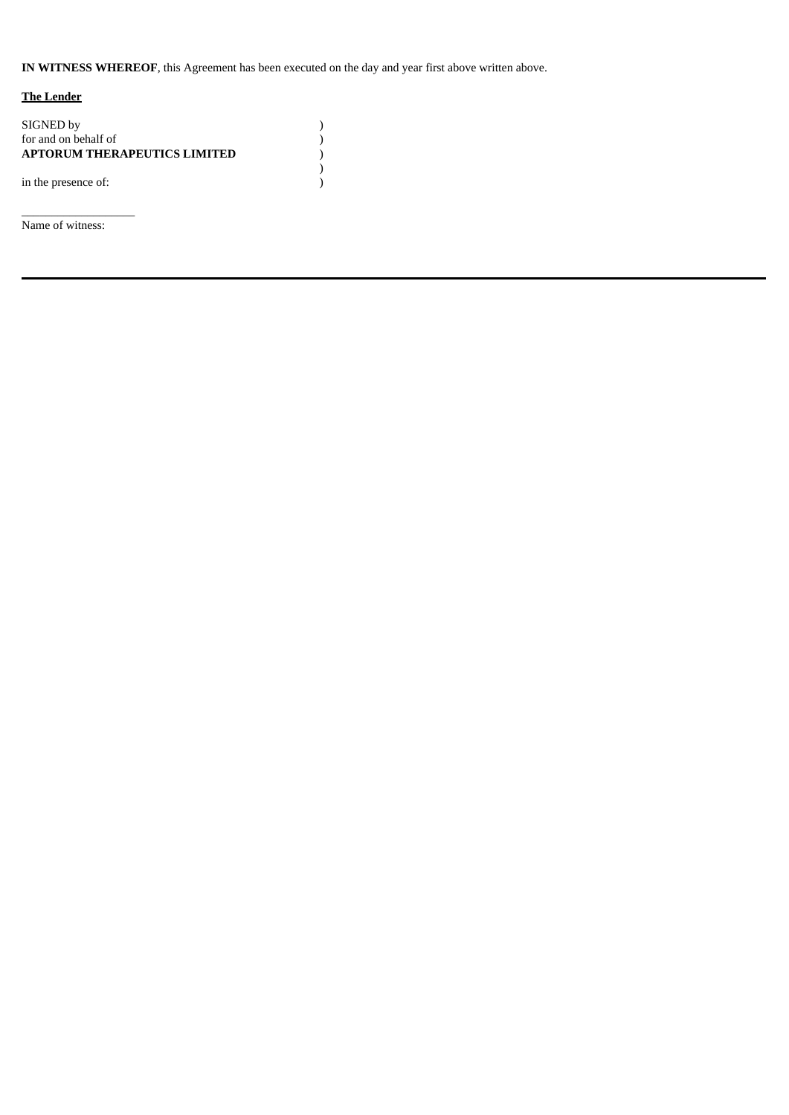**IN WITNESS WHEREOF**, this Agreement has been executed on the day and year first above written above.

)  $)$ <br>)  $)$ <br>)  $)$ 

# **The Lender**

| SIGNED by<br>for and on behalf of<br><b>APTORUM THERAPEUTICS LIMITED</b> |  |
|--------------------------------------------------------------------------|--|
| in the presence of:                                                      |  |

Name of witness:

 $\_$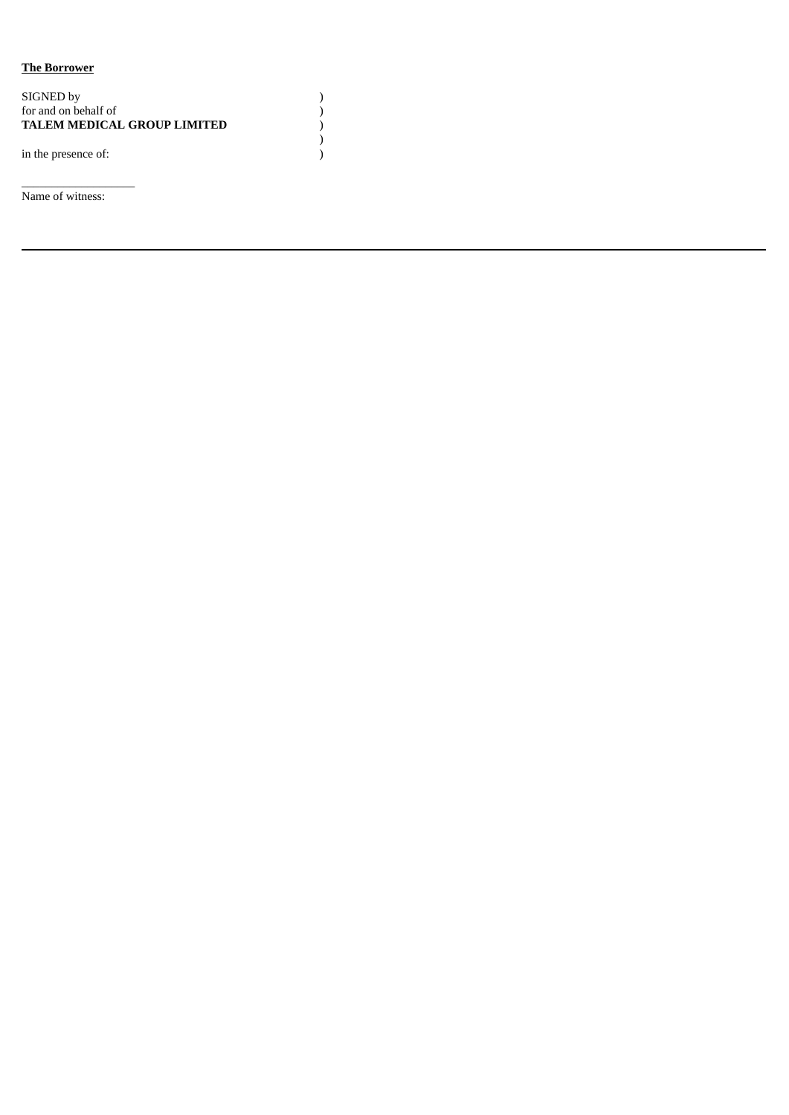# **The Borrower**

| SIGNED by<br>for and on behalf of<br><b>TALEM MEDICAL GROUP LIMITED</b> |  |
|-------------------------------------------------------------------------|--|
| in the presence of:                                                     |  |

Name of witness:

\_\_\_\_\_\_\_\_\_\_\_\_\_\_\_\_\_\_\_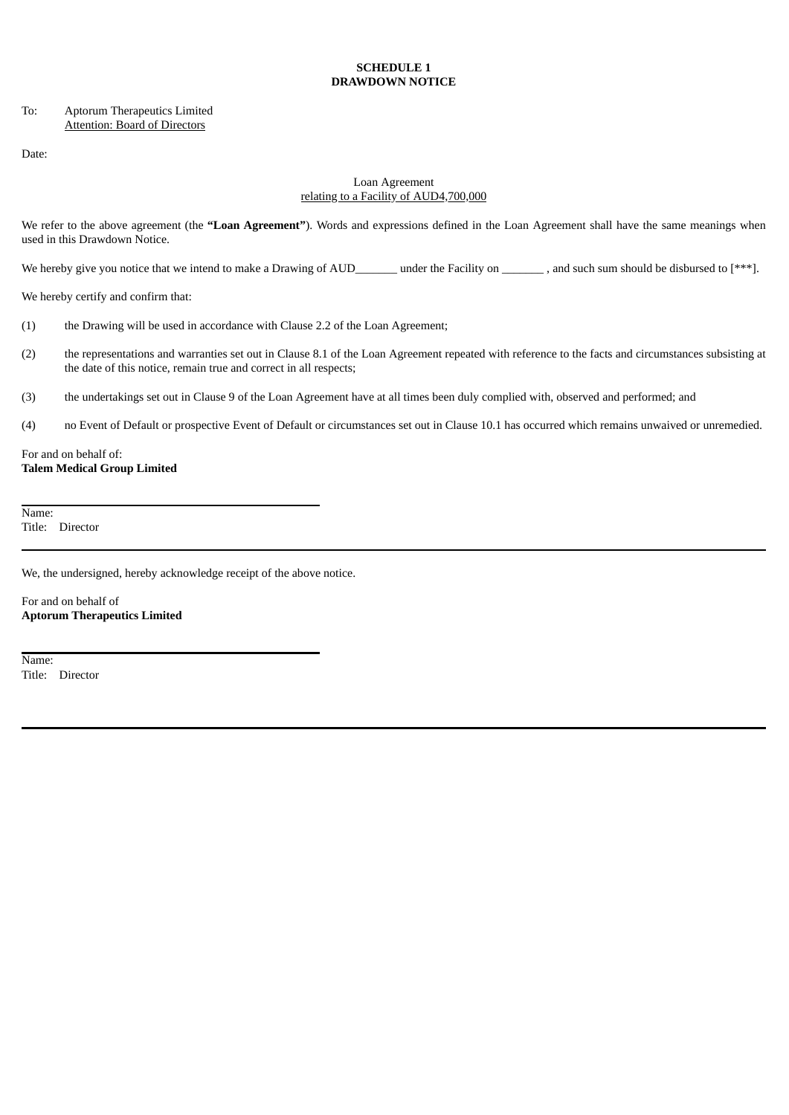# **SCHEDULE 1 DRAWDOWN NOTICE**

# To: Aptorum Therapeutics Limited Attention: Board of Directors

Date:

# Loan Agreement relating to a Facility of AUD4,700,000

We refer to the above agreement (the **"Loan Agreement"**). Words and expressions defined in the Loan Agreement shall have the same meanings when used in this Drawdown Notice.

We hereby give you notice that we intend to make a Drawing of AUD\_\_\_\_\_\_\_ under the Facility on \_\_\_\_\_\_\_\_, and such sum should be disbursed to [\*\*\*].

We hereby certify and confirm that:

- (1) the Drawing will be used in accordance with Clause 2.2 of the Loan Agreement;
- (2) the representations and warranties set out in Clause 8.1 of the Loan Agreement repeated with reference to the facts and circumstances subsisting at the date of this notice, remain true and correct in all respects;
- (3) the undertakings set out in Clause 9 of the Loan Agreement have at all times been duly complied with, observed and performed; and
- (4) no Event of Default or prospective Event of Default or circumstances set out in Clause 10.1 has occurred which remains unwaived or unremedied.

# For and on behalf of: **Talem Medical Group Limited**

Name: Title: Director

We, the undersigned, hereby acknowledge receipt of the above notice.

For and on behalf of **Aptorum Therapeutics Limited**

Name: Title: Director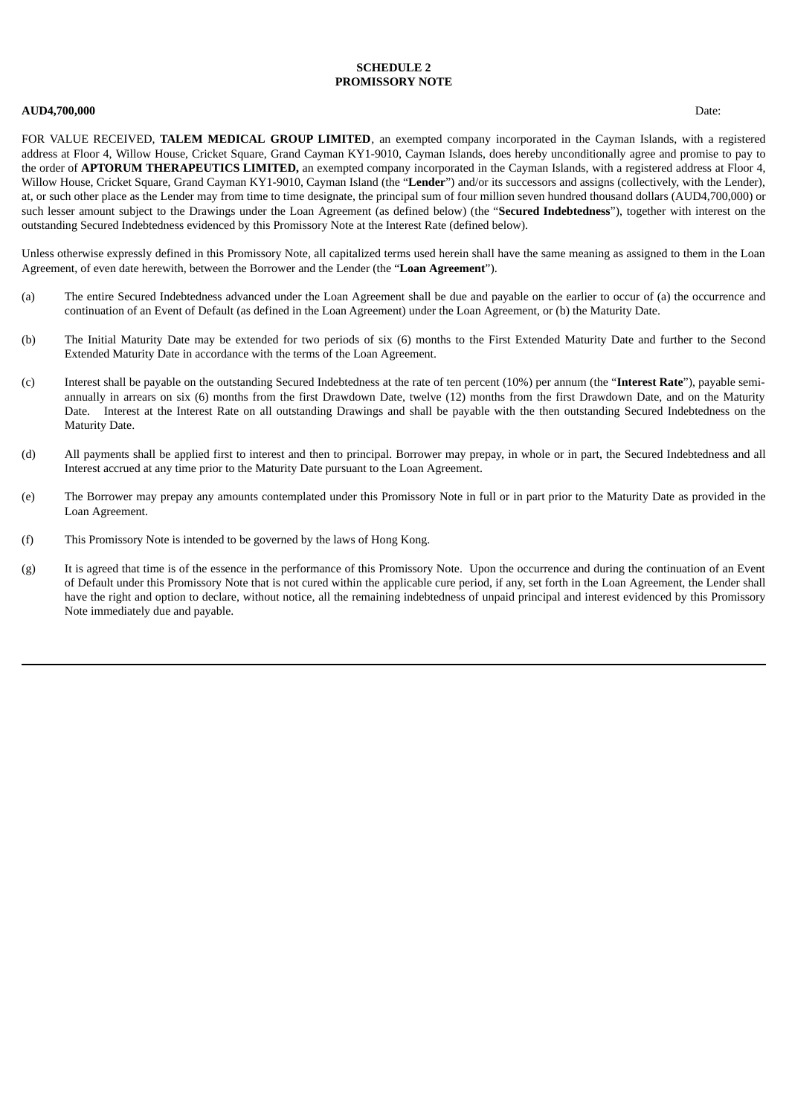# **SCHEDULE 2 PROMISSORY NOTE**

#### **AUD4,700,000** Date:

FOR VALUE RECEIVED, **TALEM MEDICAL GROUP LIMITED**, an exempted company incorporated in the Cayman Islands, with a registered address at Floor 4, Willow House, Cricket Square, Grand Cayman KY1-9010, Cayman Islands, does hereby unconditionally agree and promise to pay to the order of **APTORUM THERAPEUTICS LIMITED,** an exempted company incorporated in the Cayman Islands, with a registered address at Floor 4, Willow House, Cricket Square, Grand Cayman KY1-9010, Cayman Island (the "**Lender**") and/or its successors and assigns (collectively, with the Lender), at, or such other place as the Lender may from time to time designate, the principal sum of four million seven hundred thousand dollars (AUD4,700,000) or such lesser amount subject to the Drawings under the Loan Agreement (as defined below) (the "**Secured Indebtedness**"), together with interest on the outstanding Secured Indebtedness evidenced by this Promissory Note at the Interest Rate (defined below).

Unless otherwise expressly defined in this Promissory Note, all capitalized terms used herein shall have the same meaning as assigned to them in the Loan Agreement, of even date herewith, between the Borrower and the Lender (the "**Loan Agreement**").

- (a) The entire Secured Indebtedness advanced under the Loan Agreement shall be due and payable on the earlier to occur of (a) the occurrence and continuation of an Event of Default (as defined in the Loan Agreement) under the Loan Agreement, or (b) the Maturity Date.
- (b) The Initial Maturity Date may be extended for two periods of six (6) months to the First Extended Maturity Date and further to the Second Extended Maturity Date in accordance with the terms of the Loan Agreement.
- (c) Interest shall be payable on the outstanding Secured Indebtedness at the rate of ten percent (10%) per annum (the "**Interest Rate**"), payable semiannually in arrears on six (6) months from the first Drawdown Date, twelve (12) months from the first Drawdown Date, and on the Maturity Date. Interest at the Interest Rate on all outstanding Drawings and shall be payable with the then outstanding Secured Indebtedness on the Maturity Date.
- (d) All payments shall be applied first to interest and then to principal. Borrower may prepay, in whole or in part, the Secured Indebtedness and all Interest accrued at any time prior to the Maturity Date pursuant to the Loan Agreement.
- (e) The Borrower may prepay any amounts contemplated under this Promissory Note in full or in part prior to the Maturity Date as provided in the Loan Agreement.
- (f) This Promissory Note is intended to be governed by the laws of Hong Kong.
- (g) It is agreed that time is of the essence in the performance of this Promissory Note. Upon the occurrence and during the continuation of an Event of Default under this Promissory Note that is not cured within the applicable cure period, if any, set forth in the Loan Agreement, the Lender shall have the right and option to declare, without notice, all the remaining indebtedness of unpaid principal and interest evidenced by this Promissory Note immediately due and payable.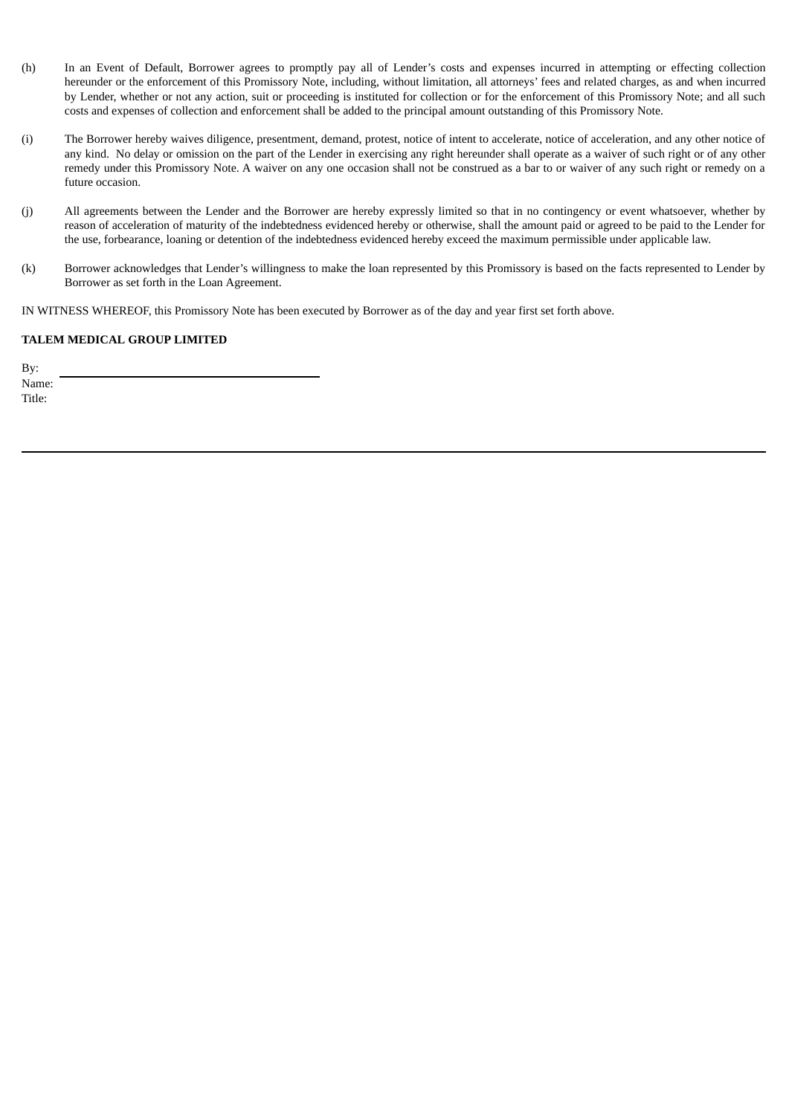- (h) In an Event of Default, Borrower agrees to promptly pay all of Lender's costs and expenses incurred in attempting or effecting collection hereunder or the enforcement of this Promissory Note, including, without limitation, all attorneys' fees and related charges, as and when incurred by Lender, whether or not any action, suit or proceeding is instituted for collection or for the enforcement of this Promissory Note; and all such costs and expenses of collection and enforcement shall be added to the principal amount outstanding of this Promissory Note.
- (i) The Borrower hereby waives diligence, presentment, demand, protest, notice of intent to accelerate, notice of acceleration, and any other notice of any kind. No delay or omission on the part of the Lender in exercising any right hereunder shall operate as a waiver of such right or of any other remedy under this Promissory Note. A waiver on any one occasion shall not be construed as a bar to or waiver of any such right or remedy on a future occasion.
- (j) All agreements between the Lender and the Borrower are hereby expressly limited so that in no contingency or event whatsoever, whether by reason of acceleration of maturity of the indebtedness evidenced hereby or otherwise, shall the amount paid or agreed to be paid to the Lender for the use, forbearance, loaning or detention of the indebtedness evidenced hereby exceed the maximum permissible under applicable law.
- (k) Borrower acknowledges that Lender's willingness to make the loan represented by this Promissory is based on the facts represented to Lender by Borrower as set forth in the Loan Agreement.

IN WITNESS WHEREOF, this Promissory Note has been executed by Borrower as of the day and year first set forth above.

# **TALEM MEDICAL GROUP LIMITED**

By: Name:

Title: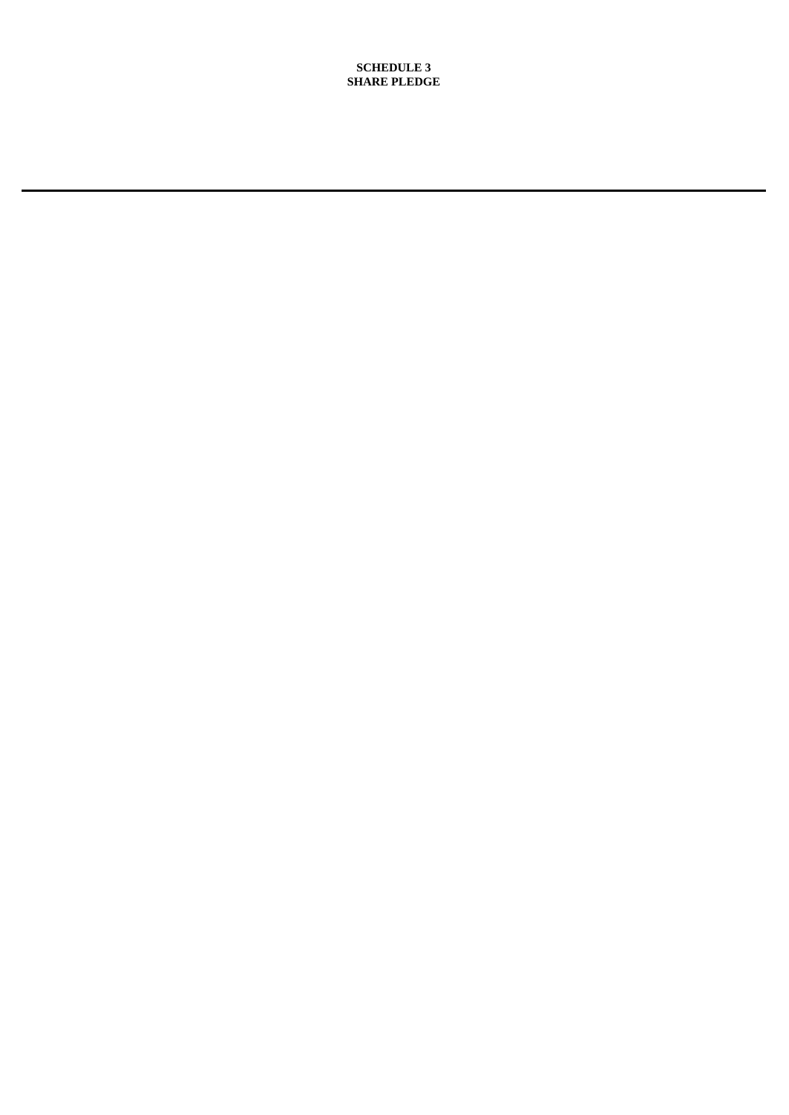**SCHEDULE 3 SHARE PLEDGE**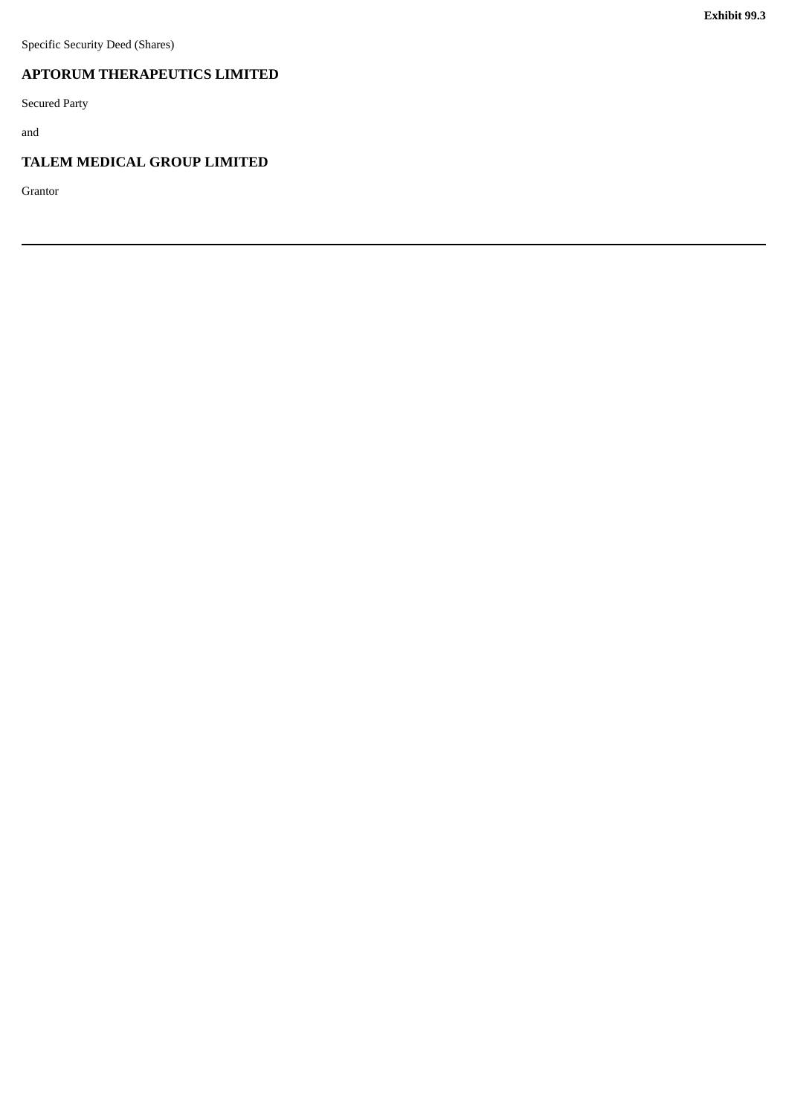# <span id="page-45-0"></span>**APTORUM THERAPEUTICS LIMITED**

Secured Party

and

# **TALEM MEDICAL GROUP LIMITED**

Grantor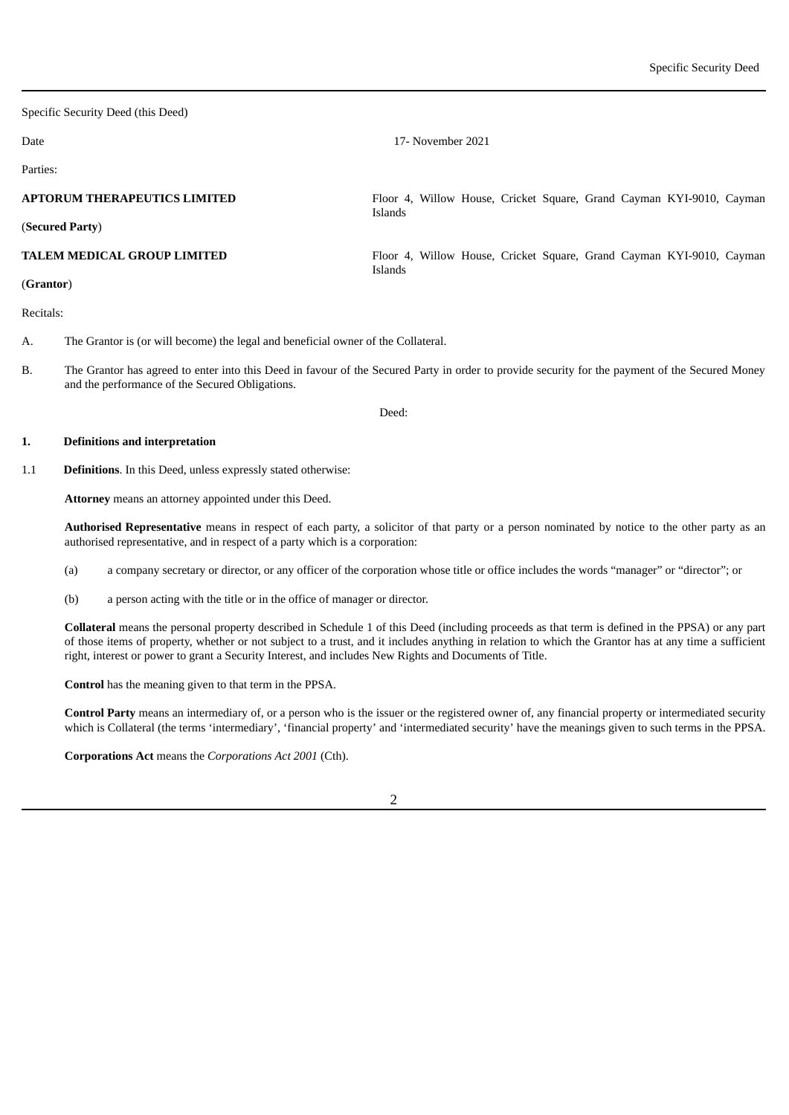Specific Security Deed (this Deed)

Date 17- November 2021

Parties:

**APTORUM THERAPEUTICS LIMITED** (**Secured Party**) Floor 4, Willow House, Cricket Square, Grand Cayman KYI-9010, Cayman Islands **TALEM MEDICAL GROUP LIMITED** (**Grantor**) Floor 4, Willow House, Cricket Square, Grand Cayman KYI-9010, Cayman Islands Recitals: A. The Grantor is (or will become) the legal and beneficial owner of the Collateral.

B. The Grantor has agreed to enter into this Deed in favour of the Secured Party in order to provide security for the payment of the Secured Money and the performance of the Secured Obligations.

Deed:

#### **1. Definitions and interpretation**

1.1 **Definitions**. In this Deed, unless expressly stated otherwise:

**Attorney** means an attorney appointed under this Deed.

**Authorised Representative** means in respect of each party, a solicitor of that party or a person nominated by notice to the other party as an authorised representative, and in respect of a party which is a corporation:

- (a) a company secretary or director, or any officer of the corporation whose title or office includes the words "manager" or "director"; or
- (b) a person acting with the title or in the office of manager or director.

**Collateral** means the personal property described in Schedule 1 of this Deed (including proceeds as that term is defined in the PPSA) or any part of those items of property, whether or not subject to a trust, and it includes anything in relation to which the Grantor has at any time a sufficient right, interest or power to grant a Security Interest, and includes New Rights and Documents of Title.

**Control** has the meaning given to that term in the PPSA.

**Control Party** means an intermediary of, or a person who is the issuer or the registered owner of, any financial property or intermediated security which is Collateral (the terms 'intermediary', 'financial property' and 'intermediated security' have the meanings given to such terms in the PPSA.

**Corporations Act** means the *Corporations Act 2001* (Cth).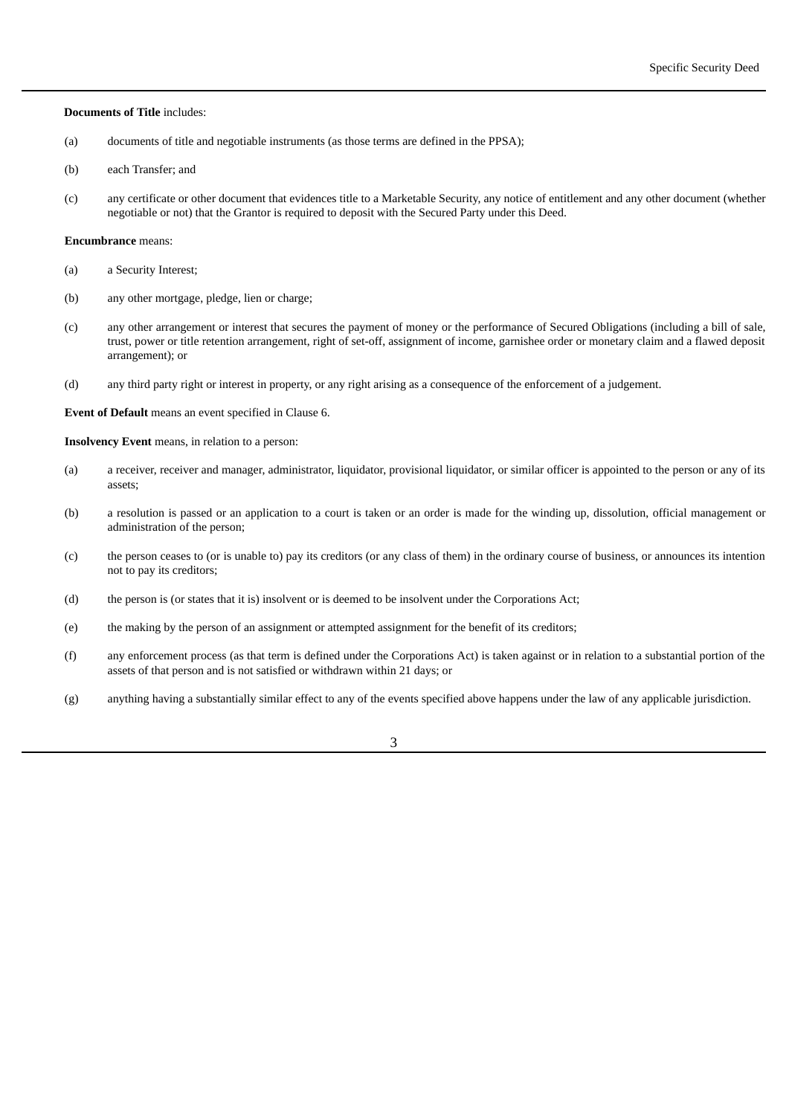#### **Documents of Title** includes:

- (a) documents of title and negotiable instruments (as those terms are defined in the PPSA);
- (b) each Transfer; and
- (c) any certificate or other document that evidences title to a Marketable Security, any notice of entitlement and any other document (whether negotiable or not) that the Grantor is required to deposit with the Secured Party under this Deed.

#### **Encumbrance** means:

- (a) a Security Interest;
- (b) any other mortgage, pledge, lien or charge;
- (c) any other arrangement or interest that secures the payment of money or the performance of Secured Obligations (including a bill of sale, trust, power or title retention arrangement, right of set-off, assignment of income, garnishee order or monetary claim and a flawed deposit arrangement); or
- (d) any third party right or interest in property, or any right arising as a consequence of the enforcement of a judgement.

**Event of Default** means an event specified in Clause 6.

**Insolvency Event** means, in relation to a person:

- (a) a receiver, receiver and manager, administrator, liquidator, provisional liquidator, or similar officer is appointed to the person or any of its assets;
- (b) a resolution is passed or an application to a court is taken or an order is made for the winding up, dissolution, official management or administration of the person;
- (c) the person ceases to (or is unable to) pay its creditors (or any class of them) in the ordinary course of business, or announces its intention not to pay its creditors;
- (d) the person is (or states that it is) insolvent or is deemed to be insolvent under the Corporations Act;
- (e) the making by the person of an assignment or attempted assignment for the benefit of its creditors;
- (f) any enforcement process (as that term is defined under the Corporations Act) is taken against or in relation to a substantial portion of the assets of that person and is not satisfied or withdrawn within 21 days; or
- (g) anything having a substantially similar effect to any of the events specified above happens under the law of any applicable jurisdiction.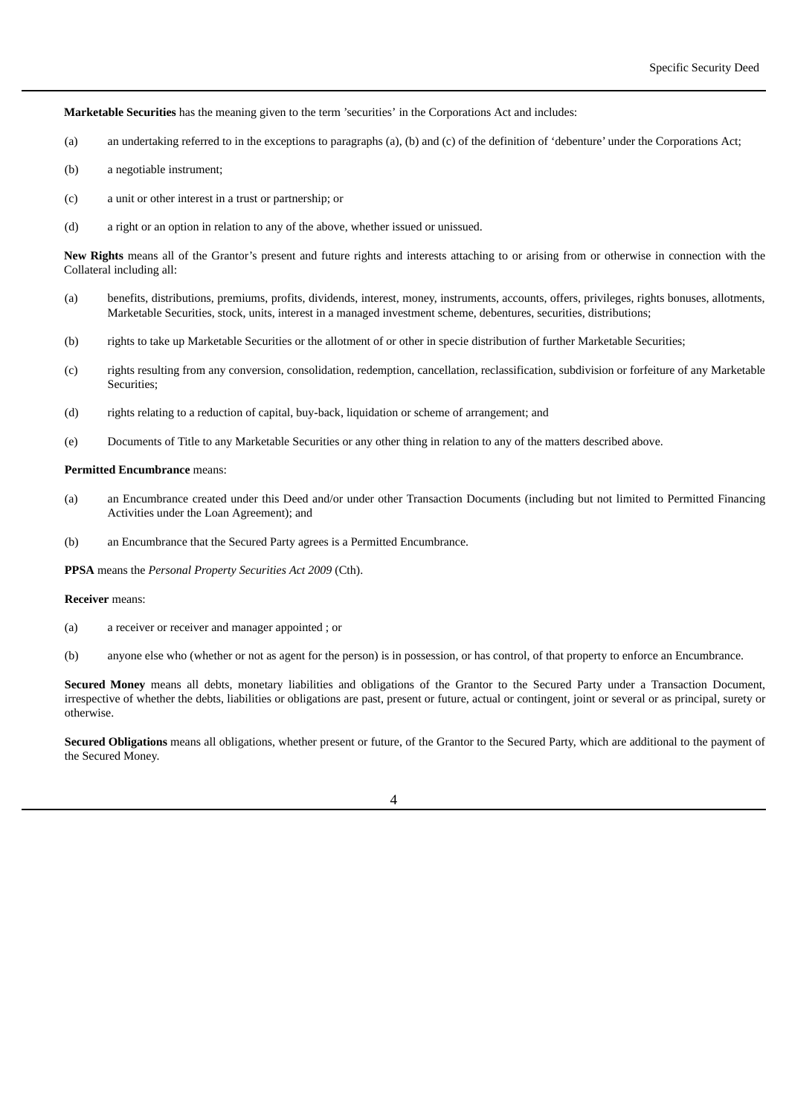**Marketable Securities** has the meaning given to the term 'securities' in the Corporations Act and includes:

- (a) an undertaking referred to in the exceptions to paragraphs (a), (b) and (c) of the definition of 'debenture' under the Corporations Act;
- (b) a negotiable instrument;
- (c) a unit or other interest in a trust or partnership; or
- (d) a right or an option in relation to any of the above, whether issued or unissued.

**New Rights** means all of the Grantor's present and future rights and interests attaching to or arising from or otherwise in connection with the Collateral including all:

- (a) benefits, distributions, premiums, profits, dividends, interest, money, instruments, accounts, offers, privileges, rights bonuses, allotments, Marketable Securities, stock, units, interest in a managed investment scheme, debentures, securities, distributions;
- (b) rights to take up Marketable Securities or the allotment of or other in specie distribution of further Marketable Securities;
- (c) rights resulting from any conversion, consolidation, redemption, cancellation, reclassification, subdivision or forfeiture of any Marketable Securities;
- (d) rights relating to a reduction of capital, buy-back, liquidation or scheme of arrangement; and
- (e) Documents of Title to any Marketable Securities or any other thing in relation to any of the matters described above.

## **Permitted Encumbrance** means:

- (a) an Encumbrance created under this Deed and/or under other Transaction Documents (including but not limited to Permitted Financing Activities under the Loan Agreement); and
- (b) an Encumbrance that the Secured Party agrees is a Permitted Encumbrance.

**PPSA** means the *Personal Property Securities Act 2009* (Cth).

#### **Receiver** means:

(a) a receiver or receiver and manager appointed ; or

(b) anyone else who (whether or not as agent for the person) is in possession, or has control, of that property to enforce an Encumbrance.

**Secured Money** means all debts, monetary liabilities and obligations of the Grantor to the Secured Party under a Transaction Document, irrespective of whether the debts, liabilities or obligations are past, present or future, actual or contingent, joint or several or as principal, surety or otherwise.

**Secured Obligations** means all obligations, whether present or future, of the Grantor to the Secured Party, which are additional to the payment of the Secured Money.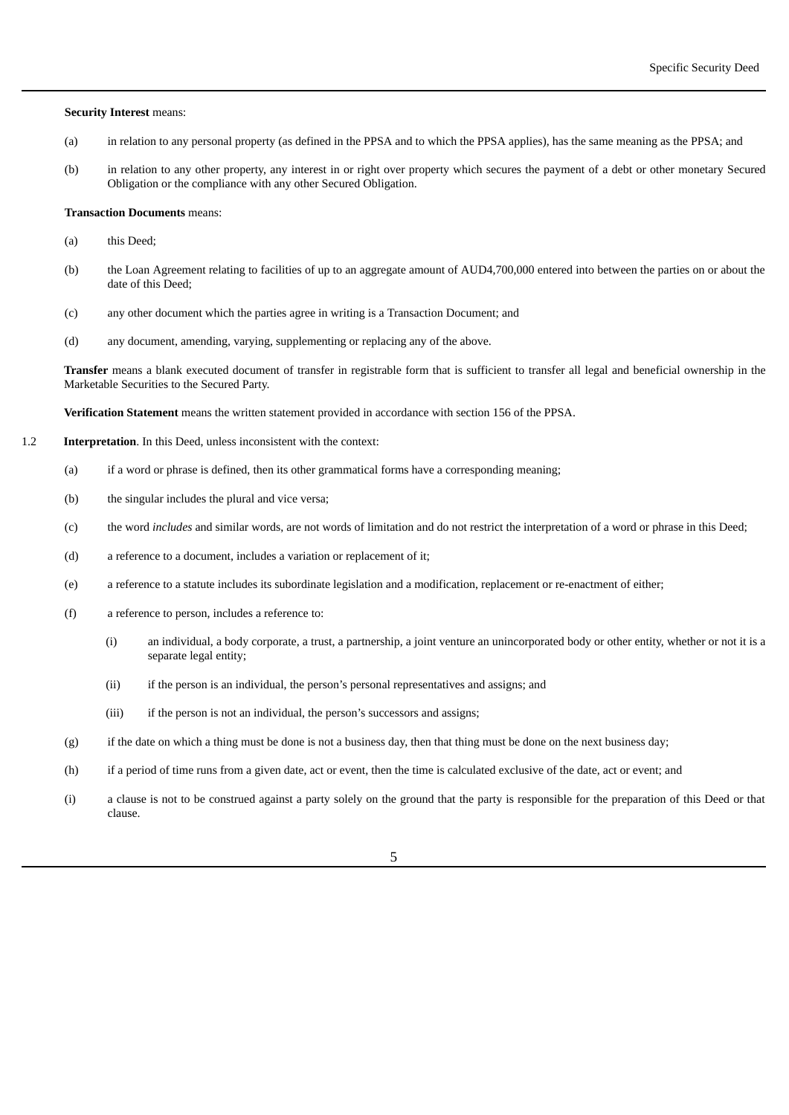#### **Security Interest** means:

- (a) in relation to any personal property (as defined in the PPSA and to which the PPSA applies), has the same meaning as the PPSA; and
- (b) in relation to any other property, any interest in or right over property which secures the payment of a debt or other monetary Secured Obligation or the compliance with any other Secured Obligation.

#### **Transaction Documents** means:

- (a) this Deed;
- (b) the Loan Agreement relating to facilities of up to an aggregate amount of AUD4,700,000 entered into between the parties on or about the date of this Deed;
- (c) any other document which the parties agree in writing is a Transaction Document; and
- (d) any document, amending, varying, supplementing or replacing any of the above.

**Transfer** means a blank executed document of transfer in registrable form that is sufficient to transfer all legal and beneficial ownership in the Marketable Securities to the Secured Party.

**Verification Statement** means the written statement provided in accordance with section 156 of the PPSA.

- 1.2 **Interpretation**. In this Deed, unless inconsistent with the context:
	- (a) if a word or phrase is defined, then its other grammatical forms have a corresponding meaning;
	- (b) the singular includes the plural and vice versa;
	- (c) the word *includes* and similar words, are not words of limitation and do not restrict the interpretation of a word or phrase in this Deed;
	- (d) a reference to a document, includes a variation or replacement of it;
	- (e) a reference to a statute includes its subordinate legislation and a modification, replacement or re-enactment of either;
	- (f) a reference to person, includes a reference to:
		- (i) an individual, a body corporate, a trust, a partnership, a joint venture an unincorporated body or other entity, whether or not it is a separate legal entity;
		- (ii) if the person is an individual, the person's personal representatives and assigns; and
		- (iii) if the person is not an individual, the person's successors and assigns;
	- (g) if the date on which a thing must be done is not a business day, then that thing must be done on the next business day;
	- (h) if a period of time runs from a given date, act or event, then the time is calculated exclusive of the date, act or event; and
	- (i) a clause is not to be construed against a party solely on the ground that the party is responsible for the preparation of this Deed or that clause.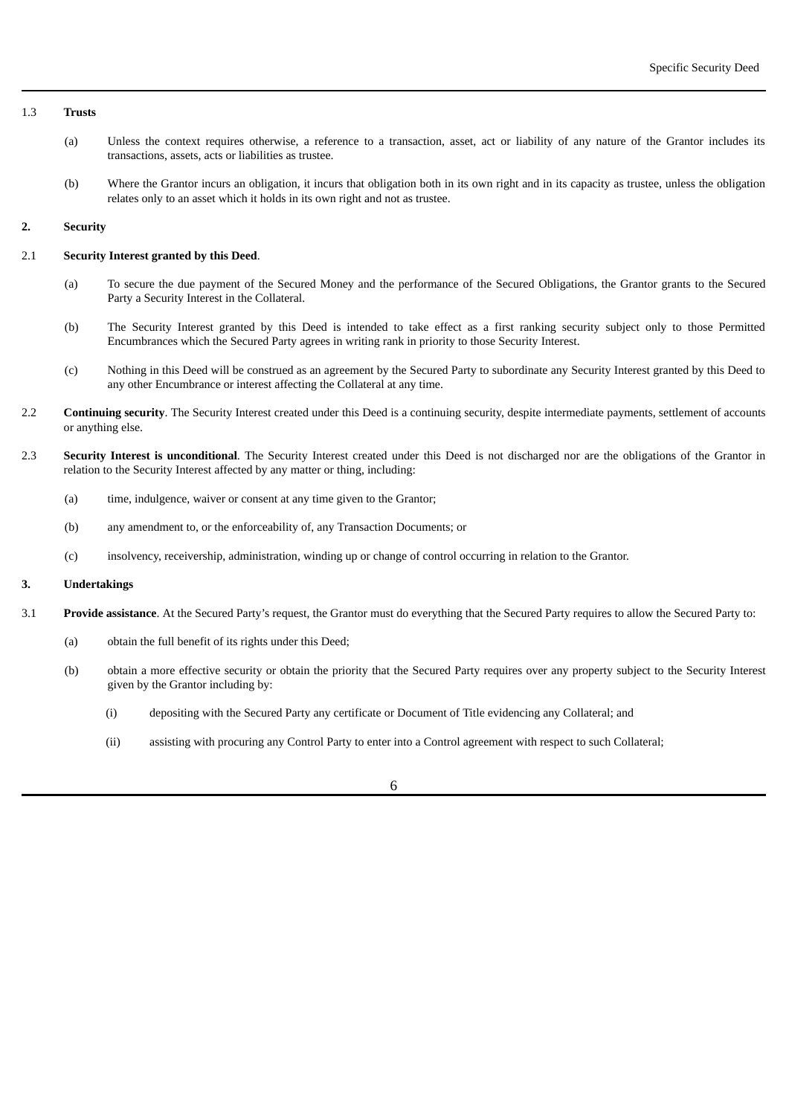#### 1.3 **Trusts**

- (a) Unless the context requires otherwise, a reference to a transaction, asset, act or liability of any nature of the Grantor includes its transactions, assets, acts or liabilities as trustee.
- (b) Where the Grantor incurs an obligation, it incurs that obligation both in its own right and in its capacity as trustee, unless the obligation relates only to an asset which it holds in its own right and not as trustee.

# **2. Security**

# 2.1 **Security Interest granted by this Deed**.

- (a) To secure the due payment of the Secured Money and the performance of the Secured Obligations, the Grantor grants to the Secured Party a Security Interest in the Collateral.
- (b) The Security Interest granted by this Deed is intended to take effect as a first ranking security subject only to those Permitted Encumbrances which the Secured Party agrees in writing rank in priority to those Security Interest.
- (c) Nothing in this Deed will be construed as an agreement by the Secured Party to subordinate any Security Interest granted by this Deed to any other Encumbrance or interest affecting the Collateral at any time.
- 2.2 **Continuing security**. The Security Interest created under this Deed is a continuing security, despite intermediate payments, settlement of accounts or anything else.
- 2.3 **Security Interest is unconditional**. The Security Interest created under this Deed is not discharged nor are the obligations of the Grantor in relation to the Security Interest affected by any matter or thing, including:
	- (a) time, indulgence, waiver or consent at any time given to the Grantor;
	- (b) any amendment to, or the enforceability of, any Transaction Documents; or
	- (c) insolvency, receivership, administration, winding up or change of control occurring in relation to the Grantor.

# **3. Undertakings**

- 3.1 **Provide assistance**. At the Secured Party's request, the Grantor must do everything that the Secured Party requires to allow the Secured Party to:
	- (a) obtain the full benefit of its rights under this Deed;
	- (b) obtain a more effective security or obtain the priority that the Secured Party requires over any property subject to the Security Interest given by the Grantor including by:
		- (i) depositing with the Secured Party any certificate or Document of Title evidencing any Collateral; and
		- (ii) assisting with procuring any Control Party to enter into a Control agreement with respect to such Collateral;

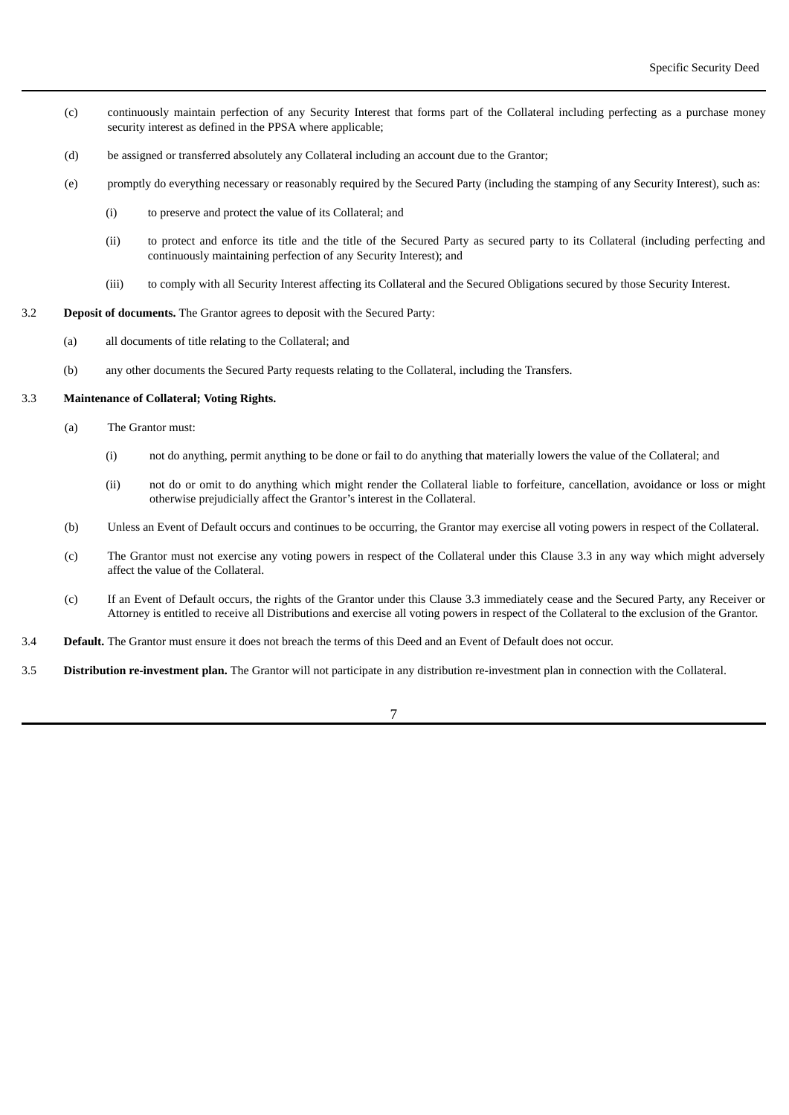- (c) continuously maintain perfection of any Security Interest that forms part of the Collateral including perfecting as a purchase money security interest as defined in the PPSA where applicable;
- (d) be assigned or transferred absolutely any Collateral including an account due to the Grantor;
- (e) promptly do everything necessary or reasonably required by the Secured Party (including the stamping of any Security Interest), such as:
	- (i) to preserve and protect the value of its Collateral; and
	- (ii) to protect and enforce its title and the title of the Secured Party as secured party to its Collateral (including perfecting and continuously maintaining perfection of any Security Interest); and
	- (iii) to comply with all Security Interest affecting its Collateral and the Secured Obligations secured by those Security Interest.
- 3.2 **Deposit of documents.** The Grantor agrees to deposit with the Secured Party:
	- (a) all documents of title relating to the Collateral; and
	- (b) any other documents the Secured Party requests relating to the Collateral, including the Transfers.

# 3.3 **Maintenance of Collateral; Voting Rights.**

- (a) The Grantor must:
	- (i) not do anything, permit anything to be done or fail to do anything that materially lowers the value of the Collateral; and
	- (ii) not do or omit to do anything which might render the Collateral liable to forfeiture, cancellation, avoidance or loss or might otherwise prejudicially affect the Grantor's interest in the Collateral.
- (b) Unless an Event of Default occurs and continues to be occurring, the Grantor may exercise all voting powers in respect of the Collateral.
- (c) The Grantor must not exercise any voting powers in respect of the Collateral under this Clause 3.3 in any way which might adversely affect the value of the Collateral.
- (c) If an Event of Default occurs, the rights of the Grantor under this Clause 3.3 immediately cease and the Secured Party, any Receiver or Attorney is entitled to receive all Distributions and exercise all voting powers in respect of the Collateral to the exclusion of the Grantor.
- 3.4 **Default.** The Grantor must ensure it does not breach the terms of this Deed and an Event of Default does not occur.
- 3.5 **Distribution re-investment plan.** The Grantor will not participate in any distribution re-investment plan in connection with the Collateral.
	- 7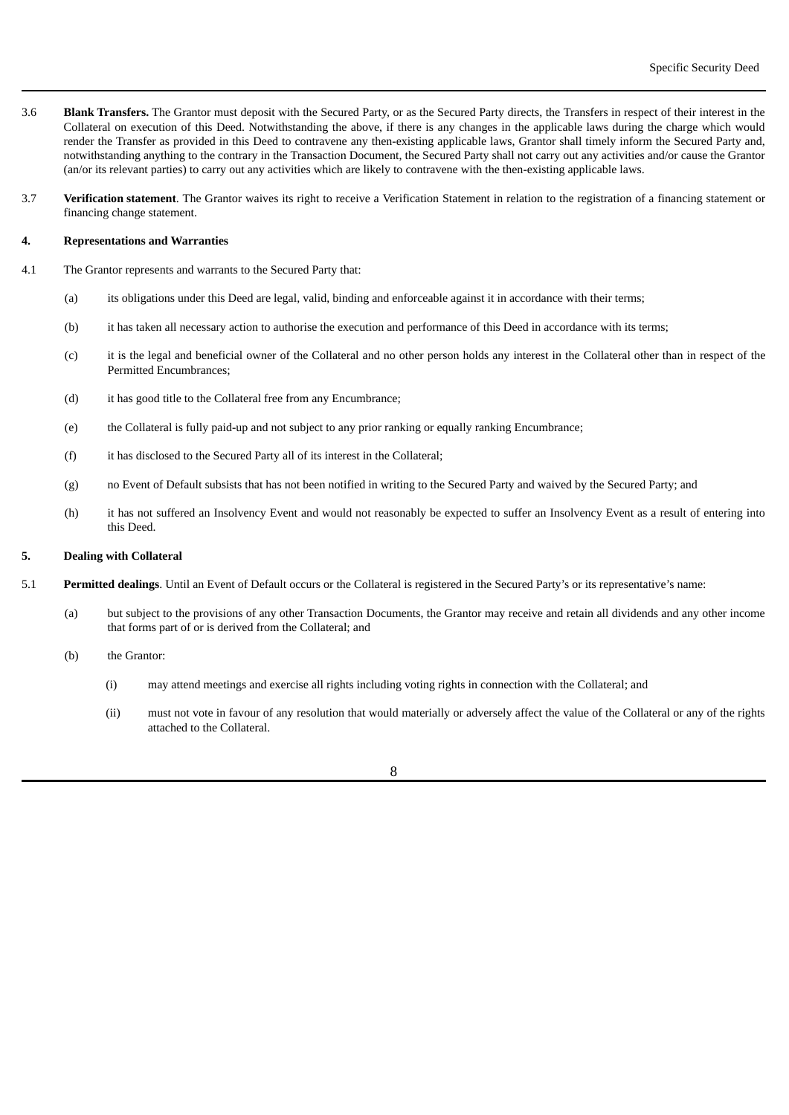- 3.6 **Blank Transfers.** The Grantor must deposit with the Secured Party, or as the Secured Party directs, the Transfers in respect of their interest in the Collateral on execution of this Deed. Notwithstanding the above, if there is any changes in the applicable laws during the charge which would render the Transfer as provided in this Deed to contravene any then-existing applicable laws, Grantor shall timely inform the Secured Party and, notwithstanding anything to the contrary in the Transaction Document, the Secured Party shall not carry out any activities and/or cause the Grantor (an/or its relevant parties) to carry out any activities which are likely to contravene with the then-existing applicable laws.
- 3.7 **Verification statement**. The Grantor waives its right to receive a Verification Statement in relation to the registration of a financing statement or financing change statement.

#### **4. Representations and Warranties**

- 4.1 The Grantor represents and warrants to the Secured Party that:
	- (a) its obligations under this Deed are legal, valid, binding and enforceable against it in accordance with their terms;
	- (b) it has taken all necessary action to authorise the execution and performance of this Deed in accordance with its terms;
	- (c) it is the legal and beneficial owner of the Collateral and no other person holds any interest in the Collateral other than in respect of the Permitted Encumbrances;
	- (d) it has good title to the Collateral free from any Encumbrance;
	- (e) the Collateral is fully paid-up and not subject to any prior ranking or equally ranking Encumbrance;
	- (f) it has disclosed to the Secured Party all of its interest in the Collateral;
	- (g) no Event of Default subsists that has not been notified in writing to the Secured Party and waived by the Secured Party; and
	- (h) it has not suffered an Insolvency Event and would not reasonably be expected to suffer an Insolvency Event as a result of entering into this Deed.

# **5. Dealing with Collateral**

- 5.1 **Permitted dealings**. Until an Event of Default occurs or the Collateral is registered in the Secured Party's or its representative's name:
	- (a) but subject to the provisions of any other Transaction Documents, the Grantor may receive and retain all dividends and any other income that forms part of or is derived from the Collateral; and
	- (b) the Grantor:
		- (i) may attend meetings and exercise all rights including voting rights in connection with the Collateral; and
		- (ii) must not vote in favour of any resolution that would materially or adversely affect the value of the Collateral or any of the rights attached to the Collateral.

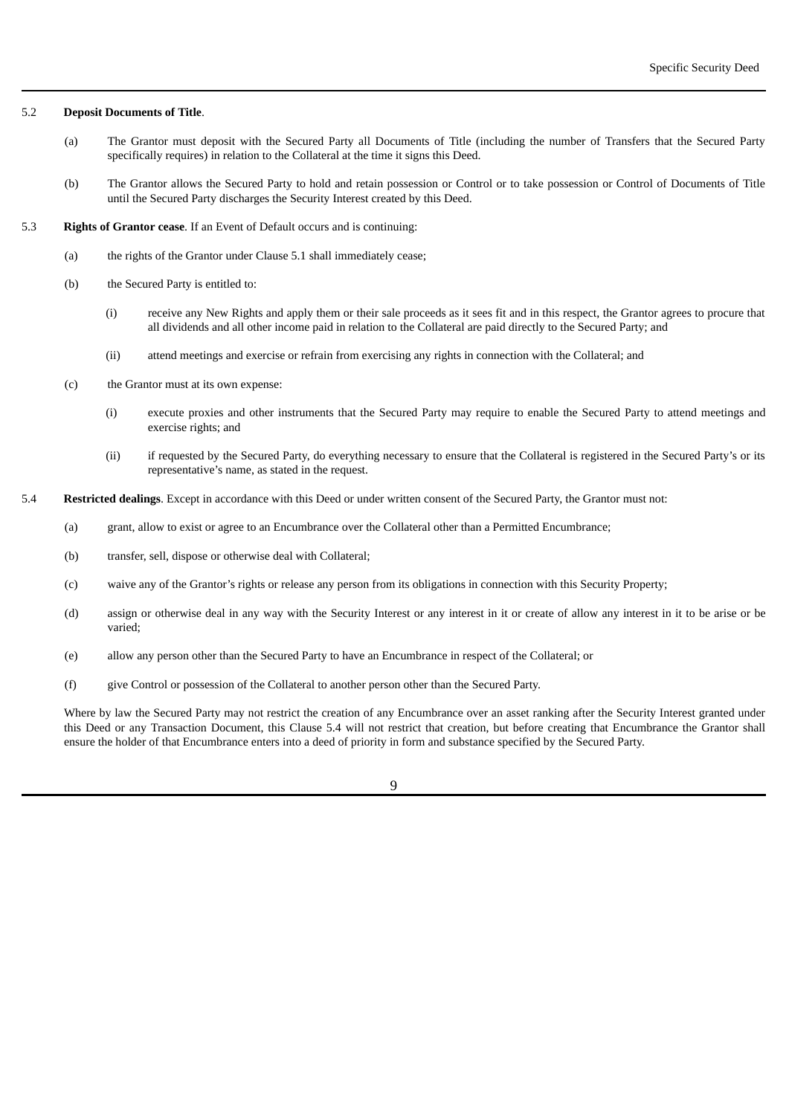#### 5.2 **Deposit Documents of Title**.

- (a) The Grantor must deposit with the Secured Party all Documents of Title (including the number of Transfers that the Secured Party specifically requires) in relation to the Collateral at the time it signs this Deed.
- (b) The Grantor allows the Secured Party to hold and retain possession or Control or to take possession or Control of Documents of Title until the Secured Party discharges the Security Interest created by this Deed.

#### 5.3 **Rights of Grantor cease**. If an Event of Default occurs and is continuing:

- (a) the rights of the Grantor under Clause 5.1 shall immediately cease;
- (b) the Secured Party is entitled to:
	- (i) receive any New Rights and apply them or their sale proceeds as it sees fit and in this respect, the Grantor agrees to procure that all dividends and all other income paid in relation to the Collateral are paid directly to the Secured Party; and
	- (ii) attend meetings and exercise or refrain from exercising any rights in connection with the Collateral; and
- (c) the Grantor must at its own expense:
	- (i) execute proxies and other instruments that the Secured Party may require to enable the Secured Party to attend meetings and exercise rights; and
	- (ii) if requested by the Secured Party, do everything necessary to ensure that the Collateral is registered in the Secured Party's or its representative's name, as stated in the request.
- 5.4 **Restricted dealings**. Except in accordance with this Deed or under written consent of the Secured Party, the Grantor must not:
	- (a) grant, allow to exist or agree to an Encumbrance over the Collateral other than a Permitted Encumbrance;
	- (b) transfer, sell, dispose or otherwise deal with Collateral;
	- (c) waive any of the Grantor's rights or release any person from its obligations in connection with this Security Property;
	- (d) assign or otherwise deal in any way with the Security Interest or any interest in it or create of allow any interest in it to be arise or be varied;
	- (e) allow any person other than the Secured Party to have an Encumbrance in respect of the Collateral; or
	- (f) give Control or possession of the Collateral to another person other than the Secured Party.

Where by law the Secured Party may not restrict the creation of any Encumbrance over an asset ranking after the Security Interest granted under this Deed or any Transaction Document, this Clause 5.4 will not restrict that creation, but before creating that Encumbrance the Grantor shall ensure the holder of that Encumbrance enters into a deed of priority in form and substance specified by the Secured Party.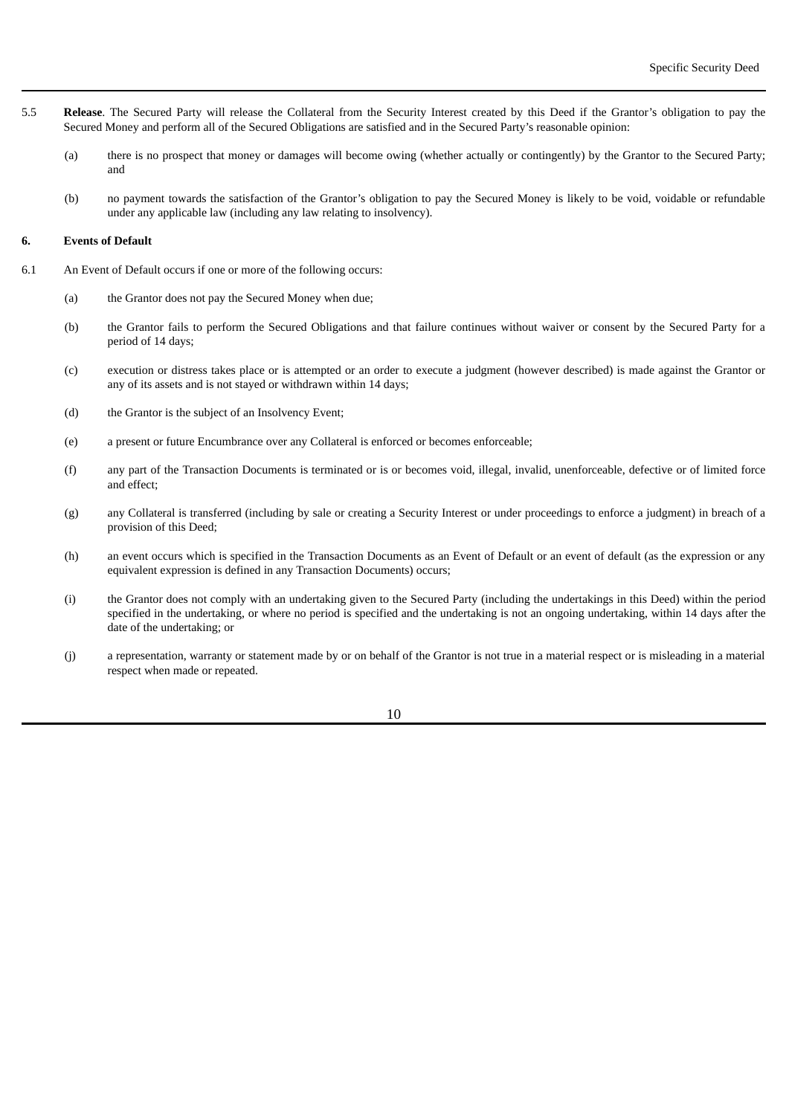- 5.5 **Release**. The Secured Party will release the Collateral from the Security Interest created by this Deed if the Grantor's obligation to pay the Secured Money and perform all of the Secured Obligations are satisfied and in the Secured Party's reasonable opinion:
	- (a) there is no prospect that money or damages will become owing (whether actually or contingently) by the Grantor to the Secured Party; and
	- (b) no payment towards the satisfaction of the Grantor's obligation to pay the Secured Money is likely to be void, voidable or refundable under any applicable law (including any law relating to insolvency).

#### **6. Events of Default**

- 6.1 An Event of Default occurs if one or more of the following occurs:
	- (a) the Grantor does not pay the Secured Money when due;
	- (b) the Grantor fails to perform the Secured Obligations and that failure continues without waiver or consent by the Secured Party for a period of 14 days;
	- (c) execution or distress takes place or is attempted or an order to execute a judgment (however described) is made against the Grantor or any of its assets and is not stayed or withdrawn within 14 days;
	- (d) the Grantor is the subject of an Insolvency Event;
	- (e) a present or future Encumbrance over any Collateral is enforced or becomes enforceable;
	- (f) any part of the Transaction Documents is terminated or is or becomes void, illegal, invalid, unenforceable, defective or of limited force and effect;
	- (g) any Collateral is transferred (including by sale or creating a Security Interest or under proceedings to enforce a judgment) in breach of a provision of this Deed;
	- (h) an event occurs which is specified in the Transaction Documents as an Event of Default or an event of default (as the expression or any equivalent expression is defined in any Transaction Documents) occurs;
	- (i) the Grantor does not comply with an undertaking given to the Secured Party (including the undertakings in this Deed) within the period specified in the undertaking, or where no period is specified and the undertaking is not an ongoing undertaking, within 14 days after the date of the undertaking; or
	- (j) a representation, warranty or statement made by or on behalf of the Grantor is not true in a material respect or is misleading in a material respect when made or repeated.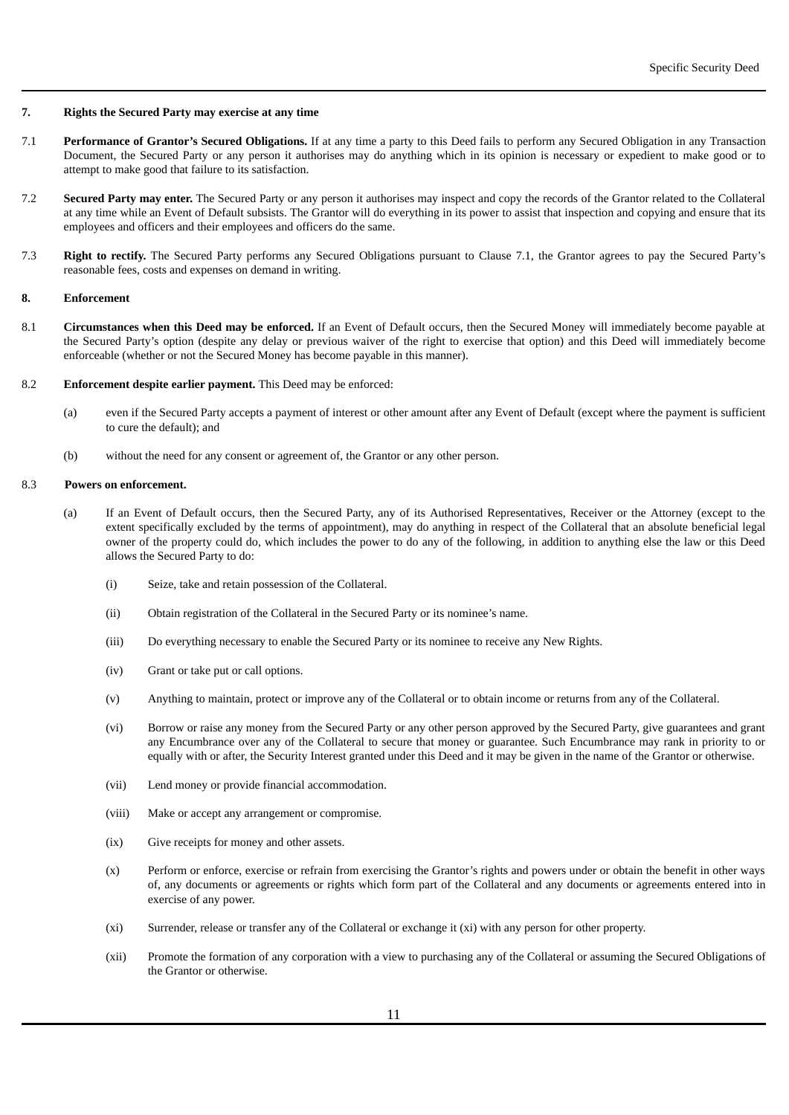# **7. Rights the Secured Party may exercise at any time**

- 7.1 **Performance of Grantor's Secured Obligations.** If at any time a party to this Deed fails to perform any Secured Obligation in any Transaction Document, the Secured Party or any person it authorises may do anything which in its opinion is necessary or expedient to make good or to attempt to make good that failure to its satisfaction.
- 7.2 **Secured Party may enter.** The Secured Party or any person it authorises may inspect and copy the records of the Grantor related to the Collateral at any time while an Event of Default subsists. The Grantor will do everything in its power to assist that inspection and copying and ensure that its employees and officers and their employees and officers do the same.
- 7.3 **Right to rectify.** The Secured Party performs any Secured Obligations pursuant to Clause 7.1, the Grantor agrees to pay the Secured Party's reasonable fees, costs and expenses on demand in writing.

## **8. Enforcement**

- 8.1 **Circumstances when this Deed may be enforced.** If an Event of Default occurs, then the Secured Money will immediately become payable at the Secured Party's option (despite any delay or previous waiver of the right to exercise that option) and this Deed will immediately become enforceable (whether or not the Secured Money has become payable in this manner).
- 8.2 **Enforcement despite earlier payment.** This Deed may be enforced:
	- (a) even if the Secured Party accepts a payment of interest or other amount after any Event of Default (except where the payment is sufficient to cure the default); and
	- (b) without the need for any consent or agreement of, the Grantor or any other person.

# 8.3 **Powers on enforcement.**

- (a) If an Event of Default occurs, then the Secured Party, any of its Authorised Representatives, Receiver or the Attorney (except to the extent specifically excluded by the terms of appointment), may do anything in respect of the Collateral that an absolute beneficial legal owner of the property could do, which includes the power to do any of the following, in addition to anything else the law or this Deed allows the Secured Party to do:
	- (i) Seize, take and retain possession of the Collateral.
	- (ii) Obtain registration of the Collateral in the Secured Party or its nominee's name.
	- (iii) Do everything necessary to enable the Secured Party or its nominee to receive any New Rights.
	- (iv) Grant or take put or call options.
	- (v) Anything to maintain, protect or improve any of the Collateral or to obtain income or returns from any of the Collateral.
	- (vi) Borrow or raise any money from the Secured Party or any other person approved by the Secured Party, give guarantees and grant any Encumbrance over any of the Collateral to secure that money or guarantee. Such Encumbrance may rank in priority to or equally with or after, the Security Interest granted under this Deed and it may be given in the name of the Grantor or otherwise.
	- (vii) Lend money or provide financial accommodation.
	- (viii) Make or accept any arrangement or compromise.
	- (ix) Give receipts for money and other assets.
	- (x) Perform or enforce, exercise or refrain from exercising the Grantor's rights and powers under or obtain the benefit in other ways of, any documents or agreements or rights which form part of the Collateral and any documents or agreements entered into in exercise of any power.
	- (xi) Surrender, release or transfer any of the Collateral or exchange it (xi) with any person for other property.
	- (xii) Promote the formation of any corporation with a view to purchasing any of the Collateral or assuming the Secured Obligations of the Grantor or otherwise.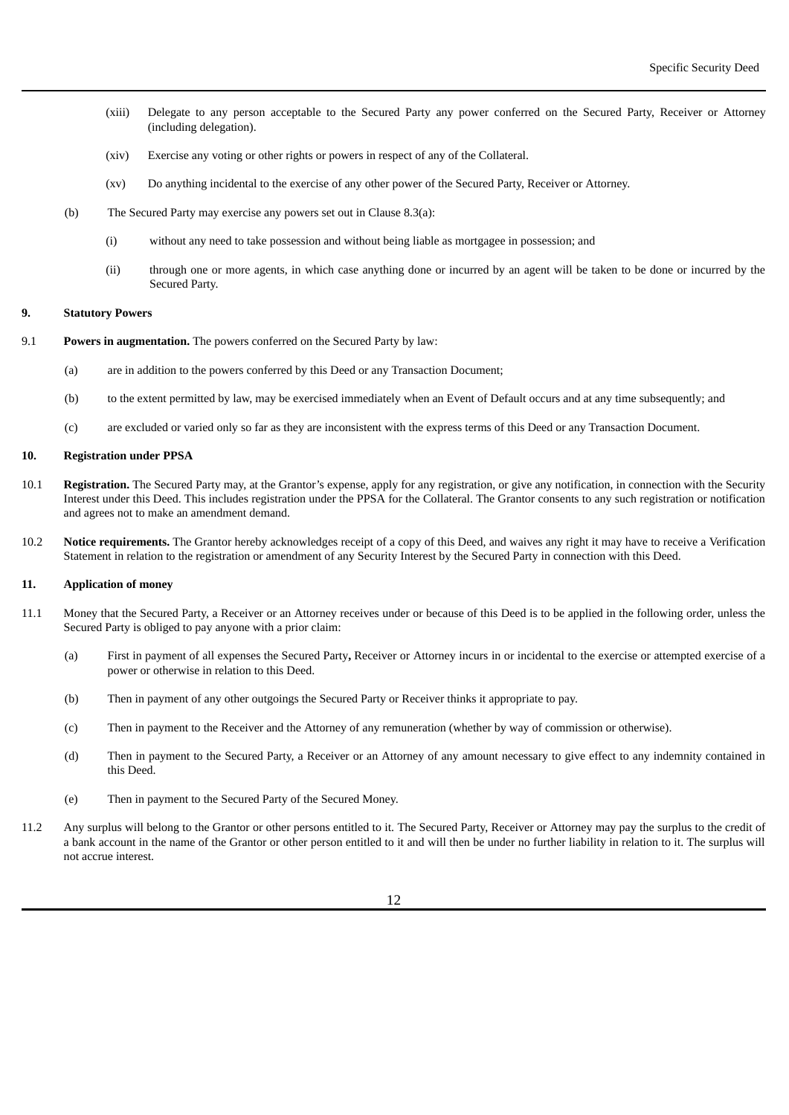- (xiii) Delegate to any person acceptable to the Secured Party any power conferred on the Secured Party, Receiver or Attorney (including delegation).
- (xiv) Exercise any voting or other rights or powers in respect of any of the Collateral.
- (xv) Do anything incidental to the exercise of any other power of the Secured Party, Receiver or Attorney.
- (b) The Secured Party may exercise any powers set out in Clause 8.3(a):
	- (i) without any need to take possession and without being liable as mortgagee in possession; and
	- (ii) through one or more agents, in which case anything done or incurred by an agent will be taken to be done or incurred by the Secured Party.

#### **9. Statutory Powers**

- 9.1 **Powers in augmentation.** The powers conferred on the Secured Party by law:
	- (a) are in addition to the powers conferred by this Deed or any Transaction Document;
	- (b) to the extent permitted by law, may be exercised immediately when an Event of Default occurs and at any time subsequently; and
	- (c) are excluded or varied only so far as they are inconsistent with the express terms of this Deed or any Transaction Document.

# **10. Registration under PPSA**

- 10.1 **Registration.** The Secured Party may, at the Grantor's expense, apply for any registration, or give any notification, in connection with the Security Interest under this Deed. This includes registration under the PPSA for the Collateral. The Grantor consents to any such registration or notification and agrees not to make an amendment demand.
- 10.2 **Notice requirements.** The Grantor hereby acknowledges receipt of a copy of this Deed, and waives any right it may have to receive a Verification Statement in relation to the registration or amendment of any Security Interest by the Secured Party in connection with this Deed.

# **11. Application of money**

- 11.1 Money that the Secured Party, a Receiver or an Attorney receives under or because of this Deed is to be applied in the following order, unless the Secured Party is obliged to pay anyone with a prior claim:
	- (a) First in payment of all expenses the Secured Party**,** Receiver or Attorney incurs in or incidental to the exercise or attempted exercise of a power or otherwise in relation to this Deed.
	- (b) Then in payment of any other outgoings the Secured Party or Receiver thinks it appropriate to pay.
	- (c) Then in payment to the Receiver and the Attorney of any remuneration (whether by way of commission or otherwise).
	- (d) Then in payment to the Secured Party, a Receiver or an Attorney of any amount necessary to give effect to any indemnity contained in this Deed.
	- (e) Then in payment to the Secured Party of the Secured Money.
- 11.2 Any surplus will belong to the Grantor or other persons entitled to it. The Secured Party, Receiver or Attorney may pay the surplus to the credit of a bank account in the name of the Grantor or other person entitled to it and will then be under no further liability in relation to it. The surplus will not accrue interest.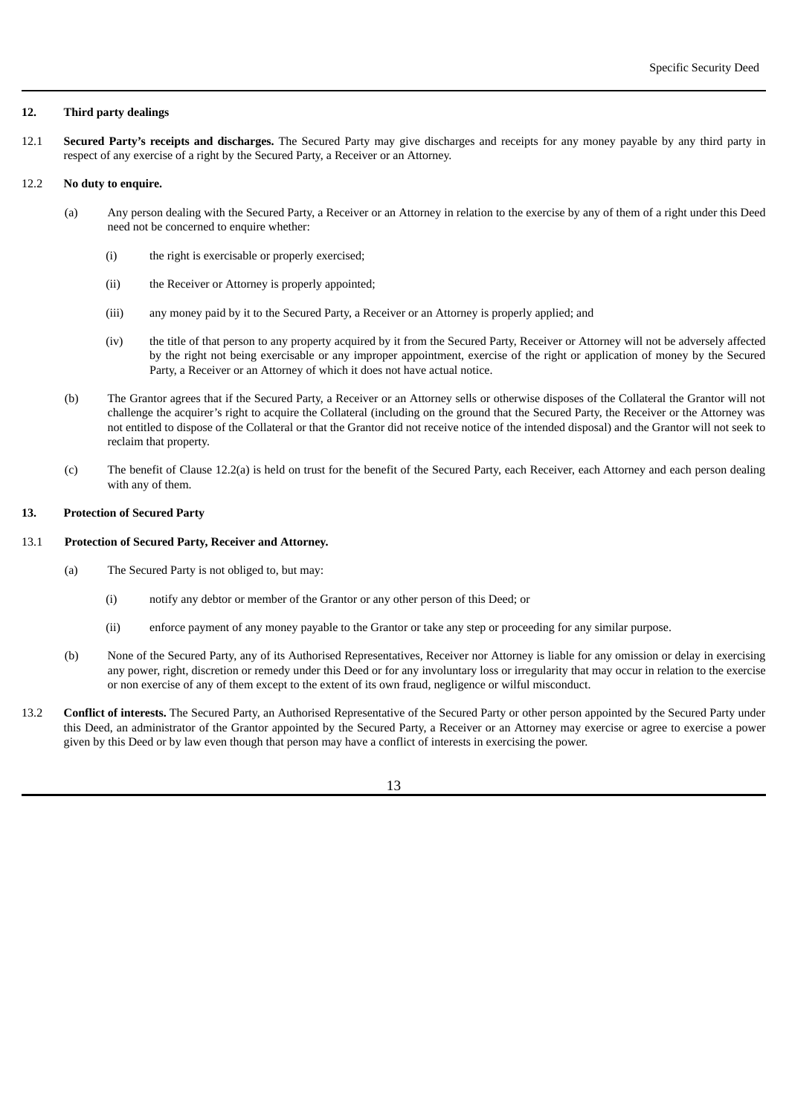## **12. Third party dealings**

12.1 **Secured Party's receipts and discharges.** The Secured Party may give discharges and receipts for any money payable by any third party in respect of any exercise of a right by the Secured Party, a Receiver or an Attorney.

# 12.2 **No duty to enquire.**

- (a) Any person dealing with the Secured Party, a Receiver or an Attorney in relation to the exercise by any of them of a right under this Deed need not be concerned to enquire whether:
	- (i) the right is exercisable or properly exercised;
	- (ii) the Receiver or Attorney is properly appointed;
	- (iii) any money paid by it to the Secured Party, a Receiver or an Attorney is properly applied; and
	- (iv) the title of that person to any property acquired by it from the Secured Party, Receiver or Attorney will not be adversely affected by the right not being exercisable or any improper appointment, exercise of the right or application of money by the Secured Party, a Receiver or an Attorney of which it does not have actual notice.
- (b) The Grantor agrees that if the Secured Party, a Receiver or an Attorney sells or otherwise disposes of the Collateral the Grantor will not challenge the acquirer's right to acquire the Collateral (including on the ground that the Secured Party, the Receiver or the Attorney was not entitled to dispose of the Collateral or that the Grantor did not receive notice of the intended disposal) and the Grantor will not seek to reclaim that property.
- (c) The benefit of Clause 12.2(a) is held on trust for the benefit of the Secured Party, each Receiver, each Attorney and each person dealing with any of them.

# **13. Protection of Secured Party**

## 13.1 **Protection of Secured Party, Receiver and Attorney.**

- (a) The Secured Party is not obliged to, but may:
	- (i) notify any debtor or member of the Grantor or any other person of this Deed; or
	- (ii) enforce payment of any money payable to the Grantor or take any step or proceeding for any similar purpose.
- (b) None of the Secured Party, any of its Authorised Representatives, Receiver nor Attorney is liable for any omission or delay in exercising any power, right, discretion or remedy under this Deed or for any involuntary loss or irregularity that may occur in relation to the exercise or non exercise of any of them except to the extent of its own fraud, negligence or wilful misconduct.
- 13.2 **Conflict of interests.** The Secured Party, an Authorised Representative of the Secured Party or other person appointed by the Secured Party under this Deed, an administrator of the Grantor appointed by the Secured Party, a Receiver or an Attorney may exercise or agree to exercise a power given by this Deed or by law even though that person may have a conflict of interests in exercising the power.

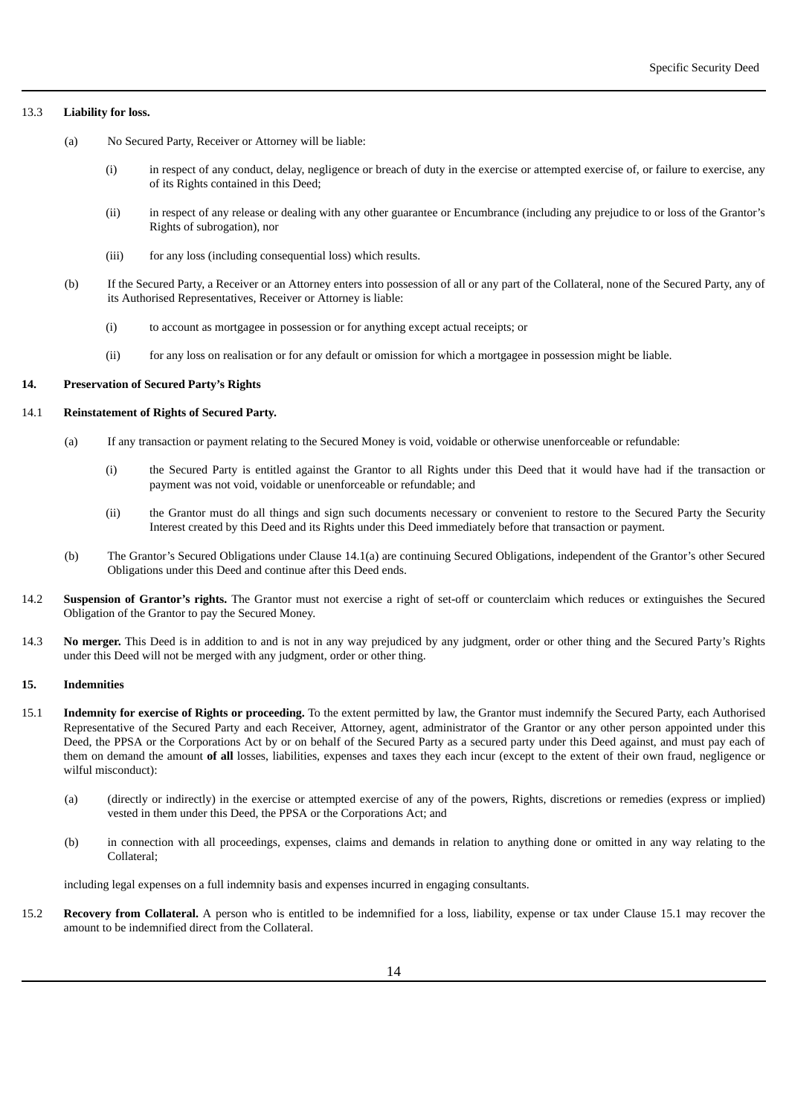### 13.3 **Liability for loss.**

- (a) No Secured Party, Receiver or Attorney will be liable:
	- (i) in respect of any conduct, delay, negligence or breach of duty in the exercise or attempted exercise of, or failure to exercise, any of its Rights contained in this Deed;
	- (ii) in respect of any release or dealing with any other guarantee or Encumbrance (including any prejudice to or loss of the Grantor's Rights of subrogation), nor
	- (iii) for any loss (including consequential loss) which results.
- (b) If the Secured Party, a Receiver or an Attorney enters into possession of all or any part of the Collateral, none of the Secured Party, any of its Authorised Representatives, Receiver or Attorney is liable:
	- (i) to account as mortgagee in possession or for anything except actual receipts; or
	- (ii) for any loss on realisation or for any default or omission for which a mortgagee in possession might be liable.

# **14. Preservation of Secured Party's Rights**

#### 14.1 **Reinstatement of Rights of Secured Party.**

- (a) If any transaction or payment relating to the Secured Money is void, voidable or otherwise unenforceable or refundable:
	- (i) the Secured Party is entitled against the Grantor to all Rights under this Deed that it would have had if the transaction or payment was not void, voidable or unenforceable or refundable; and
	- (ii) the Grantor must do all things and sign such documents necessary or convenient to restore to the Secured Party the Security Interest created by this Deed and its Rights under this Deed immediately before that transaction or payment.
- (b) The Grantor's Secured Obligations under Clause 14.1(a) are continuing Secured Obligations, independent of the Grantor's other Secured Obligations under this Deed and continue after this Deed ends.
- 14.2 **Suspension of Grantor's rights.** The Grantor must not exercise a right of set-off or counterclaim which reduces or extinguishes the Secured Obligation of the Grantor to pay the Secured Money.
- 14.3 **No merger.** This Deed is in addition to and is not in any way prejudiced by any judgment, order or other thing and the Secured Party's Rights under this Deed will not be merged with any judgment, order or other thing.

## **15. Indemnities**

- 15.1 **Indemnity for exercise of Rights or proceeding.** To the extent permitted by law, the Grantor must indemnify the Secured Party, each Authorised Representative of the Secured Party and each Receiver, Attorney, agent, administrator of the Grantor or any other person appointed under this Deed, the PPSA or the Corporations Act by or on behalf of the Secured Party as a secured party under this Deed against, and must pay each of them on demand the amount **of all** losses, liabilities, expenses and taxes they each incur (except to the extent of their own fraud, negligence or wilful misconduct):
	- (a) (directly or indirectly) in the exercise or attempted exercise of any of the powers, Rights, discretions or remedies (express or implied) vested in them under this Deed, the PPSA or the Corporations Act; and
	- (b) in connection with all proceedings, expenses, claims and demands in relation to anything done or omitted in any way relating to the Collateral;

including legal expenses on a full indemnity basis and expenses incurred in engaging consultants.

15.2 **Recovery from Collateral.** A person who is entitled to be indemnified for a loss, liability, expense or tax under Clause 15.1 may recover the amount to be indemnified direct from the Collateral.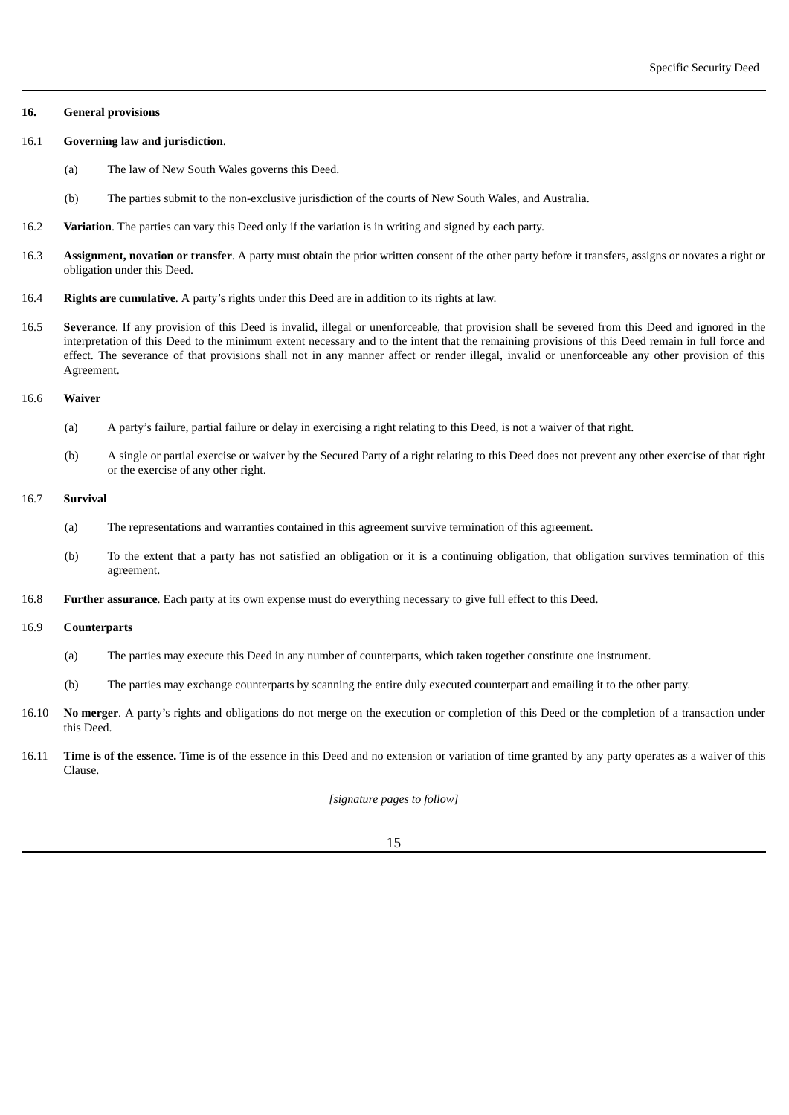#### **16. General provisions**

## 16.1 **Governing law and jurisdiction**.

- (a) The law of New South Wales governs this Deed.
- (b) The parties submit to the non-exclusive jurisdiction of the courts of New South Wales, and Australia.
- 16.2 **Variation**. The parties can vary this Deed only if the variation is in writing and signed by each party.
- 16.3 **Assignment, novation or transfer**. A party must obtain the prior written consent of the other party before it transfers, assigns or novates a right or obligation under this Deed.
- 16.4 **Rights are cumulative**. A party's rights under this Deed are in addition to its rights at law.
- 16.5 **Severance**. If any provision of this Deed is invalid, illegal or unenforceable, that provision shall be severed from this Deed and ignored in the interpretation of this Deed to the minimum extent necessary and to the intent that the remaining provisions of this Deed remain in full force and effect. The severance of that provisions shall not in any manner affect or render illegal, invalid or unenforceable any other provision of this Agreement.

# 16.6 **Waiver**

- (a) A party's failure, partial failure or delay in exercising a right relating to this Deed, is not a waiver of that right.
- (b) A single or partial exercise or waiver by the Secured Party of a right relating to this Deed does not prevent any other exercise of that right or the exercise of any other right.

# 16.7 **Survival**

- (a) The representations and warranties contained in this agreement survive termination of this agreement.
- (b) To the extent that a party has not satisfied an obligation or it is a continuing obligation, that obligation survives termination of this agreement.
- 16.8 **Further assurance**. Each party at its own expense must do everything necessary to give full effect to this Deed.

#### 16.9 **Counterparts**

- (a) The parties may execute this Deed in any number of counterparts, which taken together constitute one instrument.
- (b) The parties may exchange counterparts by scanning the entire duly executed counterpart and emailing it to the other party.
- 16.10 **No merger**. A party's rights and obligations do not merge on the execution or completion of this Deed or the completion of a transaction under this Deed.
- 16.11 **Time is of the essence.** Time is of the essence in this Deed and no extension or variation of time granted by any party operates as a waiver of this Clause.

*[signature pages to follow]*

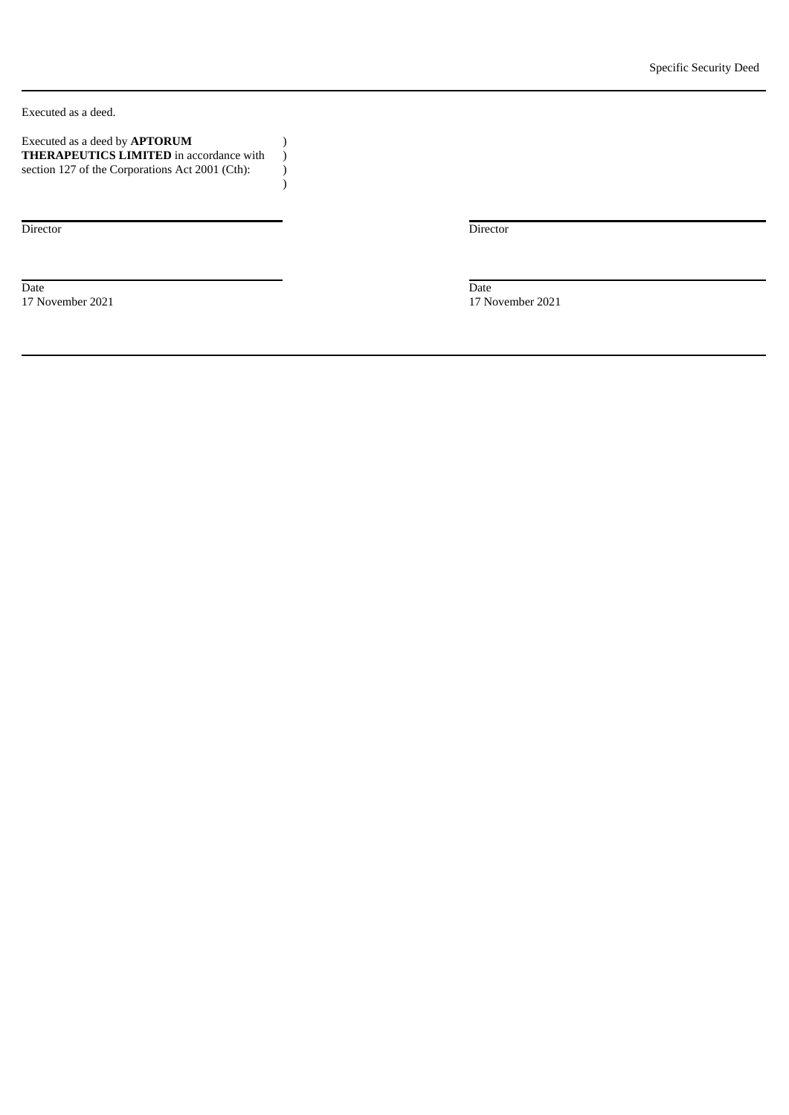Executed as a deed.

| Executed as a deed by <b>APTORUM</b>            |  |
|-------------------------------------------------|--|
| <b>THERAPEUTICS LIMITED</b> in accordance with  |  |
| section 127 of the Corporations Act 2001 (Cth): |  |

) ) ) )

Director Director

Date Date 17 November 2021 17 November 2021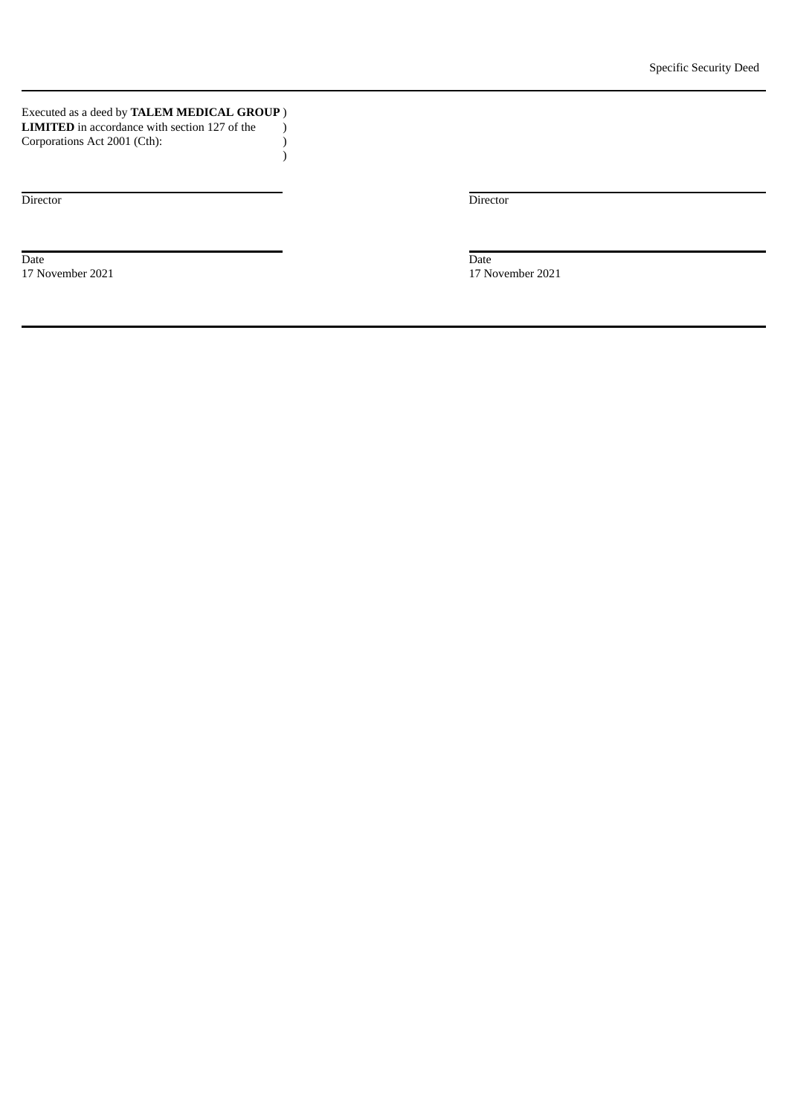Executed as a deed by **TALEM MEDICAL GROUP** ) **LIMITED** in accordance with section 127 of the Corporations Act 2001 (Cth): ) ) )

Date Date

Director Director

17 November 2021 17 November 2021